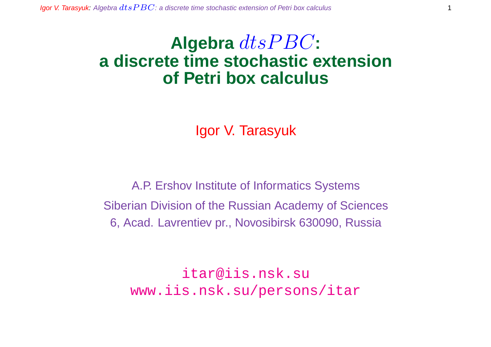# Algebra  $dt$ s $PBC$ : **a discrete time stochastic extension of Petri box calculus**

Igor V. Tarasyuk

A.P. Ershov Institute of Informatics Systems Siberian Division of the Russian Academy of Sciences 6, Acad. Lavrentiev pr., Novosibirsk 630090, Russia

itar@iis.nsk.su www.iis.nsk.su/persons/itar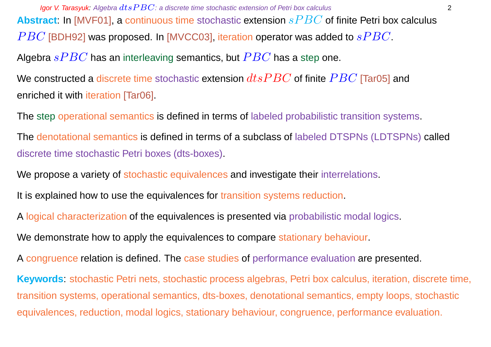**Igor V. Tarasyuk:** Algebra  $dt$ s  $PBC$ : a discrete time stochastic extension of Petri box calculus 2 **Abstract**: In [MVF01], a continuous time stochastic extension sP BC of finite Petri box calculus  $PBC$  [BDH92] was proposed. In [MVCC03], iteration operator was added to  $sPBC$ . Algebra  $sPBC$  has an interleaving semantics, but  $PBC$  has a step one. We constructed a discrete time stochastic extension  $dtsPBC$  of finite  $PBC$  [Tar05] and enriched it with iteration [Tar06].

The step operational semantics is defined in terms of labeled probabilistic transition systems.

The denotational semantics is defined in terms of a subclass of labeled DTSPNs (LDTSPNs) called discrete time stochastic Petri boxes (dts-boxes).

We propose a variety of stochastic equivalences and investigate their interrelations.

It is explained how to use the equivalences for transition systems reduction.

A logical characterization of the equivalences is presented via probabilistic modal logics.

We demonstrate how to apply the equivalences to compare stationary behaviour.

A congruence relation is defined. The case studies of performance evaluation are presented.

**Keywords**: stochastic Petri nets, stochastic process algebras, Petri box calculus, iteration, discrete time, transition systems, operational semantics, dts-boxes, denotational semantics, empty loops, stochastic equivalences, reduction, modal logics, stationary behaviour, congruence, performance evaluation.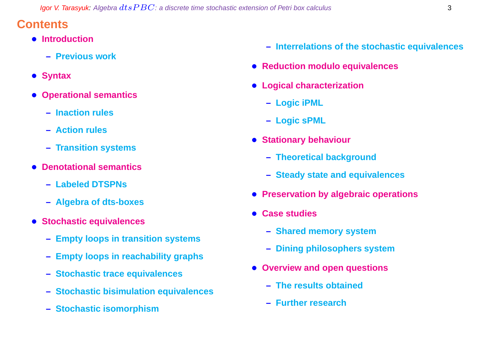## **Contents**

- **Introduction**
	- **– Previous work**
- **Syntax**
- **Operational semantics**
	- **– Inaction rules**
	- **– Action rules**
	- **– Transition systems**
- **Denotational semantics**
	- **– Labeled DTSPNs**
	- **– Algebra of dts-boxes**
- **Stochastic equivalences**
	- **– Empty loops in transition systems**
	- **– Empty loops in reachability graphs**
	- **– Stochastic trace equivalences**
	- **– Stochastic bisimulation equivalences**
	- **– Stochastic isomorphism**
- **– Interrelations of the stochastic equivalences**
- **Reduction modulo equivalences**
- **Logical characterization**
	- **– Logic iPML**
	- **– Logic sPML**
- **Stationary behaviour**
	- **– Theoretical background**
	- **– Steady state and equivalences**
- **Preservation by algebraic operations**
- **Case studies**
	- **– Shared memory system**
	- **– Dining philosophers system**
- **Overview and open questions**
	- **– The results obtained**
	- **– Further research**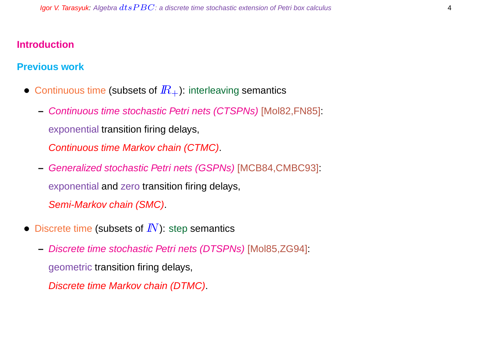#### **Introduction**

#### **Previous work**

- Continuous time (subsets of  $I\!R_{+}$ ): interleaving semantics
	- **–** Continuous time stochastic Petri nets (CTSPNs) [Mol82,FN85]: exponential transition firing delays, Continuous time Markov chain (CTMC).
	- **–** Generalized stochastic Petri nets (GSPNs) [MCB84,CMBC93]: exponential and zero transition firing delays, Semi-Markov chain (SMC).
- Discrete time (subsets of  $I\!N$ ): step semantics
	- **–** Discrete time stochastic Petri nets (DTSPNs) [Mol85,ZG94]:

geometric transition firing delays,

Discrete time Markov chain (DTMC).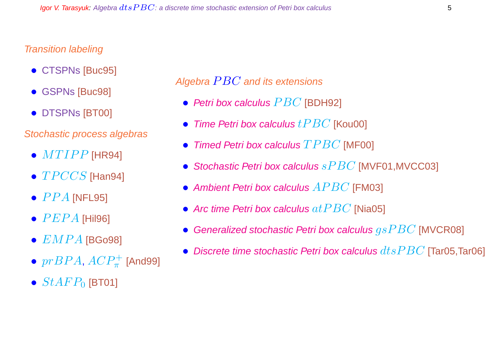#### Transition labeling

- **CTSPNs [Buc95]**
- GSPNs [Buc98]
- DTSPNs [BT00]

#### Stochastic process algebras

- $\bullet$   $MTIPP$  [HR94]
- $\bullet$   $TPCCS$  [Han94]
- $\bullet$   $PPA$  [NFL95]
- $\bullet$   $PEPA$  [Hil96]
- $\bullet$   $EMPA$  [BGo98]
- $\bullet \ prBPA$ ,  $ACP^+_{\pi}$  [And99]
- $StAFP_0$  [BT01]

Algebra  $PBC$  and its extensions

- Petri box calculus  $PBC$  [BDH92]
- Time Petri box calculus  $tPBC$  [Kou00]
- Timed Petri box calculus  $TPBC$  [MF00]
- Stochastic Petri box calculus  $sPBC$  [MVF01, MVCC03]
- Ambient Petri box calculus  $APBC$  [FM03]
- Arc time Petri box calculus  $at PBC$  [Nia05]
- Generalized stochastic Petri box calculus  $qsPBC$  [MVCR08]
- Discrete time stochastic Petri box calculus  $dt$ s $PBC$  [Tar05,Tar06]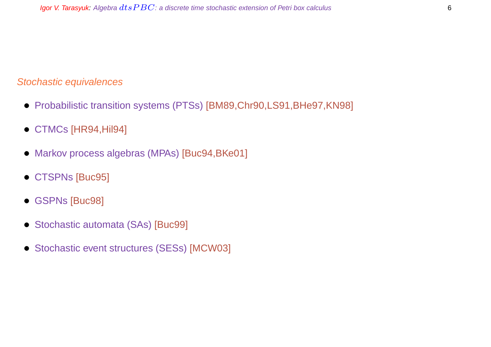#### Stochastic equivalences

- Probabilistic transition systems (PTSs) [BM89,Chr90,LS91,BHe97,KN98]
- CTMCs [HR94,Hil94]
- Markov process algebras (MPAs) [Buc94,BKe01]
- CTSPNs [Buc95]
- GSPNs [Buc98]
- Stochastic automata (SAs) [Buc99]
- Stochastic event structures (SESs) [MCW03]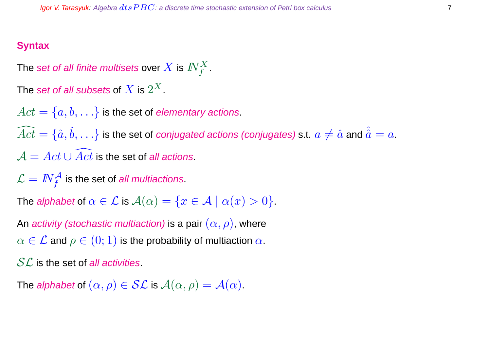#### **Syntax**

The set of all finite multisets over  $X$  is  $I\!\!N_f^X.$ 

The  $\operatorname{\mathsf{set}}$  of all subsets of  $X$  is  $2^X.$ 

 $Act = \{a, b, \ldots\}$  is the set of *elementary actions*.

 $\widehat{Act} = \{\hat a, \hat b, \ldots\}$  is the set of *conjugated actions (conjugates)* s.t.  $a\neq \hat a$  and  $\hat{\hat a}=a.$  $\mathcal{A} = Act \cup \overline{Act}$  is the set of all actions.

 $\mathcal{L} = \textit{IN}^{\mathcal{A}}_{f}$  is the set of *all multiactions*.

The alphabet of  $\alpha \in \mathcal{L}$  is  $\mathcal{A}(\alpha) = \{x \in \mathcal{A} \mid \alpha(x) > 0\}.$ 

An activity (stochastic multiaction) is a pair  $(\alpha, \rho)$ , where  $\alpha \in \mathcal{L}$  and  $\rho \in (0,1)$  is the probability of multiaction  $\alpha$ .

 $SL$  is the set of all activities.

The alphabet of  $(\alpha, \rho) \in \mathcal{SL}$  is  $\mathcal{A}(\alpha, \rho) = \mathcal{A}(\alpha)$ .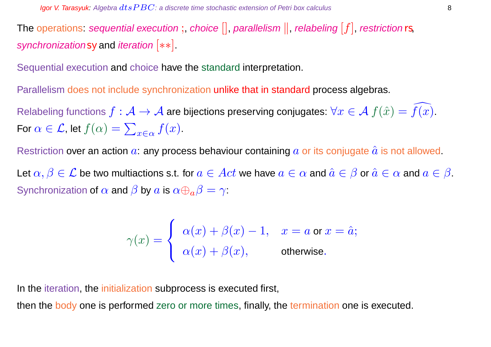The operations: sequential execution;, choice  $[]$ , parallelism  $||$ , relabeling  $[f]$ , restriction rs, synchronizationsy and *iteration* [ $**$ ].

Sequential execution and choice have the standard interpretation.

Parallelism does not include synchronization unlike that in standard process algebras.

Relabeling functions  $f : \mathcal{A} \to \mathcal{A}$  are bijections preserving conjugates:  $\forall x \in \mathcal{A}$   $f(\hat{x}) = f(x)$ . For  $\alpha \in \mathcal{L}$ , let  $f(\alpha) = \sum$  $x \in \alpha$   $f(x)$ .

Restriction over an action  $a$ : any process behaviour containing  $a$  or its conjugate  $\hat{a}$  is not allowed.

Let  $\alpha, \beta \in \mathcal{L}$  be two multiactions s.t. for  $a \in Act$  we have  $a \in \alpha$  and  $\hat{a} \in \beta$  or  $\hat{a} \in \alpha$  and  $a \in \beta$ . Synchronization of  $\alpha$  and  $\beta$  by  $\alpha$  is  $\alpha \oplus_{\alpha} \beta = \gamma$ :

$$
\gamma(x) = \begin{cases} \alpha(x) + \beta(x) - 1, & x = a \text{ or } x = \hat{a}; \\ \alpha(x) + \beta(x), & \text{otherwise}. \end{cases}
$$

In the iteration, the initialization subprocess is executed first,

then the body one is performed zero or more times, finally, the termination one is executed.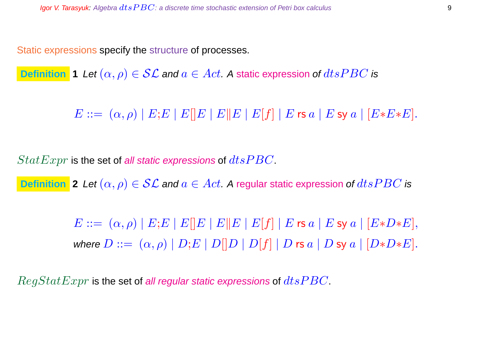Static expressions specify the structure of processes.

**Definition 1** Let  $(\alpha, \rho) \in \mathcal{SL}$  and  $a \in Act$ . A static expression of  $dtsPBC$  is

 $E ::= (\alpha, \rho) | E; E | E | E | E | E | E | E | f | E \text{ is a} | E \text{ sy a} | [E * E * E].$ 

 $StatExpr$  is the set of all static expressions of  $dtsPBC$ .

**Definition** 2 Let  $(\alpha, \rho) \in \mathcal{SL}$  and  $a \in Act$ . A regular static expression of  $dtsPBC$  is

 $E ::= (\alpha, \rho) | E; E | E | E | E | E | E | E | f | | E$  rs  $a | E$  sy  $a | [E*D*E],$ where  $D ::= (\alpha, \rho) | D; E | D[|D | D[|f] | D$  rs  $a | D$  sy  $a | [D*D*E].$ 

 $RegStatexpr$  is the set of all regular static expressions of  $dtsPBC$ .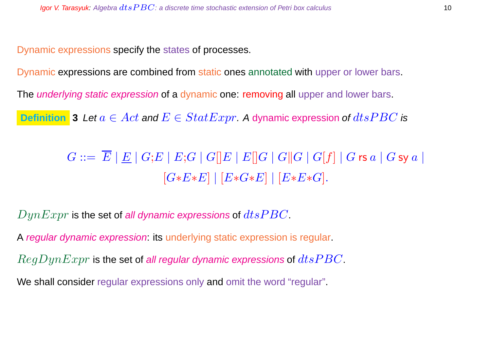Dynamic expressions specify the states of processes.

Dynamic expressions are combined from static ones annotated with upper or lower bars.

The *underlying static expression* of a dynamic one: removing all upper and lower bars.

**Definition** 3 Let  $a \in Act$  and  $E \in StatExpr$ . A dynamic expression of  $dtsPBC$  is

 $G ::= \overline{E} |E| G; E |E; G |G|E |E|E|G |G|G |G|f |G$ rs  $a |G$  sy  $a |$  $[G*E*E] | [E*G*E] | [E*E*G].$ 

 $DynExpr$  is the set of all dynamic expressions of  $dt$ s $PBC$ .

A regular dynamic expression: its underlying static expression is regular.

 $RegDynExpr$  is the set of all regular dynamic expressions of  $dtsPBC$ .

We shall consider regular expressions only and omit the word "regular".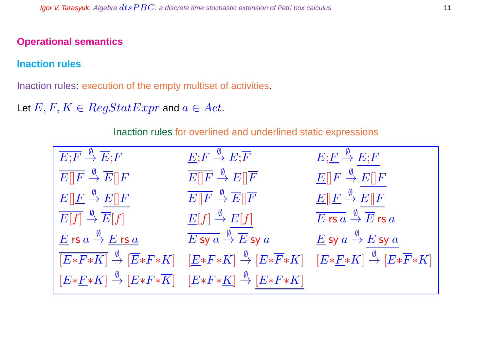#### **Operational semantics**

#### **Inaction rules**

Inaction rules: execution of the empty multiset of activities.

Let  $E, F, K \in RegStatExpr$  and  $a \in Act$ .

| $\overline{E;F}\overset{\emptyset}{\rightarrow}\overline{E};F$                                                                           | $E; F \stackrel{\emptyset}{\rightarrow} E; \overline{F}$               | $E ; \underline{F} \stackrel{\emptyset}{\to} E ; F$                        |
|------------------------------------------------------------------------------------------------------------------------------------------|------------------------------------------------------------------------|----------------------------------------------------------------------------|
| $\overline{E  F} \overset{\emptyset}{\rightarrow} \overline{E  F}$                                                                       | $\overline{E  F} \stackrel{\emptyset}{\to} E  \overline{F}$            | $\underline{E}[[F \stackrel{\emptyset}{\to} E][F$                          |
| $E[\underline{F} \stackrel{\emptyset}{\to} E][F]$                                                                                        | $\overline{E  F} \stackrel{\emptyset}{\to} \overline{E}  \overline{F}$ | $\underline{E} \Vert \underline{F} \stackrel{\emptyset}{\to} E \Vert F$    |
| $\overline{E[f]} \stackrel{\emptyset}{\to} \overline{E}[f]$                                                                              | $\underline{E}[f] \stackrel{\emptyset}{\to} E[f]$                      | $\overline{E$ rs $a \stackrel{\emptyset}{\rightarrow} \overline{E}$ rs $a$ |
| $\underline{E}$ rs $a \stackrel{\emptyset}{\to} \underline{E}$ rs $\underline{a}$                                                        | $\overline{E}$ sy $a \stackrel{\emptyset}{\to} \overline{E}$ sy $a$    | $\underline{E}$ sy $a \stackrel{\emptyset}{\to} E$ sy $a$                  |
| $\overline{[E*F*K]} \stackrel{\emptyset}{\to} \overline{[E*F*K]} \quad [\underline{E}*F*K] \stackrel{\emptyset}{\to} [E*\overline{F}*K]$ |                                                                        | $[E*E*K] \stackrel{\emptyset}{\rightarrow} [E*\overline{F}*K]$             |
| $[E*E*K] \stackrel{\emptyset}{\to} [E*F*\overline{K}] \quad [E*F*\underline{K}] \stackrel{\emptyset}{\to} [E*F*K]$                       |                                                                        |                                                                            |

Inaction rules for overlined and underlined static expressions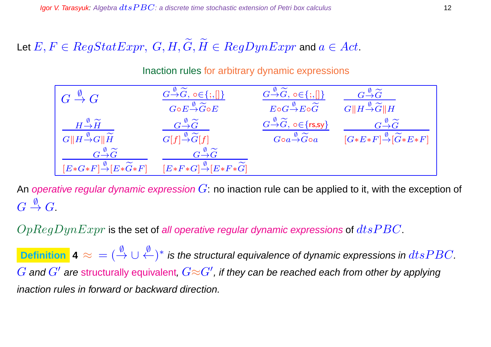## Let  $E, F \in RegStatexpr$ ,  $G, H, \widetilde{G}, \widetilde{H} \in RegDynExpr$  and  $a \in Act$ .

#### Inaction rules for arbitrary dynamic expressions

| $G\stackrel{\emptyset}{\rightarrow}G$                                                            | $G \rightarrow \widetilde{G}$ , o $\in \{ ; , [] \}$                                                             | $G {\mathop{\to }\limits^{\emptyset }}\widetilde{G},$ o ${\in}\{;,\{\}\}$ | $G{\mathop{\to }\limits^\varphi\widetilde G}$                   |
|--------------------------------------------------------------------------------------------------|------------------------------------------------------------------------------------------------------------------|---------------------------------------------------------------------------|-----------------------------------------------------------------|
|                                                                                                  | $G \circ E \rightarrow \widetilde{G} \circ E$                                                                    | $E{\circ}G{\overset{\emptyset}{\to}}E{\circ}\widetilde{G}$                | $G  H \rightarrow \widetilde{G}  H$                             |
| $H \stackrel{\emptyset}{\rightarrow} \widetilde{H}$                                              | $G\overset{\emptyset}\to\widetilde G$                                                                            | $G \rightarrow \widetilde{G}$ , $\circ \in \{rs, sy\}$                    | $G \rightarrow \widetilde{G}$                                   |
| $G  H \frac{\emptyset}{\rightarrow} G  \widetilde{H}$                                            | $G[f] \stackrel{\emptyset}{\rightarrow} \widetilde{G}[f]$                                                        | $Goa \rightarrow \widetilde{G}$ oa                                        | $[G*E*F] \stackrel{\emptyset}{\rightarrow} [\widetilde{G}*E*F]$ |
| $G \rightarrow \widetilde{G}$<br>$[E*G*F] \stackrel{\emptyset}{\rightarrow} [E*\widetilde{G}*F]$ | $G\frac{\emptyset}{\rightarrow}\widetilde{G}$<br>$[E*F*G] \stackrel{\emptyset}{\rightarrow} [E*F*\widetilde{G}]$ |                                                                           |                                                                 |

An operative regular dynamic expression  $G$ : no inaction rule can be applied to it, with the exception of  $G \stackrel{\emptyset}{\rightarrow} G.$ 

 $OpRegDynExpr$  is the set of all operative regular dynamic expressions of  $dtsPBC$ .

Definition  $|$  4  $\approx{}=(\stackrel{\emptyset}{\to}\cup\stackrel{\emptyset}{\leftarrow})^*$  is the structural equivalence of dynamic expressions in  $dtsPBC$ .  $G$  and  $G'$  are structurally equivalent,  $G{\approx}G'$ , if they can be reached each from other by applying inaction rules in forward or backward direction.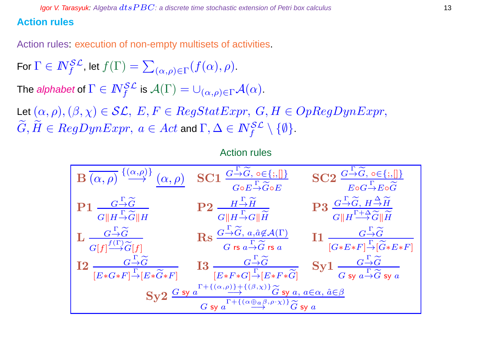#### **Action rules**

Action rules: execution of non-empty multisets of activities.

For  $\Gamma\in I\!\!N_f^{\mathcal{SL}}$ , let  $f(\Gamma)=\sum$  $_{(\alpha,\rho)\in\Gamma}(f(\alpha),\rho).$ 

The *alphabet* of  $\Gamma \in I\!\!N_f^{\mathcal{SL}}$  is  $\mathcal{A}(\Gamma) = \cup_{(\alpha,\rho) \in \Gamma} \mathcal{A}(\alpha).$ 

Let  $(\alpha, \rho),(\beta, \chi) \in \mathcal{SL}, E, F \in RegStatexpr, G, H \in OpRegDynExpr,$  $\widetilde{G},\widetilde{H}\in RegDynExpr, \ a\in Act$  and  $\Gamma,\Delta\in I\!\!N_f^{\mathcal{SL}}\setminus\{\emptyset\}.$ 

#### Action rules

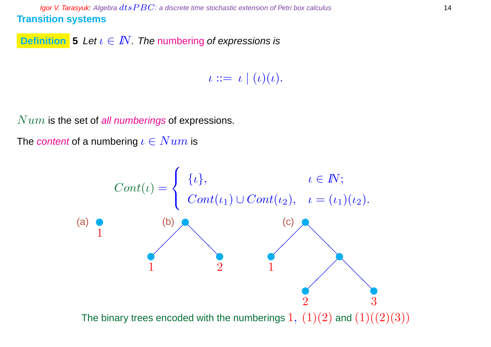Igor V. Tarasyuk: Algebra  $dtsPBC$ : a discrete time stochastic extension of Petri box calculus 14 **Transition systems**

**Definition 5** Let  $\iota \in I\!\!N$ . The numbering of expressions is

 $\iota ::= \iota \mid (\iota)(\iota).$ 

 $Num$  is the set of all numberings of expressions.

The content of a numbering  $\iota \in Num$  is

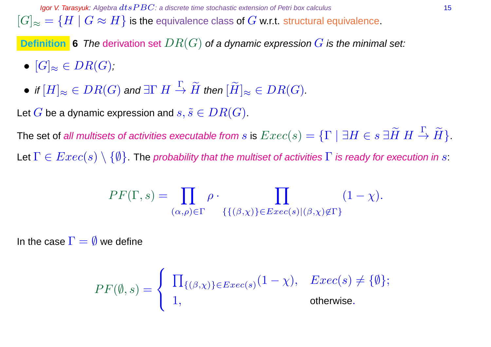**Igor V. Tarasyuk:** Algebra  $dt$ s  $PBC$ : a discrete time stochastic extension of Petri box calculus 15  $[G]_{\approx} = \{H \mid G \approx H\}$  is the equivalence class of  $G$  w.r.t. structural equivalence.

**Definition** 6 The derivation set  $DR(G)$  of a dynamic expression  $G$  is the minimal set:

- $[G]_{\approx} \in DR(G);$
- $\bullet$  if  $[H]_\approx \in DR(G)$  and  $\exists \Gamma~H\stackrel{\Gamma}{\to} \widetilde{H}$  then  $[\widetilde{H}]_\approx \in DR(G).$

Let G be a dynamic expression and  $s, \tilde{s} \in DR(G)$ .

The set of all multisets of activities executable from  $s$  is  $Exec(s)=\{\Gamma \mid \exists H\in s\ \exists \widetilde{H}\ H\stackrel{\Gamma}{\to} \widetilde{H}\}.$ Let  $\Gamma \in Excel(s) \setminus \{\emptyset\}$ . The probability that the multiset of activities  $\Gamma$  is ready for execution in s:

$$
PF(\Gamma, s) = \prod_{(\alpha, \rho) \in \Gamma} \rho \cdot \prod_{\{(\beta, \chi)\} \in E \text{vec}(s) | (\beta, \chi) \notin \Gamma\}} (1 - \chi).
$$

In the case  $\Gamma = \emptyset$  we define

$$
PF(\emptyset, s) = \begin{cases} \prod_{\{(\beta, \chi)\}\in \text{Exec}(s)} (1-\chi), & \text{Exec}(s) \neq \{\emptyset\}; \\ 1, & \text{otherwise.} \end{cases}
$$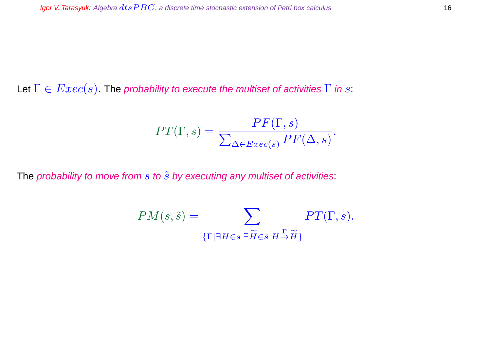Let  $\Gamma \in \text{Exec}(s)$ . The probability to execute the multiset of activities  $\Gamma$  in s:

$$
PT(\Gamma, s) = \frac{PF(\Gamma, s)}{\sum_{\Delta \in Excel(s)} PF(\Delta, s)}.
$$

The probability to move from  $s$  to  $\tilde{s}$  by executing any multiset of activities:

$$
PM(s, \tilde{s}) = \sum_{\{\Gamma \mid \exists H \in s \ \exists \widetilde{H} \in \tilde{s} \ H \to \widetilde{H}\}} PT(\Gamma, s).
$$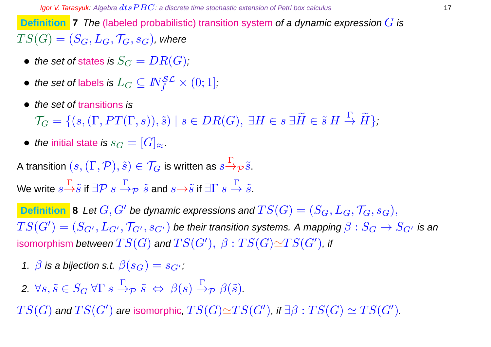**Definition 7** The (labeled probabilistic) transition system of a dynamic expression G is  $TS(G) = (S_G, L_G, \mathcal{T}_G, s_G)$ , where

- the set of states is  $S_G = DR(G)$ ;
- $\bullet \ \textit{ the set of labels is } L_G \subseteq I\!\!N_f^{\mathcal{SL}} \times (0;1],$
- the set of transitions is

 $\mathcal{T}_G = \{ (s, (\Gamma, PT(\Gamma,s)), \tilde{s}) \mid s \in DR(G), \ \exists H \in s \ \exists \tilde{H} \in \tilde{s} \ H \stackrel{\Gamma}{\to} \tilde{H} \},\$ 

• the initial state is  $s_G = [G]_{\approx}$ .

A transition  $(s,(\Gamma,\mathcal{P}),\tilde{s})\in\mathcal{T}_G$  is written as  $s{\displaystyle \mathop{\to}\limits^{\Gamma}}_{\mathcal{P}}\tilde{s}.$ 

We write  $s{\mathop{\to}\limits^{\Gamma}}\tilde s$  if  $\exists {\mathcal{P}}\;s{\mathop{\to}\limits^{\Gamma}}\gamma\;\tilde s$  and  $s{\mathop{\to}\limits^{\to}}\tilde s$  if  $\exists {\Gamma}\;s{\mathop{\to}\limits^{\Gamma}}\tilde s.$ 

**Definition 8** Let  $G, G'$  be dynamic expressions and  $TS(G) = (S_G, L_G, \mathcal{T}_G, s_G),$  $TS(G')=(S_{G'},L_{G'},\mathcal{T}_{G'},s_{G'})$  be their transition systems. A mapping  $\beta:S_G\to S_{G'}$  is an isomorphism *between*  $TS(G)$  *and*  $TS(G'), \ \beta : TS(G) {\simeq} TS(G'),$  *if* 

- 1.  $\beta$  is a bijection s.t.  $\beta(s_G) = s_{G'}$ ;
- 2.  $\forall s, \tilde{s} \in S_G \ \forall \Gamma \ s \stackrel{\Gamma}{\rightarrow} \mathcal{P} \ \tilde{s} \Leftrightarrow \ \beta(s) \stackrel{\Gamma}{\rightarrow} \mathcal{P} \ \beta(\tilde{s}).$

 $TS(G)$  and  $TS(G')$  are isomorphic,  $TS(G) {\simeq} TS(G')$ , if  $\exists \beta: TS(G) \simeq TS(G').$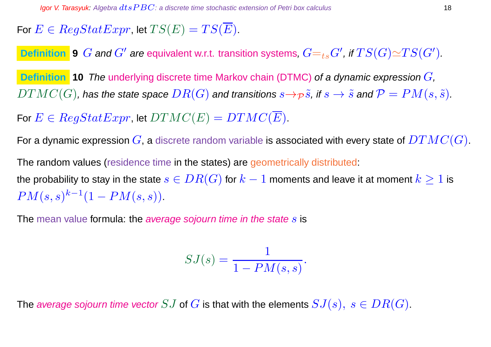## For  $E \in RegStatexpr$ , let  $TS(E) = TS(E)$ .

**Definition 9** G and  $G'$  are equivalent w.r.t. transition systems,  $G=_{ts}G'$ , if  $TS(G) {\simeq} TS(G').$ 

**Definition 10** The underlying discrete time Markov chain (DTMC) of a dynamic expression  $G$ ,  $DTMC(G)$ , has the state space  $DR(G)$  and transitions  $s \rightarrow p \tilde{s}$ , if  $s \rightarrow \tilde{s}$  and  $\mathcal{P} = PM(s, \tilde{s})$ .

For  $E \in RegStatexpr$ , let  $DTMC(E) = DTMC(\overline{E})$ .

For a dynamic expression  $G$ , a discrete random variable is associated with every state of  $DTMC(G)$ .

The random values (residence time in the states) are geometrically distributed:

the probability to stay in the state  $s \in DR(G)$  for  $k-1$  moments and leave it at moment  $k \geq 1$  is  $PM(s, s)^{k-1}(1 - PM(s, s)).$ 

The mean value formula: the *average sojourn time in the state s* is

$$
SJ(s) = \frac{1}{1 - PM(s, s)}.
$$

The average sojourn time vector  $SJ$  of  $G$  is that with the elements  $SJ(s), s \in DR(G)$ .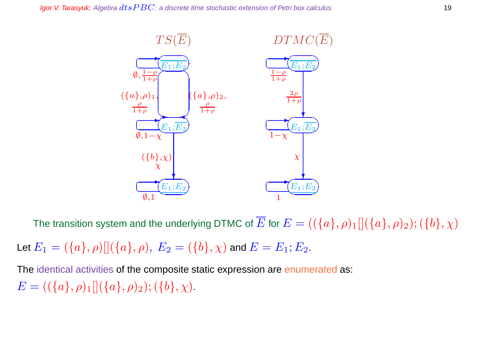

The transition system and the underlying DTMC of  $\overline{E}$  for  $E = ((\{a\}, \rho)_1 \| (\{a\}, \rho)_2)$ ;  $(\{b\}, \chi)$ 

Let  $E_1 = (\{a\}, \rho) [ (\{a\}, \rho), E_2 = (\{b\}, \chi)$  and  $E = E_1; E_2$ .

The identical activities of the composite static expression are enumerated as:  $E = ((\{a\}, \rho)_1 [](\{a\}, \rho)_2); (\{b\}, \chi).$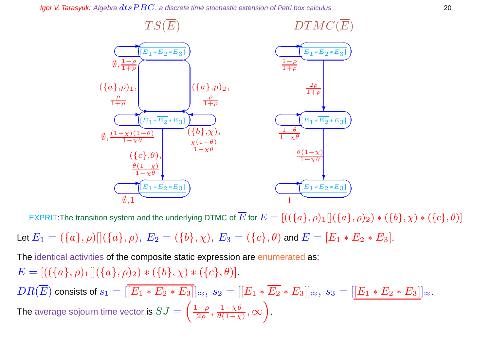**Igor V. Tarasyuk:** Algebra  $dt$ s  $PBC$ : a discrete time stochastic extension of Petri box calculus 20



EXPRIT:The transition system and the underlying DTMC of  $\overline{E}$  for  $E=[((\{a\}, \rho)_1][(\{a\}, \rho)_2)*(\{b\}, \chi)*(\{c\}, \theta)]$ 

Let  $E_1 = (\{a\}, \rho) [(\{a\}, \rho), E_2 = (\{b\}, \chi), E_3 = (\{c\}, \theta)$  and  $E = [E_1 * E_2 * E_3]$ .

The identical activities of the composite static expression are enumerated as:  $E = [((\{a\}, \rho)_1][(\{a\}, \rho)_2) * (\{b\}, \chi) * (\{c\}, \theta)].$  $DR(\overline{E})$  consists of  $s_1 = [\overline{[E_1 * E_2 * E_3]}]_{\approx}, s_2 = [\overline{[E_1 * E_2 * E_3]}]_{\approx}, s_3 = [\overline{[E_1 * E_2 * E_3]}]_{\approx}.$ 

The average sojourn time vector is  $SJ=$  $\left(1+\rho\right)$  $\frac{1+\rho}{2\rho},\,\frac{1-\chi\theta}{\theta(1-\chi)}$  $\frac{1-\chi\theta}{\theta(1-\chi)}, \infty$  $\overline{\phantom{0}}$ .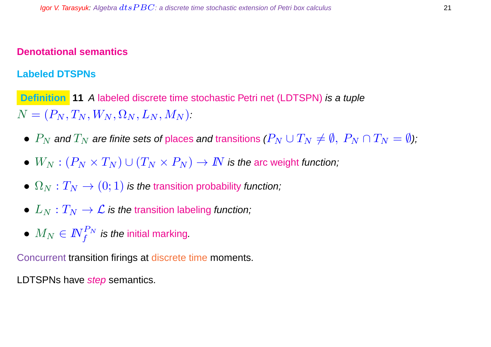#### **Denotational semantics**

#### **Labeled DTSPNs**

**Definition 11** A labeled discrete time stochastic Petri net (LDTSPN) is a tuple  $N = (P_N, T_N, W_N, \Omega_N, L_N, M_N).$ 

- $P_N$  and  $T_N$  are finite sets of places and transitions  $(P_N \cup T_N \neq \emptyset, P_N \cap T_N = \emptyset)$ ;
- $W_N : (P_N \times T_N) \cup (T_N \times P_N) \to \mathbb{N}$  is the arc weight function;
- $\Omega_N : T_N \to (0, 1)$  is the transition probability function;
- $L_N: T_N \to \mathcal{L}$  is the transition labeling function;
- $\bullet \ \ M_N \in I\!\!N_f^{P_N}$  is the initial marking.

Concurrent transition firings at discrete time moments.

LDTSPNs have step semantics.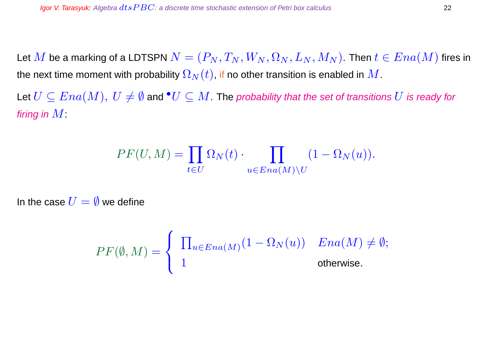Let M be a marking of a LDTSPN  $N = (P_N, T_N, W_N, \Omega_N, L_N, M_N)$ . Then  $t \in Ena(M)$  fires in the next time moment with probability  $\Omega_N(t)$ , if no other transition is enabled in  $M$ .

Let  $U\subseteq Ena(M),\, U\neq \emptyset$  and  ${}^{\bullet}U\subseteq M.$  The probability that the set of transitions  $U$  is ready for firing in  $M$ :

$$
PF(U, M) = \prod_{t \in U} \Omega_N(t) \cdot \prod_{u \in Ena(M) \setminus U} (1 - \Omega_N(u)).
$$

In the case  $U = \emptyset$  we define

$$
PF(\emptyset, M) = \begin{cases} \prod_{u \in Ena(M)} (1 - \Omega_N(u)) & Ena(M) \neq \emptyset; \\ 1 & \text{otherwise.} \end{cases}
$$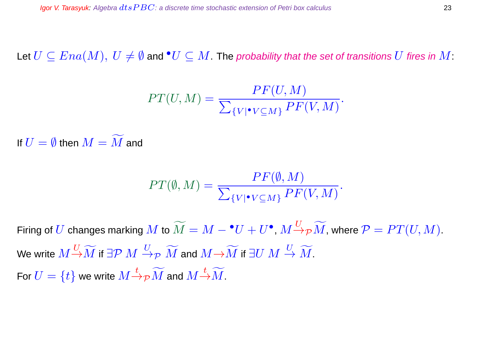Let  $U\subseteq Ena(M),\ U\neq \emptyset$  and  ${}^{\bullet}U\subseteq M.$  The probability that the set of transitions  $U$  fires in  $M:$ 

$$
PT(U, M) = \frac{PF(U, M)}{\sum_{\{V | \bullet V \subseteq M\}} PF(V, M)}.
$$

If  $U = \emptyset$  then  $M = \widetilde{M}$  and

$$
PT(\emptyset, M) = \frac{PF(\emptyset, M)}{\sum_{\{V | \bullet V \subseteq M\}} PF(V, M)}.
$$

Firing of  $U$  changes marking  $M$  to  $\widetilde{M}=M-\bullet U+U^\bullet$  ,  $M{\overset{U}{\to}}_{\mathcal P} \widetilde{M}$ , where  ${\mathcal P}=PT(U,M).$ We write  $M\Huge^{U}\to\widetilde{M}$  if  $\exists\mathcal{P} \ M\Huge^{U}\to_{\mathcal{P}} \widetilde{M}$  and  $M\!\to\!\widetilde{M}$  if  $\exists U\ M\Huge^{U}\to\widetilde{M}.$ For  $U=\{t\}$  we write  $M{\doteqdot \gamma} \widetilde{M}$  and  $M{\doteqdot \widetilde{M}}$ .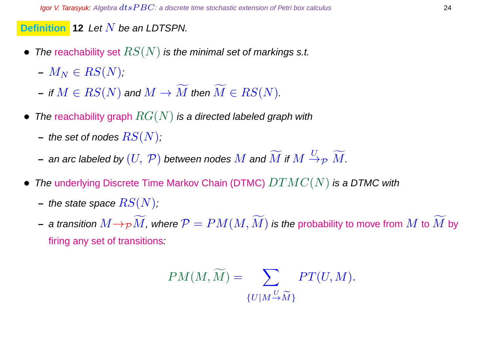### **Definition 12** Let N be an LDTSPN.

- The reachability set  $RS(N)$  is the minimal set of markings s.t.
	- $-M_N \in RS(N);$
	- $-$  if  $M \in RS(N)$  and  $M \to \widetilde{M}$  then  $\widetilde{M} \in RS(N)$ .
- The reachability graph  $RG(N)$  is a directed labeled graph with
	- $-$  the set of nodes  $RS(N);$
	- $-$  an arc labeled by  $(U,\,\mathcal{P})$  between nodes  $M$  and  $\widetilde{M}$  if  $M\stackrel{U}{\to}_\mathcal{P} \widetilde{M}.$
- The underlying Discrete Time Markov Chain (DTMC)  $DTMC(N)$  is a DTMC with
	- **–** the state space  $RS(N)$ ;
	- **−** a transition  $M \rightarrow_{\mathcal{P}} \widetilde{M}$ , where  $\mathcal{P} = PM(M, \widetilde{M})$  is the probability to move from  $M$  to  $\widetilde{M}$  by firing any set of transitions:

$$
PM(M, \widetilde{M}) = \sum_{\{U \mid M \to \widetilde{M}\}} PT(U, M).
$$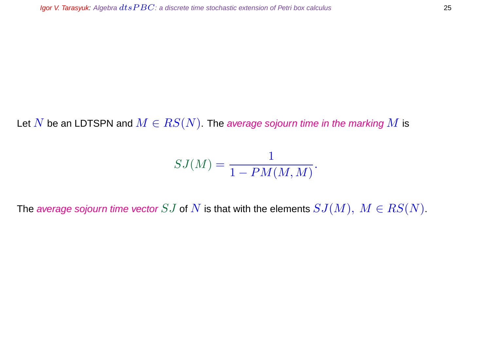Let N be an LDTSPN and  $M \in RS(N)$ . The average sojourn time in the marking M is

$$
SJ(M) = \frac{1}{1 - PM(M, M)}.
$$

The average sojourn time vector SJ of N is that with the elements  $SJ(M), M \in RS(N)$ .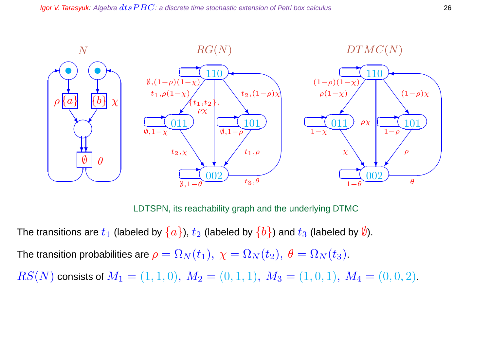

LDTSPN, its reachability graph and the underlying DTMC

The transitions are  $t_1$  (labeled by  $\{a\}$ ),  $t_2$  (labeled by  $\{b\}$ ) and  $t_3$  (labeled by  $\emptyset$ ).

The transition probabilities are  $\rho = \Omega_N(t_1), \ \chi = \Omega_N(t_2), \ \theta = \Omega_N(t_3).$ 

 $RS(N)$  consists of  $M_1 = (1, 1, 0), M_2 = (0, 1, 1), M_3 = (1, 0, 1), M_4 = (0, 0, 2).$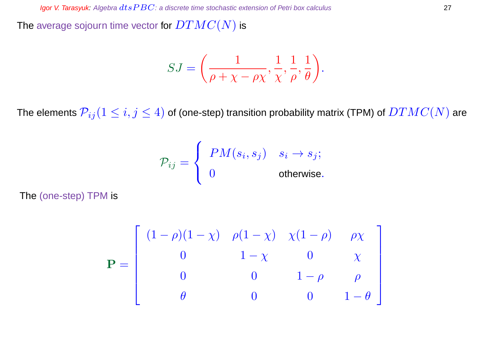The average sojourn time vector for  $DTMC(N)$  is

$$
SJ = \left(\frac{1}{\rho + \chi - \rho\chi}, \frac{1}{\chi}, \frac{1}{\rho}, \frac{1}{\theta}\right).
$$

The elements  $\mathcal{P}_{ij} (1 \leq i,j \leq 4)$  of (one-step) transition probability matrix (TPM) of  $DTMC(N)$  are

$$
\mathcal{P}_{ij} = \left\{ \begin{array}{ll} PM(s_i,s_j) & s_i \rightarrow s_j; \\ 0 & \text{otherwise.} \end{array} \right.
$$

The (one-step) TPM is

$$
\mathbf{P} = \begin{bmatrix} (1 - \rho)(1 - \chi) & \rho(1 - \chi) & \chi(1 - \rho) & \rho \chi \\ 0 & 1 - \chi & 0 & \chi \\ 0 & 0 & 1 - \rho & \rho \\ \theta & 0 & 0 & 1 - \theta \end{bmatrix}
$$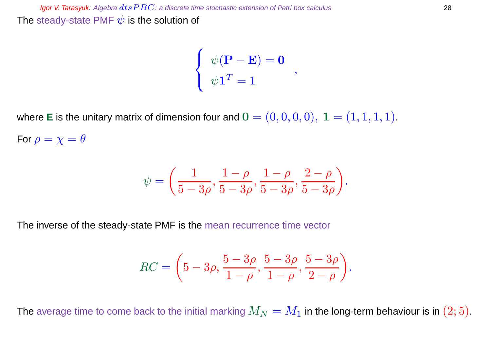$$
\begin{cases}\n\psi(\mathbf{P} - \mathbf{E}) = \mathbf{0} \\
\psi \mathbf{1}^T = 1\n\end{cases}
$$

where **E** is the unitary matrix of dimension four and  $\mathbf{0} = (0, 0, 0, 0), \mathbf{1} = (1, 1, 1, 1).$ For  $\rho = \chi = \theta$ 

$$
\psi = \left(\frac{1}{5-3\rho}, \frac{1-\rho}{5-3\rho}, \frac{1-\rho}{5-3\rho}, \frac{2-\rho}{5-3\rho}\right).
$$

The inverse of the steady-state PMF is the mean recurrence time vector

$$
RC = \left(5 - 3\rho, \frac{5 - 3\rho}{1 - \rho}, \frac{5 - 3\rho}{1 - \rho}, \frac{5 - 3\rho}{2 - \rho}\right).
$$

The average time to come back to the initial marking  $M_N = M_1$  in the long-term behaviour is in  $(2; 5)$ .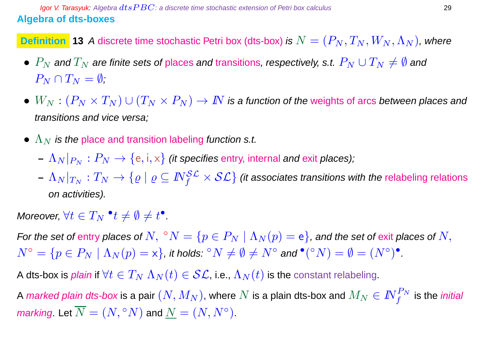**Definition** 13 A discrete time stochastic Petri box (dts-box) is  $N = (P_N, T_N, W_N, \Lambda_N)$ , where

- $P_N$  and  $T_N$  are finite sets of places and transitions, respectively, s.t.  $P_N \cup T_N \neq \emptyset$  and  $P_N \cap T_N = \emptyset$ ;
- $W_N:(P_N\times T_N)\cup (T_N\times P_N)\to I\!\!N$  is a function of the weights of arcs between places and transitions and vice versa;
- $\Lambda_N$  is the place and transition labeling function s.t.
	- $(-|\Lambda_N|_{P_N}:P_N\to\{\text{e},\text{i},\text{x}\}\)$  *(it specifies entry, internal and exit places);*
	- $-|\Lambda_N|_{T_N}:T_N\to\{ \varrho\mid\varrho\subseteq \mathit{N}_f^{\mathcal{SL}}\times\mathcal{SL}\}$  (it associates transitions with the relabeling relations on activities).

Moreover,  $\forall t \in T_N \;^\bullet t \neq \emptyset \neq t^\bullet$ .

For the set of entry places of  $N,~^{\circ}N=\{p\in P_N \mid \Lambda_N(p)=\mathsf{e}\}$ , and the set of exit places of  $N,$  $N^{\circ}=\{p\in P_N\mid \Lambda_N(p)=\mathsf{x}\},$  it holds:  ${}^{\circ}N\neq\emptyset\neq N^{\circ}$  and  ${}^{\bullet}({}^{\circ}N)=\emptyset=(N^{\circ})^{\bullet}.$ 

A dts-box is *plain* if  $\forall t \in T_N \Lambda_N(t) \in \mathcal{SL}$ , i.e.,  $\Lambda_N(t)$  is the constant relabeling.

A *marked plain dts-box* is a pair  $(N,M_N)$ , where  $N$  is a plain dts-box and  $M_N\in I\!\!N_f^{P_N}$  is the *initial* marking. Let  $\overline{N}=(N,{}^{\circ}N)$  and  $\underline{N}=(N,N^{\circ}).$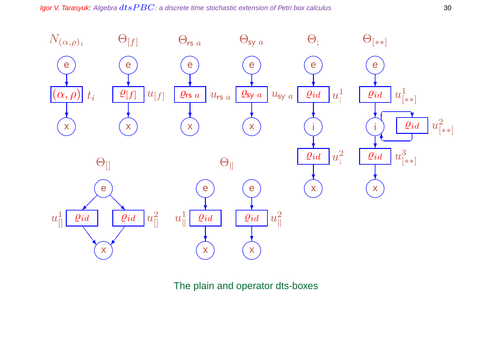Igor V. Tarasyuk: Algebra  $dtsPBC$ : a discrete time stochastic extension of Petri box calculus  $30$ 



The plain and operator dts-boxes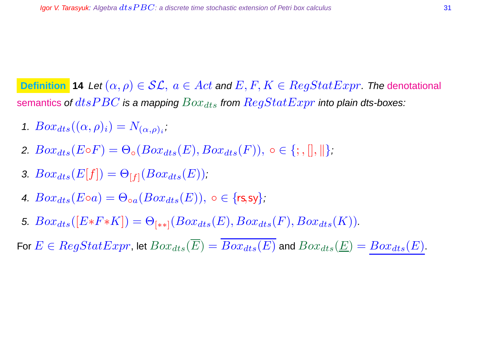**Definition 14** Let  $(\alpha, \rho) \in \mathcal{SL}$ ,  $a \in Act$  and  $E, F, K \in RegStatExpr$ . The denotational semantics of  $dtsPBC$  is a mapping  $Box_{dts}$  from  $RegStatExpr$  into plain dts-boxes:

- 1.  $Box_{dts}((\alpha, \rho)_i) = N_{(\alpha, \rho)_i},$
- 2.  $Box_{dts}(E \circ F) = \Theta_{\circ}(Box_{dts}(E), Box_{dts}(F)), \circ \in \{; , \|, \| \};$
- 3.  $Box_{dts}(E[f]) = \Theta_{[f]}(Box_{dts}(E));$
- 4.  $Box_{dts}(E \circ a) = \Theta_{\circ a}(Box_{dts}(E)), \circ \in \{rs, sy\};$
- 5.  $Box_{dts}([E*F*K]) = \Theta_{[**]}(Box_{dts}(E),Box_{dts}(F),Box_{dts}(K)).$

For  $E \in RegStatexpr$ , let  $Box_{dts}(\overline{E}) = \overline{Box_{dts}(E)}$  and  $Box_{dts}(\underline{E}) = Box_{dts}(E)$ .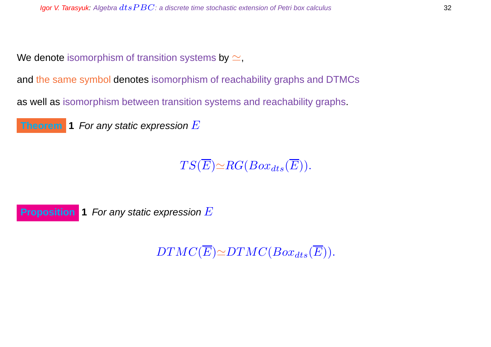We denote isomorphism of transition systems by  $\simeq$ ,

and the same symbol denotes isomorphism of reachability graphs and DTMCs

as well as isomorphism between transition systems and reachability graphs.



 $TS(\overline{E}) \simeq RG(Box_{dts}(\overline{E})).$ 

**Proposition 1** For any static expression E

 $DTMC(\overline{E}) \simeq DTMC(Box_{dts}(\overline{E})).$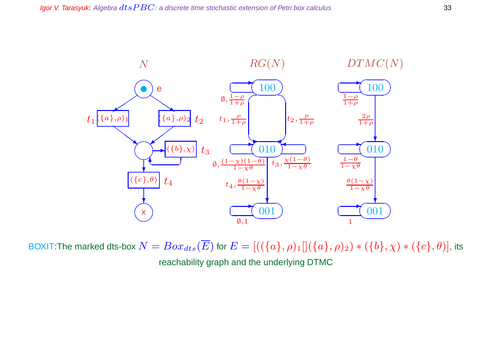

BOXIT:The marked dts-box  $N = Box_{dts}(\overline{E})$  for  $E = [((\{a\}, \rho)_1][(\{a\}, \rho)_2) * (\{b\}, \chi) * (\{c\}, \theta)]$ , its reachability graph and the underlying DTMC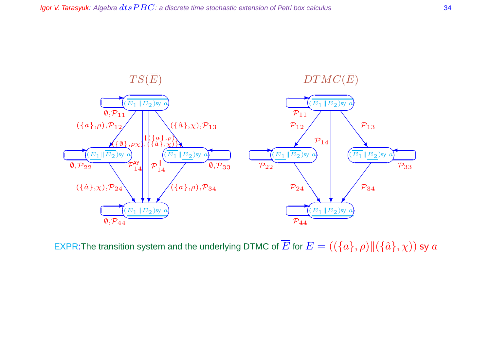

EXPR:The transition system and the underlying DTMC of  $\overline{E}$  for  $E = ((\{a\}, \rho) \| (\{\hat{a}\}, \chi))$  sy  $a$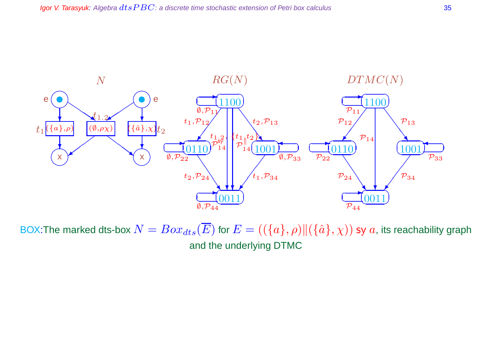

BOX:The marked dts-box  $N = Box_{dts}(\overline{E})$  for  $E = ((\{a\}, \rho) || (\{\hat{a}\}, \chi))$  sy  $a$ , its reachability graph and the underlying DTMC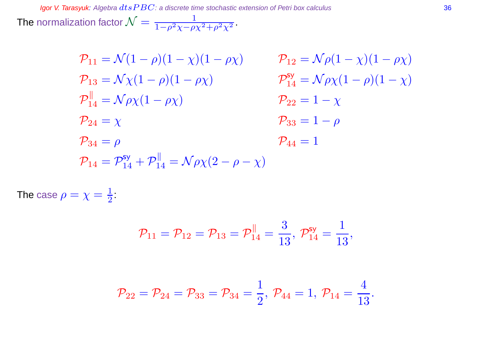Igor V. Tarasyuk: Algebra  $dtsPBC$ : a discrete time stochastic extension of Petri box calculus  $36$ The normalization factor  $\mathcal{N}=\frac{1}{1-\rho^2\chi-\rho\chi^2+\rho^2\chi^2}.$ 

$$
\mathcal{P}_{11} = \mathcal{N}(1 - \rho)(1 - \chi)(1 - \rho \chi) \qquad \mathcal{P}_{12} = \mathcal{N}\rho(1 - \chi)(1 - \rho \chi)
$$
  
\n
$$
\mathcal{P}_{13} = \mathcal{N}\chi(1 - \rho)(1 - \rho \chi) \qquad \mathcal{P}_{14}^{\text{sy}} = \mathcal{N}\rho\chi(1 - \rho)(1 - \chi)
$$
  
\n
$$
\mathcal{P}_{14}^{\parallel} = \mathcal{N}\rho\chi(1 - \rho \chi) \qquad \mathcal{P}_{22} = 1 - \chi
$$
  
\n
$$
\mathcal{P}_{24} = \chi \qquad \mathcal{P}_{33} = 1 - \rho
$$
  
\n
$$
\mathcal{P}_{34} = \rho \qquad \mathcal{P}_{44} = 1
$$
  
\n
$$
\mathcal{P}_{14} = \mathcal{P}_{14}^{\text{sy}} + \mathcal{P}_{14}^{\parallel} = \mathcal{N}\rho\chi(2 - \rho - \chi)
$$

The case  $\rho=\chi=\frac{1}{2}$  $\frac{1}{2}$ :

$$
\mathcal{P}_{11}=\mathcal{P}_{12}=\mathcal{P}_{13}=\mathcal{P}_{14}^{\parallel}=\frac{3}{13},\ \mathcal{P}_{14}^{\text{sy}}=\frac{1}{13},
$$

$$
\mathcal{P}_{22} = \mathcal{P}_{24} = \mathcal{P}_{33} = \mathcal{P}_{34} = \frac{1}{2}, \ \mathcal{P}_{44} = 1, \ \mathcal{P}_{14} = \frac{4}{13}.
$$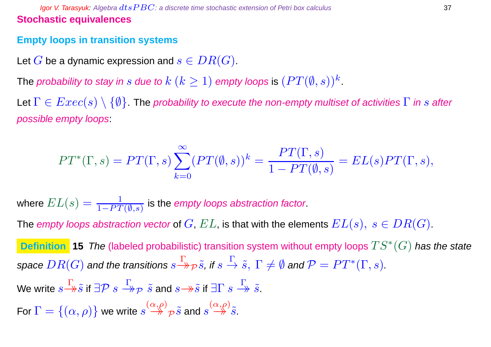### **Igor V. Tarasyuk:** Algebra  $dt$ s  $PBC$ : a discrete time stochastic extension of Petri box calculus  $37$ **Stochastic equivalences**

## **Empty loops in transition systems**

Let G be a dynamic expression and  $s \in DR(G)$ .

The probability to stay in  $s$  due to  $k$   $(k\geq 1)$  empty loops is  $(PT(\emptyset, s))^k$  .

Let  $\Gamma \in Excel(s) \setminus \{\emptyset\}$ . The probability to execute the non-empty multiset of activities  $\Gamma$  in s after possible empty loops:

$$
PT^*(\Gamma,s) = PT(\Gamma,s) \sum_{k=0}^{\infty} (PT(\emptyset,s))^k = \frac{PT(\Gamma,s)}{1 - PT(\emptyset,s)} = EL(s)PT(\Gamma,s),
$$

where  $EL(s)=\frac{1}{1-PT}$  $\frac{1}{1-P T(\emptyset,s)}$  is the empty loops abstraction factor.

The empty loops abstraction vector of  $G, EL$ , is that with the elements  $EL(s), s \in DR(G)$ .

Definition 15 The (labeled probabilistic) transition system without empty loops  $TS^*(G)$  has the state space  $DR(G)$  and the transitions  $s{\xrightarrow[]{\Gamma}}_{{\mathcal{P}}} \tilde{s}$ , if  $s \xrightarrow[]{\Gamma} \tilde{s}, \ \Gamma \neq \emptyset$  and  ${\mathcal{P}}=PT^*(\Gamma,s).$ 

We write  $s{\frac{\Gamma}{\to}}\tilde{s}$  if  $\exists \mathcal{P}\ s{\stackrel{\Gamma}{\to}\!\!\!\rightarrow} \tilde{s}$  and  $s{\to}\!\!\!\rightarrow\tilde{s}$  if  $\exists \Gamma\ s{\stackrel{\Gamma}{\to}\!\!\!\rightarrow} \tilde{s}.$ 

For  $\Gamma=\{(\alpha,\rho)\}$  we write  $s\mathop{\to}\limits^{\left(\alpha,\rho\right)}{}_{\mathcal{P}}\widetilde{s}$  and  $s\mathop{\to}\limits^{\left(\alpha,\rho\right)}\widetilde{s}.$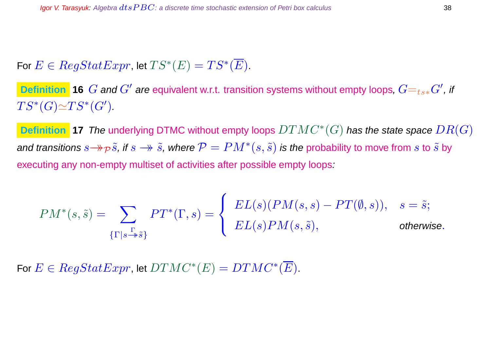# For  $E \in RegStatexpr$ , let  $TS^*(E)=TS^*(\overline{E}).$

**Definition 16**  $G$  and  $G'$  are equivalent w.r.t. transition systems without empty loops,  $G=_{ts*}G'$ , if  $TS^*(G)\widetilde{\simeq} TS^*(G').$ 

**Definition 17** The underlying DTMC without empty loops DTMC<sup>∗</sup> (G) has the state space DR(G) and transitions  $s{\to\!\!\to} \tilde s$ , if  $s\to \tilde s$ , where  ${\cal P}=PM^*(s,\tilde s)$  is the probability to move from  $s$  to  $\tilde s$  by executing any non-empty multiset of activities after possible empty loops:

$$
PM^*(s, \tilde{s}) = \sum_{\{\Gamma \mid s \stackrel{\Gamma}{\twoheadrightarrow} \tilde{s}\}} PT^*(\Gamma, s) = \begin{cases} EL(s)(PM(s, s) - PT(\emptyset, s)), & s = \tilde{s}; \\ EL(s)PM(s, \tilde{s}), & \text{otherwise.} \end{cases}
$$

For  $E \in RegStatexpr$ , let  $DTMC^*(E)=DTMC^*(\overline{E}).$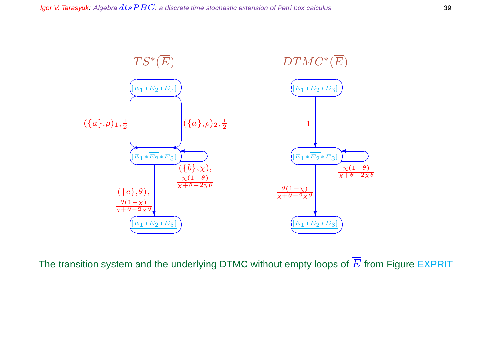

The transition system and the underlying DTMC without empty loops of  $\overline{E}$  from Figure EXPRIT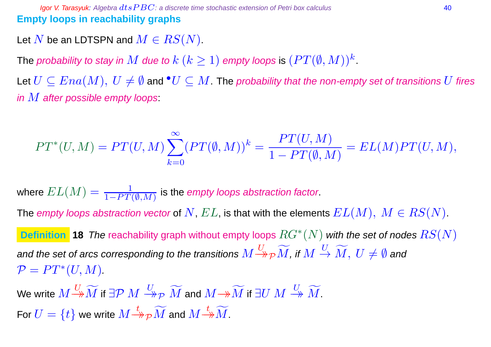**Igor V. Tarasyuk:** Algebra  $dt$ s  $PBC$ : a discrete time stochastic extension of Petri box calculus 40 **Empty loops in reachability graphs**

Let N be an LDTSPN and  $M \in RS(N)$ .

The probability to stay in  $M$  due to  $k$   $(k\geq 1)$  empty loops is  $(PT(\emptyset,M))^k$  .

Let  $U \subseteq Ena(M), U \neq \emptyset$  and  $^{\bullet}U \subseteq M$ . The probability that the non-empty set of transitions  $U$  fires in  $M$  after possible empty loops:

$$
PT^*(U,M) = PT(U,M) \sum_{k=0}^{\infty} (PT(\emptyset,M))^k = \frac{PT(U,M)}{1-PT(\emptyset,M)} = EL(M)PT(U,M),
$$

where  $EL(M)=\frac{1}{1-PT(M)}$  $\frac{1}{1-PT(\emptyset,M)}$  is the empty loops abstraction factor.

The empty loops abstraction vector of  $N$ ,  $EL$ , is that with the elements  $EL(M), M \in RS(N)$ .

**Definition** 18 The reachability graph without empty loops  $RG^*(N)$  with the set of nodes  $RS(N)$ and the set of arcs corresponding to the transitions  $M{\stackrel{U}{\to}}{}_{\cal P} \widetilde{M}$ , if  $M\stackrel{U}{\to}\widetilde{M},\ U\neq\emptyset$  and  $\mathcal{P} = PT^*(U, M).$ 

We write  $M\frac{U}{\twoheadrightarrow M}$  if ∃ ${\cal P}$   $M\stackrel{U}{\twoheadrightarrow} \widetilde{M}$  and  $M{\to} \widetilde{M}$  if ∃ $U$   $M\stackrel{U}{\twoheadrightarrow} \widetilde{M}$ . For  $U=\{t\}$  we write  $M{\mathop{\to }\limits^t} \gamma \widetilde M$  and  $M{\mathop{\to }\limits^t} \widetilde M.$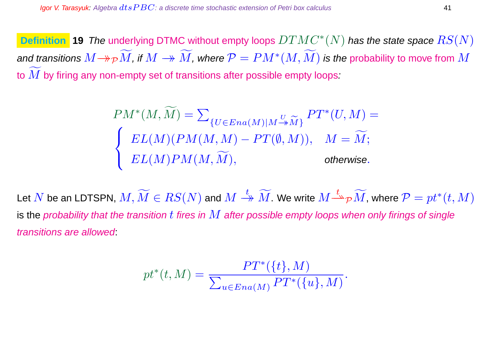**Definition 19 The underlying DTMC without empty loops**  $DTMC^{\ast}(N)$  **has the state space**  $RS(N)$ and transitions  $M \mathbin{\twoheadrightarrow} \rho M$ , if  $M \mathbin{\twoheadrightarrow} \widetilde{M}$ , where  $\mathcal{P} = PM^*(M, \widetilde{M})$  is the probability to move from  $M$ to  $M$  by firing any non-empty set of transitions after possible empty loops:

$$
PM^*(M, \widetilde{M}) = \sum_{\{U \in Ena(M)|M \to \widetilde{M}\}} PT^*(U, M) =
$$
  

$$
\begin{cases} EL(M)(PM(M, M) - PT(\emptyset, M)), & M = \widetilde{M}; \\ EL(M)PM(M, \widetilde{M}), & \text{otherwise.} \end{cases}
$$

Let  $N$  be an LDTSPN,  $M,\widetilde{M}\in RS(N)$  and  $M\stackrel{t}{\twoheadrightarrow}\widetilde{M}.$  We write  $M\stackrel{t}{\twoheadrightarrow}\widetilde{p}\widetilde{M}$ , where  $\mathcal{P}=pt^*(t,M)$ is the probability that the transition  $t$  fires in  $M$  after possible empty loops when only firings of single transitions are allowed:

$$
pt^*(t, M) = \frac{PT^*(\{t\}, M)}{\sum_{u \in Ena(M)} PT^*(\{u\}, M)}.
$$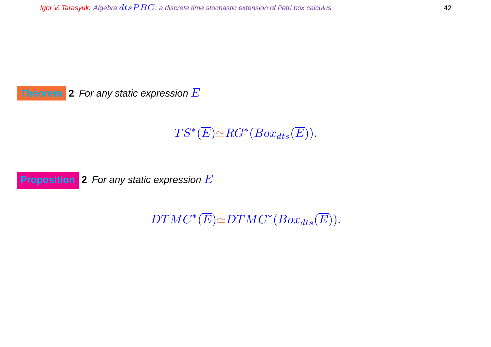**Theorem 2** For any static expression E

 $TS^*(\overline{E}){\simeq}RG^*(Box_{dts}(\overline{E})).$ 

**Proposition** 2 For any static expression E

 $DTMC^*(\overline{E}) \simeq DTMC^*(Box_{dts}(\overline{E})).$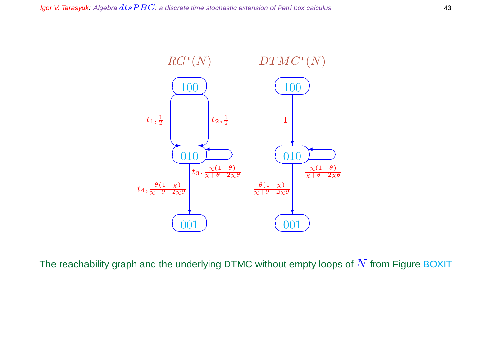

The reachability graph and the underlying DTMC without empty loops of  $N$  from Figure BOXIT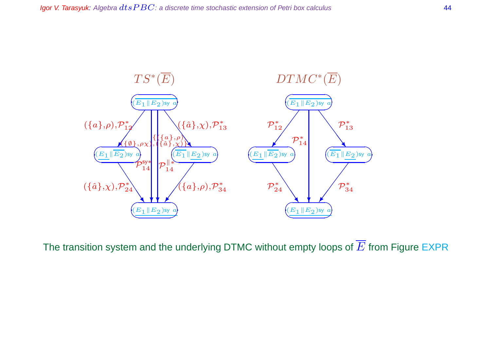

The transition system and the underlying DTMC without empty loops of  $\overline{E}$  from Figure EXPR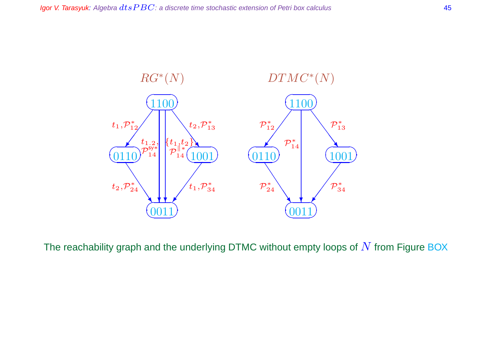

The reachability graph and the underlying DTMC without empty loops of  $N$  from Figure BOX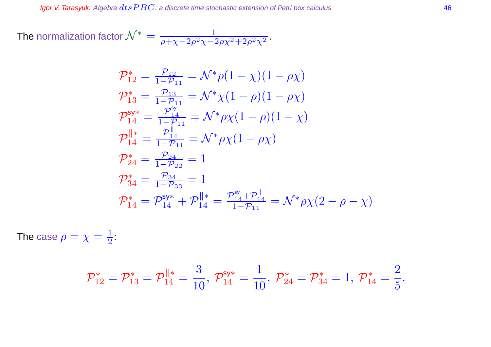The normalization factor  $\mathcal{N}^* = \frac{1}{\rho + \chi - 2\rho^2\chi - 2\rho\chi^2 + 2\rho^2\chi^2}$  .

$$
\mathcal{P}_{12}^{*} = \frac{\mathcal{P}_{12}}{1 - \mathcal{P}_{11}} = \mathcal{N}^{*} \rho (1 - \chi)(1 - \rho \chi)
$$
\n
$$
\mathcal{P}_{13}^{*} = \frac{\mathcal{P}_{13}}{1 - \mathcal{P}_{11}} = \mathcal{N}^{*} \chi (1 - \rho)(1 - \rho \chi)
$$
\n
$$
\mathcal{P}_{14}^{\text{sys}} = \frac{\mathcal{P}_{14}^{\text{sys}}}{1 - \mathcal{P}_{11}} = \mathcal{N}^{*} \rho \chi (1 - \rho)(1 - \chi)
$$
\n
$$
\mathcal{P}_{14}^{\parallel *} = \frac{\mathcal{P}_{14}^{\parallel}}{1 - \mathcal{P}_{11}} = \mathcal{N}^{*} \rho \chi (1 - \rho \chi)
$$
\n
$$
\mathcal{P}_{24}^{*} = \frac{\mathcal{P}_{24}}{1 - \mathcal{P}_{22}} = 1
$$
\n
$$
\mathcal{P}_{34}^{*} = \frac{\mathcal{P}_{34}}{1 - \mathcal{P}_{33}} = 1
$$
\n
$$
\mathcal{P}_{14}^{*} = \mathcal{P}_{14}^{\text{sys} *} + \mathcal{P}_{14}^{\parallel *} = \frac{\mathcal{P}_{14}^{\text{sys} *}}{1 - \mathcal{P}_{11}} = \mathcal{N}^{*} \rho \chi (2 - \rho - \chi)
$$

The case  $\rho=\chi=\frac{1}{2}$  $\frac{1}{2}$ :

$$
\mathcal{P}^*_{12}=\mathcal{P}^*_{13}=\mathcal{P}^{\parallel *}_{14}=\frac{3}{10},\ \mathcal{P}^{\mathsf{sy}*}_{14}=\frac{1}{10},\ \mathcal{P}^*_{24}=\mathcal{P}^*_{34}=1,\ \mathcal{P}^*_{14}=\frac{2}{5}.
$$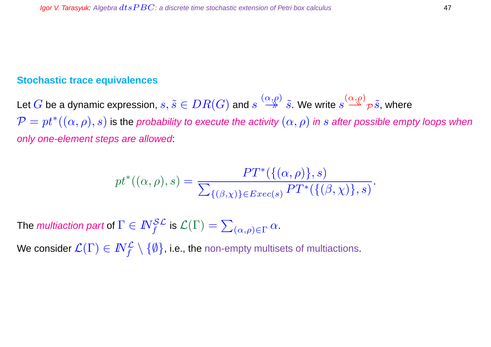#### **Stochastic trace equivalences**

Let  $G$  be a dynamic expression,  $s,\tilde{s}\in DR(G)$  and  $s\stackrel{(\alpha,\rho)}{\twoheadrightarrow}\tilde{s}.$  We write  $s\stackrel{(\alpha,\rho)}{\twoheadrightarrow}\rho\tilde{s},$  where  $\mathcal{P}=pt^*((\alpha,\rho),s)$  is the probability to execute the activity  $(\alpha,\rho)$  in  $s$  after possible empty loops when only one-element steps are allowed:

$$
pt^*((\alpha,\rho),s) = \frac{PT^*(\{(\alpha,\rho)\},s)}{\sum_{\{(\beta,\chi)\}\in Exc(s)}PT^*(\{(\beta,\chi)\},s)}.
$$

The *multiaction part* of  $\Gamma \in I\!\!N_f^{\mathcal{SL}}$  is  $\mathcal{L}(\Gamma) = \sum_{(\alpha,\rho) \in \Gamma} \alpha.$ 

We consider  $\mathcal{L}(\Gamma)\in I\!\!N_f^{\mathcal{L}}\setminus\{\emptyset\}$ , i.e., the non-empty multisets of multiactions.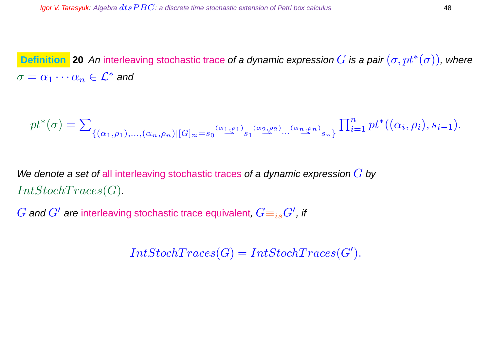**Definition** 20 An interleaving stochastic trace of a dynamic expression  $G$  is a pair  $(\sigma, pt^*(\sigma))$ , where  $\sigma=\alpha_1\cdots\alpha_n\in\mathcal{L}^*$  and

pt<sup>∗</sup> (σ) = P {(α1,ρ1),...,(αn,ρn)|[G]≈=s<sup>0</sup> (α1,ρ1) ⇀⇀ s<sup>1</sup> (α2,ρ2) ⇀⇀ ··· (αn,ρn) ⇀⇀ sn} Q<sup>n</sup> <sup>i</sup>=1 pt<sup>∗</sup> ((α<sup>i</sup> , ρi), si−1).

We denote a set of all interleaving stochastic traces of a dynamic expression  $G$  by  $IntStochTrace(G).$ 

 $G$  and  $G'$  are interleaving stochastic trace equivalent,  $G\!\equiv_{is} \!G'$  , if

 $IntStockTraces(G) = IntStockTraces(G').$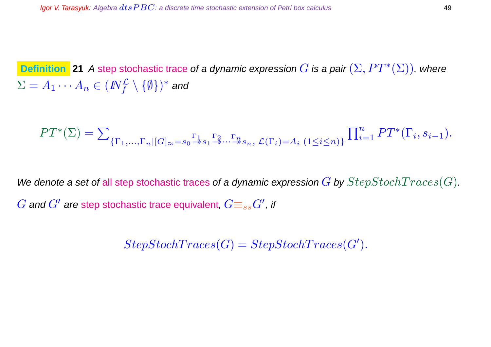**Definition** 21 A step stochastic trace of a dynamic expression  $G$  is a pair  $(\Sigma, PT^*(\Sigma))$ , where  $\Sigma=A_1\cdots A_n\in (I\!\!N_f^{\cal L}\setminus\{\emptyset\})^*$  and

$$
PT^*(\Sigma) = \sum_{\{\Gamma_1,\ldots,\Gamma_n | [G]_\approx = s_0 \stackrel{\Gamma_1}{\twoheadrightarrow} s_1 \stackrel{\Gamma_2}{\twoheadrightarrow} \cdots \stackrel{\Gamma_n}{\twoheadrightarrow} s_n, \mathcal{L}(\Gamma_i) = A_i \ (1 \le i \le n)\} } \prod_{i=1}^n PT^*(\Gamma_i, s_{i-1}).
$$

We denote a set of all step stochastic traces of a dynamic expression G by  $StepStochTrace(G)$ .  $G$  and  $G'$  are step stochastic trace equivalent,  $G\!\equiv_{ss} \!G'$  , if

 $StepStockTrace(G) = StepStockTrace(G').$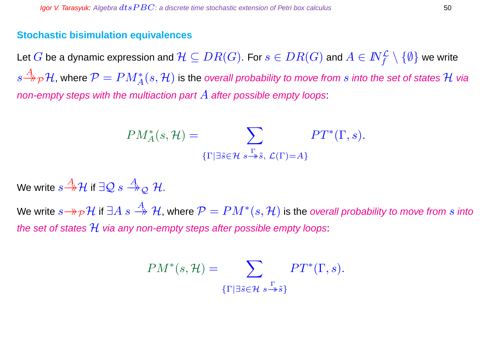#### **Stochastic bisimulation equivalences**

Let  $G$  be a dynamic expression and  $\mathcal{H}\subseteq DR(G).$  For  $s\in DR(G)$  and  $A\in I\!\!N_f^{\mathcal{L}}\setminus\{\emptyset\}$  we write  $s{\overset A \to \overline \to} {\cal H}$ , where  ${\cal P}=PM_A^*(s,{\cal H})$  is the overall probability to move from  $s$  into the set of states  ${\cal H}$  via non-empty steps with the multiaction part  $A$  after possible empty loops:

$$
PM_A^*(s, \mathcal{H}) = \sum_{\{\Gamma \mid \exists \tilde{s} \in \mathcal{H} \ s \stackrel{\Gamma}{\Rightarrow} \tilde{s}, \ \mathcal{L}(\Gamma) = A\}} PT^*(\Gamma, s).
$$

We write  $s{\overset{A}{\to}}{\mathcal H}$  if  $\exists{\mathcal Q}\ s\overset{A}{\twoheadrightarrow}_{\mathcal Q}{\mathcal H}.$ 

We write  $s{\to}\!{_\mathcal{P}}\mathcal{H}$  if  $\exists A\ s\stackrel{A}{\twoheadrightarrow}\mathcal{H}$ , where  $\mathcal{P}=PM^*(s,\mathcal{H})$  is the *overall probability to move from*  $s$  *into* the set of states  $H$  via any non-empty steps after possible empty loops:

$$
PM^*(s, \mathcal{H}) = \sum_{\{\Gamma \mid \exists \tilde{s} \in \mathcal{H}} \ s \stackrel{\Gamma}{\rightarrow} \tilde{s}\}} PT^*(\Gamma, s).
$$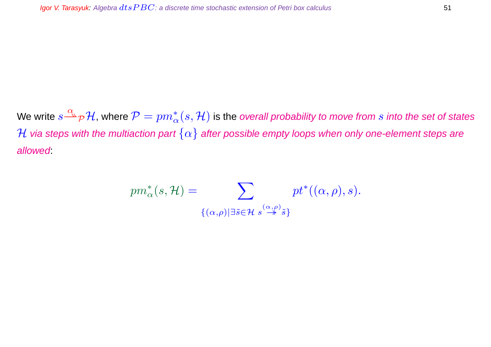We write  $s{\overset\alpha\rightharpoonup} \gamma\mathcal H$ , where  $\mathcal P=pm^*_\alpha(s,\mathcal H)$  is the *overall probability to move from*  $s$  *into the set of states* H via steps with the multiaction part  $\{\alpha\}$  after possible empty loops when only one-element steps are allowed:

$$
pm_{\alpha}^{*}(s,\mathcal{H}) = \sum_{\{(\alpha,\rho) | \exists \tilde{s} \in \mathcal{H} \ s^{\frac{(\alpha,\rho)}{\rightarrow} \tilde{s}\}}} pt^{*}((\alpha,\rho),s).
$$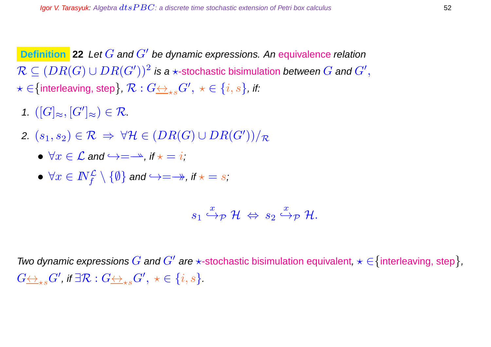**Definition** 22 Let G and G' be dynamic expressions. An equivalence relation  $\mathcal{R}\subseteq (DR(G)\cup DR(G'))^2$  is a  $\star$ -stochastic bisimulation *between*  $G$  *and*  $G',$  $\star\in\{\text{interleaving, step}\}$ ,  $\mathcal{R}: G\underline{\leftrightarrow}_{\star s} G',\ \star\in\{i,s\}$ , if:

- 1.  $([G]_{\approx}, [G']_{\approx}) \in \mathcal{R}$ .
- 2.  $(s_1, s_2) \in \mathcal{R} \Rightarrow \forall \mathcal{H} \in (DR(G) \cup DR(G'))/R$ 
	- $\forall x \in \mathcal{L}$  and  $\hookrightarrow = \rightarrow$ , if  $\star = i$ .
	- $\bullet \ \forall x\in I\!\!N_f^{\mathcal{L}}\setminus\{\emptyset\}$  and  $\hookrightarrow=\to$ , if  $\star=s$ ;

$$
s_1 \stackrel{x}{\hookrightarrow} _{\mathcal{P}} \mathcal{H} \; \Leftrightarrow \; s_2 \stackrel{x}{\hookrightarrow} _{\mathcal{P}} \mathcal{H}.
$$

Two dynamic expressions  $G$  and  $G'$  are  $\star$ -stochastic bisimulation equivalent,  $\star \in$  {interleaving, step},  $G {\leftrightarrow}_{\star s} G'$ , if  $\exists \mathcal{R}: G {\leftrightarrow}_{\star s} G', \ \star \in \{i,s\}.$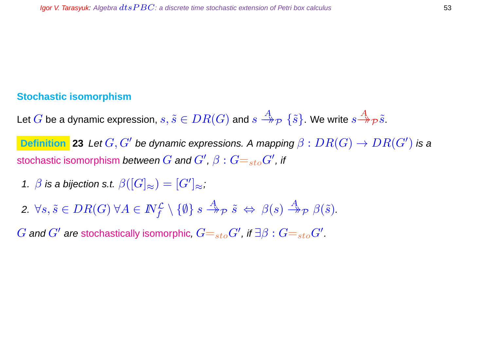### **Stochastic isomorphism**

Let  $G$  be a dynamic expression,  $s, \tilde{s}\in DR(G)$  and  $s\stackrel{A}{\twoheadrightarrow}_{\mathcal{P}}\{\tilde{s}\}$ . We write  $s\stackrel{A}{\twoheadrightarrow}_{\mathcal{P}}\tilde{s}.$ 

**Definition** 23 Let  $G, G'$  be dynamic expressions. A mapping  $\beta: DR(G)\to DR(G')$  is a stochastic isomorphism *between*  $G$  *and*  $G',\beta:G\!\!=_{\mathop{sto}} G',$  *if* 

- 1.  $\beta$  is a bijection s.t.  $\beta([G]_{\approx})=[G']_{\approx}$ ;
- $2. \ \forall s, \tilde{s} \in DR(G) \ \forall A \in \mathbb{N}_f^{\mathcal{L}} \setminus \{\emptyset\} \ s \stackrel{A}{\twoheadrightarrow} _{\mathcal{P}} \tilde{s} \ \Leftrightarrow \ \beta(s) \stackrel{A}{\twoheadrightarrow} _{\mathcal{P}} \beta(\tilde{s}).$

 $G$  and  $G'$  are stochastically isomorphic,  $G{=}_{sto}G'$ , if  $\exists \beta: G{=}_{sto}G'.$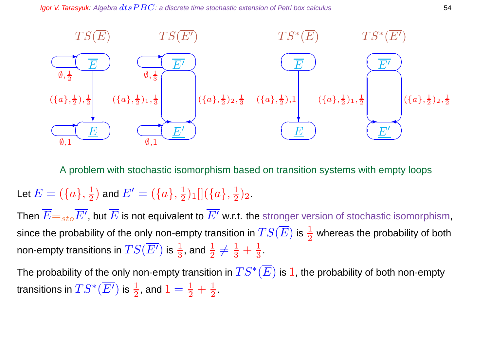

A problem with stochastic isomorphism based on transition systems with empty loops

#### Let  $E=(\{a\},\frac{1}{2})$  $(\frac{1}{2})$  and  $E'=(\{a\},\frac{1}{2})$  $\frac{1}{2})_1[](\{a\},\frac{1}{2})$  $\frac{1}{2}$ )<sub>2</sub>.

Then  $\overline{E}{=}_{sto}\overline{E' }$ , but  $\overline{E}$  is not equivalent to  $\overline{E'}$  w.r.t. the stronger version of stochastic isomorphism, since the probability of the only non-empty transition in  $TS(\overline{E})$  is  $\frac{1}{2}$  whereas the probability of both non-empty transitions in  $TS(\overline{E'})$  is  $\frac{1}{3}$ , and  $\frac{1}{2}\neq\frac{1}{3}+\frac{1}{3}$  $\frac{1}{3}$ .

The probability of the only non-empty transition in  $TS^*(\overline{E})$  is  $1$ , the probability of both non-empty transitions in  $TS^*(\overline{E'})$  is  $\frac{1}{2}$ , and  $1=\frac{1}{2}+\frac{1}{2}$  $\frac{1}{2}$ .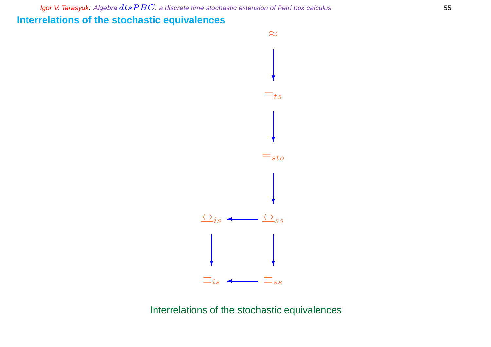Igor V. Tarasyuk: Algebra  $dtsPBC$ : a discrete time stochastic extension of Petri box calculus  $55$ **Interrelations of the stochastic equivalences**



Interrelations of the stochastic equivalences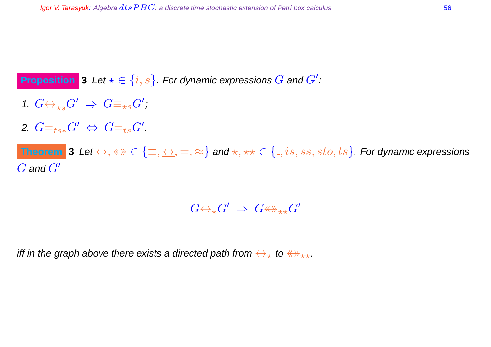# **Proposition** 3 Let  $\star \in \{i, s\}$ . For dynamic expressions  $G$  and  $G'$ :

- 1.  $G \leftrightarrow_{\star s} G' \Rightarrow G \equiv_{\star s} G'$ ,
- 2.  $G=_{ts*}G' \Leftrightarrow G=_{ts}G'.$

 $\bf Theorem$   $\bf 3$  Let  $\leftrightarrow$  ,  $\leftrightarrow$   $\in$   $\{\equiv,\leftrightarrow,=,\approx\}$  and  $\star, \star\star \in$   $\{$   $\!,is,ss,sto,ts\}$  . For dynamic expressions  $G$  and  $G'$ 

 $G {\leftrightarrow_\star} G' \;\Rightarrow\; G {\leftrightarrow\!\!\!\!\!\!\!\!\!\!\!\!\!\!\ {}^{\scriptstyle \star}\times} G'$ 

iff in the graph above there exists a directed path from  $\leftrightarrow_{\star}$  to  $\leftrightarrow_{\star\star}$ .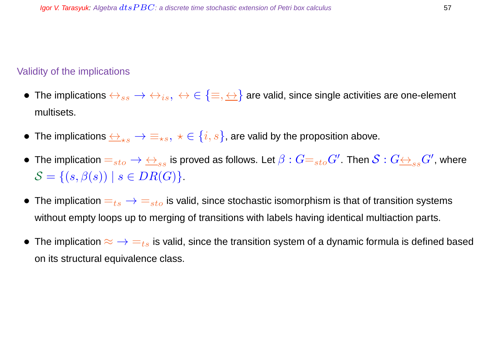#### Validity of the implications

- The implications  $\leftrightarrow_{ss} \to \leftrightarrow_{is}, \leftrightarrow \in \{\equiv,\leftrightarrow\}$  are valid, since single activities are one-element multisets.
- The implications  $\leftrightarrow_{\star s} \rightarrow \equiv_{\star s}, \star \in \{i, s\}$ , are valid by the proposition above.
- $\bullet~$  The implication  $=_{sto}\to\,\leftrightarrow_{ss}$  is proved as follows. Let  $\beta:G=_{sto}G'.$  Then  $\mathcal{S}:G\leftrightarrow_{ss}G'.$  where  $S = \{(s, \beta(s)) \mid s \in DR(G)\}.$
- The implication  $=_{ts} \rightarrow =_{sto}$  is valid, since stochastic isomorphism is that of transition systems without empty loops up to merging of transitions with labels having identical multiaction parts.
- The implication  $\approx$   $\rightarrow$   $=_{ts}$  is valid, since the transition system of a dynamic formula is defined based on its structural equivalence class.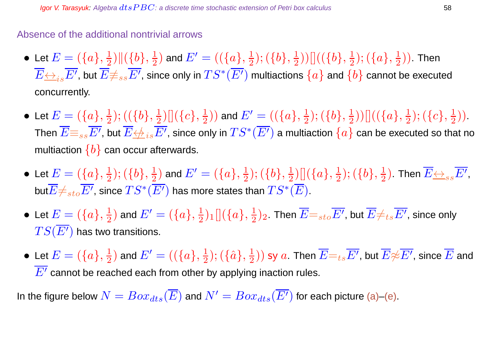### Absence of the additional nontrivial arrows

- $\bullet\,$  Let  $E=(\{a\},\frac{1}{2})$  $\frac{1}{2})\|(\{b\},\frac{1}{2}$  $(\{\overline{a}\},\frac{1}{2})$  and  $E'=((\{a\},\frac{1}{2})$  $(\{b\},\frac{1}{2})$  $(\frac12))[[((\{b\},\frac12$  $(\{a\},\frac{1}{2})$  $(\frac{1}{2})$ ). Then  $\overline{E}\overline{\leftrightarrow}_{is}\overline{E'}$ , but  $\overline{E}\not\equiv_{ss}\overline{E'}$ , since only in  $TS^*(\overline{E'})$  multiactions  $\{a\}$  and  $\{b\}$  cannot be executed concurrently.
- $\bullet\,$  Let  $E=(\{a\},\frac{1}{2})$  $(\{b\},\frac{1}{2})$  $\frac{1}{2}) [ \big] (\big\{ c \big\}, \frac{1}{2}$  $(\{\overline{a}\})$  and  $E' = ((\{a\},\frac{1}{2})$  $(\{b\},\frac{1}{2})$  $(\overline{\{a\}},\frac{1}{2}))[]((\overline{\{a\}},\frac{1}{2}% ,\overline{\{a\}}))[\overline{\{a\}}]$  $(\{c\},\frac{1}{2})$  $\frac{1}{2})$ . Then  $\overline{E}\mathop{\equiv_{ss}}\overline{E'}$ , but  $\overline{E}\mathop{\leftrightarrow}\limits_{is}\overline{E'}$ , since only in  $TS^*(\overline{E'})$  a multiaction  $\{a\}$  can be executed so that no multiaction  ${b}$  can occur afterwards.
- $\bullet\,$  Let  $E=(\{a\},\frac{1}{2})$  $(\{b\},\frac{1}{2})$  $(\frac{1}{2})$  and  $E'=(\{a\},\frac{1}{2})$  $(\{b\},\frac{1}{2})$  $\frac{1}{2}) [ \, ] (\{a\},\frac{1}{2}$  $(\{b\},\frac{1}{2})$  $(\frac{1}{2})$ . Then  $\overline{E{\leftrightarrow_{ss}}}\overline{E'},$ but $\overline{E} \neq_{sto} \overline{E'}$ , since  $TS^*(\overline{E'})$  has more states than  $TS^*(\overline{E})$ .
- $\bullet\,$  Let  $E=(\{a\},\frac{1}{2})$  $(\frac{1}{2})$  and  $E'=(\{a\},\frac{1}{2})$  $\frac{1}{2})_1[](\{a\},\frac{1}{2})$  $(\frac{1}{2})_2$  . Then  $\overline{E}\mathord{=}_{sto}\overline{E'}$ , but  $\overline{E}\mathord{\neq}_{ts}\overline{E'}$ , since only  $TS(\overline{E'})$  has two transitions.
- Let  $E = (\{a\}, \frac{1}{2})$  $(\frac{1}{2})$  and  $E' = ((\{a\},\frac{1}{2})$  $(\{\hat{a}\},\frac{1}{2})$  $(\frac{1}{2}))$  sy  $a$ . Then  $\overline{E}\text{=}_{ts}\overline{E'}$ , but  $\overline{E}\text{\#}\overline{E'}$ , since  $\overline{E}$  and  $\overline{E'}$  cannot be reached each from other by applying inaction rules.

In the figure below  $N = Box_{dts}(\overline{E})$  and  $N' = Box_{dts}(\overline{E'})$  for each picture (a)–(e).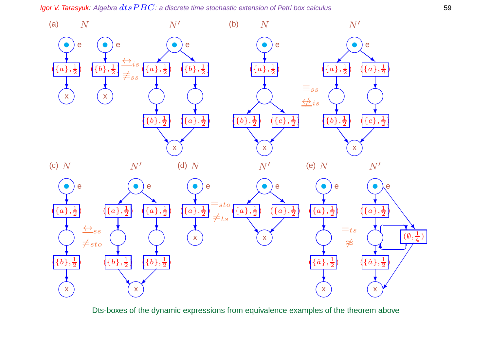Igor V. Tarasyuk: Algebra  $dtsPBC$ : a discrete time stochastic extension of Petri box calculus 59



Dts-boxes of the dynamic expressions from equivalence examples of the theorem above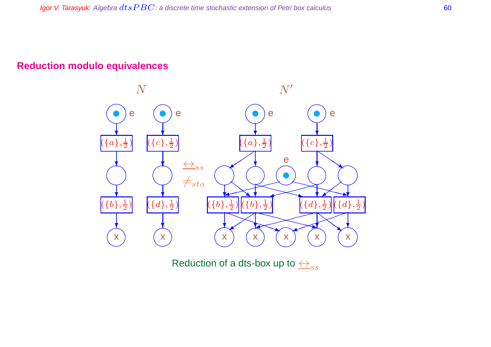## **Reduction modulo equivalences**



Reduction of a dts-box up to  $\overleftrightarrow{\rightarrow}_{ss}$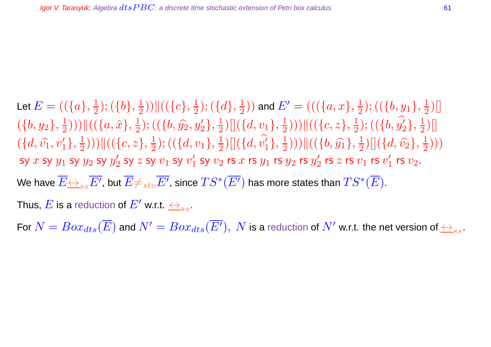Let  $E=((\{a\},\frac{1}{2}% ,\dots,\hat{a})\in\mathcal{C}^{2n})$  $(\{b\},\frac{1}{2})$  $\frac{1}{2})\big)\big\|\big(\big\{c\big\},\frac{1}{2}\big)$  $(\{d\},\frac{1}{2})$  $(\frac{1}{2})$ ) and  $E'=((\{a,x\},\frac{1}{2})$  $(\{\b},y_1\},\frac{1}{2})$  $\frac{1}{2}$ ]  $(\{b,y_2\},\frac{1}{2})$  $(\frac{1}{2}))\big)\|((\{a,\hat{x}\},\frac{1}{2}% ,a)=\{a,b\}$  $(\{\b},\widehat{y_2},y_2'\},\frac{1}{2})$  $\frac{1}{2}) [ \left] (\{d,v_1\},\frac{1}{2}$  $(\frac{1}{2}))\big)\big\|\big(\big\{c,z\big\},\frac{1}{2}\big\}$  $\frac{1}{2}); ((\{b,y^{\prime}_2$  $\{{1\over 2}\},\,{1\over 2}$  $\frac{1}{2}$ ]  $(\{d, \hat{v_1}, v'_1\}, \frac{1}{2})$  $(\frac{1}{2}))\big)\big\|\big(\big\{c,z\big\},\frac{1}{2}\big\}$  $(\{\{d,v_1\},\frac{1}{2})$  $\frac{1}{2}) [ ] (\{ d, v_1'$  $\{{1\over 2}\},\,{1\over 2}$  $(\frac{1}{2}))\big)\|((\{b,\widehat{y_1}\},\frac{1}{2}))$  $\frac{1}{2}) [ ] (\{d, \widehat{v_2}\}, \frac{1}{2}$  $\frac{1}{2})$ sy  $x$  sy  $y_1$  sy  $y_2$  sy  $y_2^\prime$  $v_2'$  sy  $z$  sy  $v_1$  sy  $v_1'$  $_1^{\prime}$  sy  $v_2$  rs  $x$  rs  $y_1$  rs  $y_2$  rs  $y_2^{\prime}$  $\frac{\prime}{2}$  rs  $z$  rs  $v_1$  rs  $v_1'$  $_1^\prime$  rs  $v_2$  . We have  $\overline{E}\overline{\leftrightarrow}_{ss}\overline{E'}$ , but  $\overline{E}\neq_{sto}\overline{E'}$ , since  $TS^*(\overline{E'})$  has more states than  $TS^*(\overline{E})$ . Thus,  $E$  is a reduction of  $E'$  w.r.t.  $\leftrightarrow_{ss}$ .

For  $N=Box_{dts}(\overline{E})$  and  $N'=Box_{dts}(\overline{E'}) ,~N$  is a reduction of  $N'$  w.r.t. the net version of  $\leftrightarrow_{ss}.$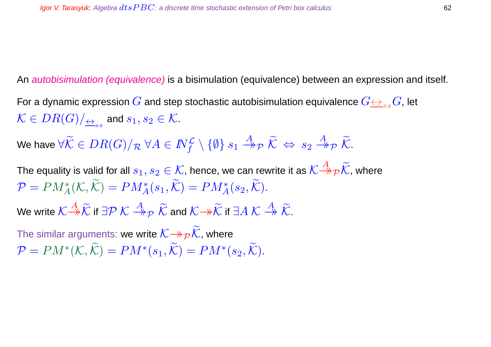An *autobisimulation (equivalence)* is a bisimulation (equivalence) between an expression and itself.

For a dynamic expression G and step stochastic autobisimulation equivalence  $G \leftrightarrow_{ss} G$ , let  $\mathcal{K}\in DR(G)/_{\overline{\leftrightarrow}_{ss}}$  and  $s_1,s_2\in\mathcal{K}.$ 

We have  $\forall \widetilde{\mathcal{K}}\in DR(G)/_{\mathcal{R}}\ \forall A\in I\!\!N_f^{\mathcal{L}}\setminus\{\emptyset\}\ s_1\stackrel{A}{\twoheadrightarrow}_{\mathcal{P}}\widetilde{\mathcal{K}}\ \Leftrightarrow\ s_2\stackrel{A}{\twoheadrightarrow}_{\mathcal{P}}\widetilde{\mathcal{K}}.$ 

The equality is valid for all  $s_1,s_2\in\mathcal{K}$ , hence, we can rewrite it as  $\mathcal{K}\mathop{\to}\limits^{A}\mathcal{P}\widetilde{\mathcal{K}}$ , where  $P = PM_A^*(\mathcal{K}, \tilde{\mathcal{K}}) = PM_A^*(s_1, \tilde{\mathcal{K}}) = PM_A^*(s_2, \tilde{\mathcal{K}}).$ 

We write  $\mathcal{K} \mathop{\to}^A \widetilde{\mathcal{K}}$  if  $\exists \mathcal{P} \ \mathcal{K} \mathop{\to}^A_{\mathcal{P}} \ \widetilde{\mathcal{K}}$  and  $\mathcal{K} \mathop{\to}^A \widetilde{\mathcal{K}}$  if  $\exists A \ \mathcal{K} \mathop{\to}^A \widetilde{\mathcal{K}}.$ 

The similar arguments: we write  $\mathcal{K}\rightarrow\mathcal{P}\mathcal{K}$ , where  $\mathcal{P} = PM^*(\mathcal{K}, \tilde{\mathcal{K}}) = PM^*(s_1, \tilde{\mathcal{K}}) = PM^*(s_2, \tilde{\mathcal{K}}).$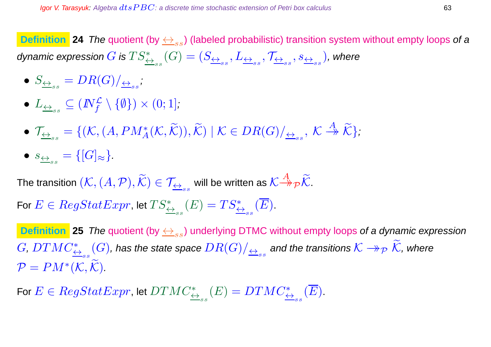**Definition** 24 The quotient (by  $\leftrightarrow_{ss}$ ) (labeled probabilistic) transition system without empty loops of a dynamic expression  $G$  is  $TS^*_{\leftrightarrow_{ss}}(G)=(S_{\leftrightarrow_{ss}},L_{\leftrightarrow_{ss}},\mathcal{T}_{\leftrightarrow_{ss}},s_{\leftrightarrow_{ss}})$ , where

- $\bullet \ \ S_{\overleftarrow{\leftrightarrow}_{ss}}=DR(G)/_{\overleftarrow{\leftrightarrow}_{ss}},$
- $\bullet$   $L_{\overrightarrow{\leftrightarrow}_{ss}}\subseteq (I\!\!N_f^{\mathcal{L}}\setminus\{\emptyset\})\times (0;1],$
- $\mathcal{T}_{\underline{\leftrightarrow}_{ss}} = \{(\mathcal{K}, (A, PM_A^*(\mathcal{K}, \widetilde{\mathcal{K}})), \widetilde{\mathcal{K}}) \mid \mathcal{K} \in DR(G)/_{\overline{\leftrightarrow}_{ss}}, \ \mathcal{K} \stackrel{A}{\rightarrow} \widetilde{\mathcal{K}}\},\$
- $\bullet \; s_{\underbrace{\leftrightarrow}_{ss}} = \{[G]_{\approx}\}.$

The transition  $(\mathcal{K},(A,\mathcal{P}),\widetilde{\mathcal{K}})\in\mathcal{T}_{\overline{\leftrightarrow}_{ss}}$  will be written as  $\mathcal{K}{\overset{A}{\to}}_\mathcal{P} \widetilde{\mathcal{K}}.$ For  $E \in RegStatexpr$ , let  $TS^*_{\leftrightarrow_{ss}}(E)=TS^*_{\leftrightarrow_{ss}}(\overline{E}).$ 

**Definition** 25 The quotient (by  $\leftrightarrow_{ss}$ ) underlying DTMC without empty loops of a dynamic expression  $G,DTMC^*_{\triangleq_{ss}}(G)$ , has the state space  $DR(G)/_{\triangleq_{ss}}$  and the transitions  $\mathcal{K}\twoheadrightarrow_\mathcal{P} \widetilde{\mathcal{K}}$ , where  $\mathcal{P} = PM^{\ast}(\mathcal{K},\mathcal{K}).$ 

For  $E \in RegStatexpr$ , let  $DTMC^*_{\overleftrightarrow{\leftrightarrow}_{ss}}(E)=DTMC^*_{\overleftrightarrow{\leftrightarrow}_{ss}}(\overline{E}).$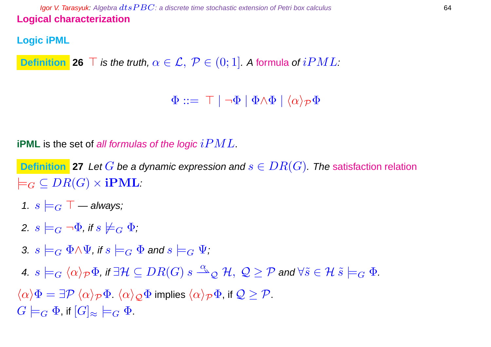**Igor V. Tarasyuk:** Algebra  $dt$ s  $PBC$ : a discrete time stochastic extension of Petri box calculus 64 **Logical characterization**

# **Logic iPML**

**Definition 26**  $\top$  *is the truth,*  $\alpha \in \mathcal{L}$ *,*  $\mathcal{P} \in (0,1]$ *. A formula of*  $iPML$ *:* 

 $\Phi ::= \top | \neg \Phi | \Phi \wedge \Phi | \langle \alpha \rangle_{\mathcal{P}} \Phi$ 

**iPML** is the set of all formulas of the logic  $iPML$ .

**Definition** 27 Let G be a dynamic expression and  $s \in DR(G)$ . The satisfaction relation  $\models_G \subseteq DR(G) \times iPML.$ 

- 1.  $s \models_G \top$  always;
- 2.  $s \models_G \neg \Phi$ , if  $s \not\models_G \Phi$ ;
- 3.  $s \models_G \Phi \land \Psi$ , if  $s \models_G \Phi$  and  $s \models_G \Psi$ ;
- 4.  $s\models_G \langle \alpha \rangle_\mathcal{P} \Phi$ , if  $\exists \mathcal{H}\subseteq DR(G) \ s\stackrel{\alpha}{\rightharpoonup}_\mathcal{Q} \mathcal{H},\ \mathcal{Q}\geq \mathcal{P}$  and  $\forall \widetilde{s}\in \mathcal{H}\ \widetilde{s}\models_G \Phi.$

 $\langle \alpha \rangle \Phi = \exists \mathcal{P} \langle \alpha \rangle_{\mathcal{P}} \Phi$ .  $\langle \alpha \rangle_{\mathcal{Q}} \Phi$  implies  $\langle \alpha \rangle_{\mathcal{P}} \Phi$ , if  $\mathcal{Q} \geq \mathcal{P}$ .  $G \models_G \Phi$ , if  $[G]_{\approx} \models_G \Phi$ .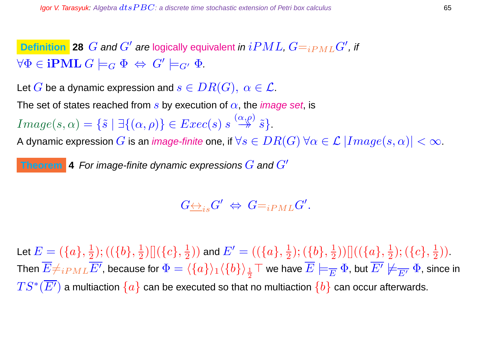**Definition** 28  $G$  and  $G'$  are logically equivalent in  $iPML$ ,  $G=_{iPML}G'$ , if  $\forall \Phi \in \mathbf{iPML} \ G \models_G \Phi \ \Leftrightarrow \ G' \models_{G'} \Phi.$ 

Let G be a dynamic expression and  $s\in DR(G),\ \alpha\in\mathcal{L}.$ 

The set of states reached from s by execution of  $\alpha$ , the *image set*, is

 $Image(s, \alpha) = \{\tilde{s} \mid \exists \{(\alpha, \rho)\}\in Excel(s) \ s \stackrel{(\alpha, \rho)}{\rightarrow} \tilde{s}\}.$ 

A dynamic expression  $G$  is an *image-finite* one, if  $\forall s \in DR(G)$   $\forall \alpha \in \mathcal{L} | Image(s, \alpha)| < \infty$ .

**Theorem** 4 For image-finite dynamic expressions  $G$  and  $G'$ 

 $G\underline{\leftrightarrow}_{is} G' \Leftrightarrow \ G=_{iPML} G'.$ 

Let  $E=(\{a\},\frac{1}{2})$  $(\{b\},\frac{1}{2})$  $\frac{1}{2}) [](\{c\},\frac{1}{2}%$  $(\{\overline{a}\},\frac{1}{2})$  and  $E'=((\{a\},\frac{1}{2})$  $(\{b\},\frac{1}{2})$  $(\overline{\{a\}},\frac{1}{2}))[]((\overline{\{a\}},\frac{1}{2}% ,\overline{\{a\}}))[\overline{\{a\}}]$  $(\{c\},\frac{1}{2})$  $\frac{1}{2})$ ). Then  $\overline{E}\#_{iPML}\overline{E'}$ , because for  $\Phi=\langle\{a\}\rangle_1\langle\{b\}\rangle_{\frac{1}{2}}\top$  we have  $\overline{E}\models_{\overline{E}}\Phi$ , but  $\overline{E'}\not\models_{\overline{E'}}\Phi$ , since in  $TS^*(\overline{E'})$  a multiaction  $\{a\}$  can be executed so that no multiaction  $\{b\}$  can occur afterwards.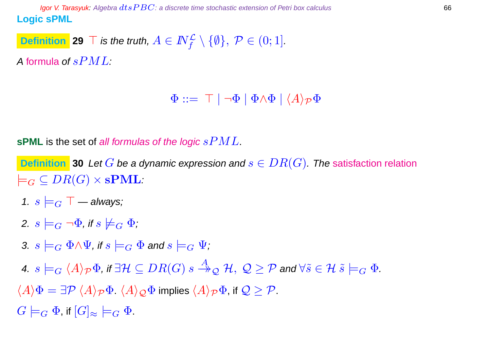**Igor V. Tarasyuk:** Algebra  $dt$ s  $PBC$ : a discrete time stochastic extension of Petri box calculus 66 **Logic sPML**

**Definition** 29  $\top$  *is the truth,*  $A \in I\!\!N_f^{\mathcal{L}} \setminus \{\emptyset\}, \ \mathcal{P} \in (0;1].$ 

A formula of  $sPML$ :

 $\Phi ::= \top | \neg \Phi | \Phi \wedge \Phi | \langle A \rangle_{\mathcal{P}} \Phi$ 

**sPML** is the set of all formulas of the logic  $sPML$ .

**Definition** 30 Let G be a dynamic expression and  $s \in DR(G)$ . The satisfaction relation  $\models_G \subseteq DR(G) \times \mathbf{sPML}.$ 

- 1.  $s \models_G \top$  always;
- 2.  $s \models_G \neg \Phi$ , if  $s \not\models_G \Phi$ ;
- 3.  $s \models_G \Phi \land \Psi$ , if  $s \models_G \Phi$  and  $s \models_G \Psi$ ;
- 4.  $s\models_G\langle A\rangle_\mathcal{P} \Phi$ , if  $\exists \mathcal{H}\subseteq DR(G) \ s\stackrel{A}{\twoheadrightarrow}_\mathcal{Q} \mathcal{H},\ \mathcal{Q}\geq \mathcal{P}$  and  $\forall \widetilde{s}\in \mathcal{H} \ \widetilde{s}\models_G \Phi.$
- $\langle A \rangle \Phi = \exists \mathcal{P} \langle A \rangle_{\mathcal{P}} \Phi$ .  $\langle A \rangle_{\mathcal{O}} \Phi$  implies  $\langle A \rangle_{\mathcal{P}} \Phi$ , if  $\mathcal{Q} \ge \mathcal{P}$ .

 $G \models_G \Phi$ , if  $[G]_{\approx} \models_G \Phi$ .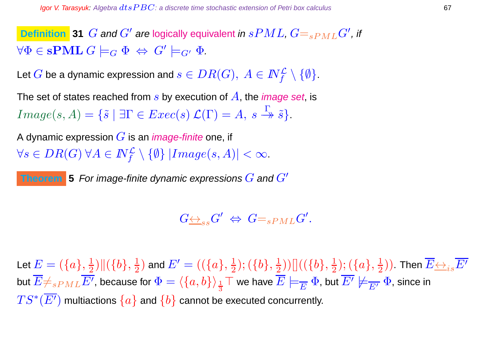**Definition** 31  $G$  and  $G'$  are logically equivalent in  $sPML$ ,  $G=_{sPML}G'$ , if  $\forall \Phi \in \mathbf{sPML} \ G \models_G \Phi \ \Leftrightarrow \ G' \models_{G'} \Phi.$ 

Let  $G$  be a dynamic expression and  $s\in DR(G),\ A\in I\!\!N_f^{\cal L}\setminus\{\emptyset\}.$ 

The set of states reached from s by execution of  $A$ , the *image set*, is  $Image(s, A) = {\tilde{s} \mid \exists \Gamma \in Excel(s) \mathcal{L}(\Gamma) = A, s \stackrel{\Gamma}{\rightarrow} \tilde{s}}.$ 

A dynamic expression  $G$  is an *image-finite* one, if  $\forall s \in DR(G) \ \forall A \in \mathbb{N}_{f}^{\mathcal{L}} \setminus \{\emptyset\} \ | Image(s,A)| < \infty.$ 

**Theorem** 5 For image-finite dynamic expressions  $G$  and  $G'$ 

 $G_{\overline{\leftrightarrow}_{\scriptscriptstyle SS}} G' \ \Leftrightarrow \ G{=_{sPML}} G'.$ 

Let  $E=(\{a\},\frac{1}{2})$  $\frac{1}{2})\|(\{b\},\frac{1}{2}$  $(\{\overline{a}\},\frac{1}{2})$  and  $E'=((\{a\},\frac{1}{2})$  $(\{b\},\frac{1}{2})$  $(\frac12))[[((\{b\},\frac12$  $(\{a\},\frac{1}{2})$  $(\frac{1}{2}))$  .Then  $\overline{E{\leftrightarrow_{i}}_s}\overline{E'}$ but  $\overline{E}\neq_{sPML}\overline{E'}$ , because for  $\Phi=\langle\{a,b\}\rangle_{\frac{1}{3}}\top$  we have  $\overline{E}\models_{\overline{E}}\Phi$ , but  $\overline{E'}\not\models_{\overline{E'}}\Phi$ , since in  $TS^*(\overline{E'})$  multiactions  $\{a\}$  and  $\{b\}$  cannot be executed concurrently.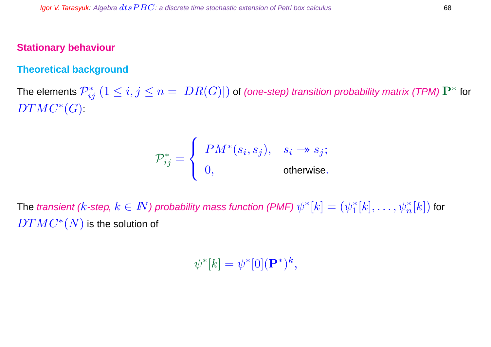#### **Stationary behaviour**

#### **Theoretical background**

The elements  $\mathcal{P}_{ij}^* \ (1\leq i,j\leq n=|DR(G)|)$  of (one-step) transition probability matrix (TPM)  $\mathbf{P}^*$  for  $DTMC^*(G)$ :

$$
\mathcal{P}_{ij}^* = \begin{cases} PM^*(s_i, s_j), & s_i \to s_j; \\ 0, & \text{otherwise.} \end{cases}
$$

The transient ( $k$ -step,  $k\in I\!\!N$ ) probability mass function (PMF)  $\psi^*[k]=(\psi_1^*)$  $_{1}^{\ast}[k],\ldots,\psi_{n}^{\ast}[k])$  for  $\overline{DTMC^{\ast}(N)}$  is the solution of

 $\psi^*[k] = \psi^*[0](\mathbf{P}^*)^k,$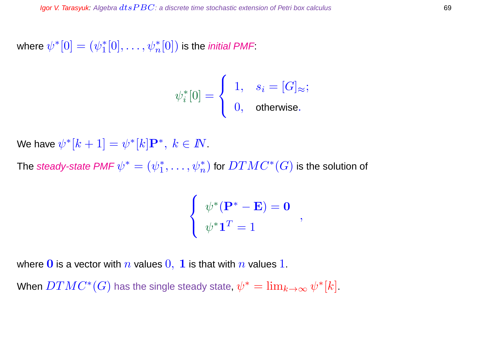where  $\psi^{\ast}[0]=(\psi_{1}^{\ast}% ,\psi_{2}^{\ast})^{2}$  $j_1^{*}[0],\ldots,\psi_{n}^{*}[0])$  is the *initial PMF* 

$$
\psi_i^*[0] = \begin{cases} 1, & s_i = [G]_{\approx}; \\ 0, & \text{otherwise}. \end{cases}
$$

We have  $\psi^*[k+1] = \psi^*[k] \mathbf P^*, ~ k \in I\!\!N$ .

The steady-state PMF  $\psi^*=(\psi_1^*)^*$  $\psi_1^*,\ldots,\psi_n^*)$  for  $DTMC^*(G)$  is the solution of

$$
\begin{cases} \psi^*(\mathbf{P}^* - \mathbf{E}) = \mathbf{0} \\ \psi^* \mathbf{1}^T = 1 \end{cases}
$$

where 0 is a vector with  $n$  values  $0, 1$  is that with  $n$  values 1.

When  $DTMC^*(G)$  has the single steady state,  $\psi^*=\lim_{k\to\infty}\psi^*[k].$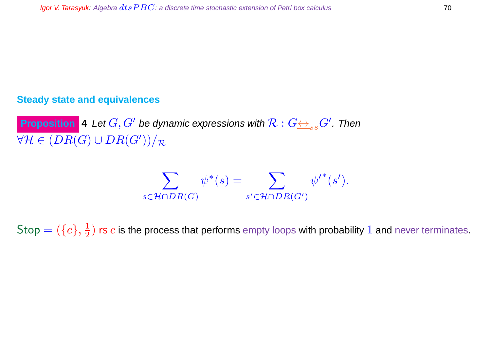## **Steady state and equivalences**

**Proposition** 4 Let  $G, G'$  be dynamic expressions with  $\mathcal{R}: G {\leftrightarrow_{ss} G'}.$  Then  $\forall \mathcal{H} \in (DR(G) \cup DR(G'))/\mathcal{R}$ 

$$
\sum_{s \in \mathcal{H} \cap DR(G)} \psi^*(s) = \sum_{s' \in \mathcal{H} \cap DR(G')} {\psi'}^*(s').
$$

 $\mathsf{Stop} = (\{c\}, \frac{1}{2})$  $\frac{1}{2})$  rs  $c$  is the process that performs empty loops with probability  $1$  and never terminates.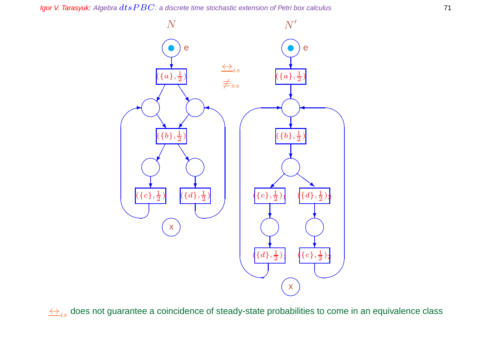

 $\leftrightarrow$ <sub>is</sub> does not guarantee a coincidence of steady-state probabilities to come in an equivalence class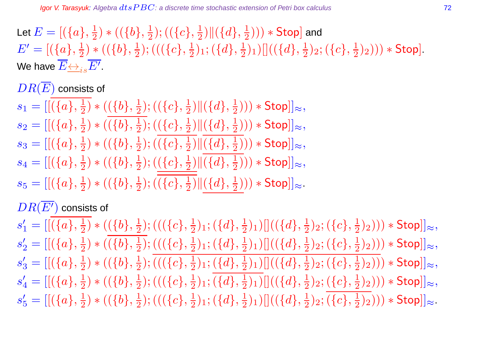Let  $E=[(\{a\},\frac{1}{2}$  $(\frac{1}{2}) * ((\{b\},\frac{1}{2})$  $(\{\overline{c}\},\frac{1}{2})$  $\frac{1}{2})\|(\{d\},\frac{1}{2}$  $(\frac{1}{2}))) * \mathsf{Stop}$  and  $E' = [(\{a\}, \frac{1}{2})]$  $(\{b\},\frac{1}{2})$   $\ast$   $((\{b\},\frac{1}{2})$  $(\frac{1}{2}); ((\{c\},\frac{1}{2}% ,\overline{b})\in ((\{c\},\overline{b})\in (0,1])$  $(\{d\},\frac{1}{2})$ 1;  $(\{d\},\frac{1}{2})$  $(\frac12)_1)[[(\{d\},\frac12$  $(\{c\},\frac{1}{2})$ 2;  $(\{c\},\frac{1}{2})$  $(\frac{1}{2})_2$ ))  $\ast$  Stop]. We have  $\overline{E{\leftrightarrow_i}_s}\overline{E'}$  .

 $DR(\overline{E})$  consists of

 $s_1 = [[(\{a\}, \frac{1}{2}$  $(\frac{1}{2}) * ((\{b\},\frac{1}{2})$  $(\{\overline{c}\},\frac{1}{2})$  $\frac{1}{2})\|(\{d\},\frac{1}{2}$  $(\frac{1}{2}))) * \mathsf{Stop}]]_{\approx},$ 

 $s_2 = [[(\{a\}, \frac{1}{2}$  $(\{b\},\frac{1}{2})$   $\ast$   $((\{b\},\frac{1}{2})$  $(\{\overline{c}\},\frac{1}{2})$  $\frac{1}{2})\|(\{d\},\frac{1}{2}$  $(\frac{1}{2}))) * \mathsf{Stop}]]_{\approx},$ 

 $s_3 = [[(\{a\},\frac{1}{2}$  $(\{b\},\frac{1}{2})$   $\ast$   $((\{b\},\frac{1}{2})$  $(\{\overline{c}\},\frac{1}{2})$  $\frac{1}{2})\|(\{d\},\frac{1}{2}$  $(\frac{1}{2}))) * \mathsf{Stop}]]_{\approx},$ 

 $s_4=[[(\{a\},\frac{1}{2}% ,\{a\},\{a\})^2]\rightarrow[\{a\},\{a\}]$  $(\{b\},\frac{1}{2})$   $\ast$   $((\{b\},\frac{1}{2})$  $(\frac12); ((\{c\},\frac12$  $\frac{1}{2})\|(\{d\},\frac{1}{2}% )\|(\{d\},\{d\})\|$  $(\frac{1}{2}))) * \mathsf{Stop}]]_{\approx},$ 

 $s_5 = [[(\{a\}, \frac{1}{2}$  $(\{b\},\frac{1}{2})$   $\ast$   $((\{b\},\frac{1}{2})$  $(\{\overline{c}\},\frac{1}{2})$  $\frac{1}{2})\|(\{d\},\frac{1}{2}% )\|(\{d\},\{d\})\|$  $(\frac{1}{2})$ )  $\ast$  Stop]] $\approx$ .

# $DR(\overline{E'})$  consists of

 $s'_1 = [[(\{a\}, \frac{1}{2}$  $(\{b\},\frac{1}{2})$   $\ast$   $((\{b\},\frac{1}{2})$  $(\frac{1}{2}); ((\{c\},\frac{1}{2}% ,\overline{b})\in ((\{c\},\overline{b})\in (0,1])$  $(\{d\},\frac{1}{2})$ 1;  $(\{d\},\frac{1}{2})$  $(\frac12)_1)[[(\{d\},\frac12$  $(\{c\},\frac{1}{2})$ 2;  $(\{c\},\frac{1}{2})$  $(\frac{1}{2})_2))) * \mathsf{Stop}]]_{\approx},$  $s'_2 = [[(\{a\}, \frac{1}{2}$  $(\frac{1}{2}) * ((\{b\},\frac{1}{2})$  $(\{\{c\},\frac{1}{2})\}$  $(\{d\},\frac{1}{2})$ 1;  $(\{d\},\frac{1}{2})$  $(\frac12)_1)[[(\{d\},\frac12$  $(\{c\},\frac{1}{2})$ 2;  $(\{c\},\frac{1}{2})$  $(\frac{1}{2})_2))) * \mathsf{Stop}]]_{\approx},$  $s'_3 = [[(\{a\}, \frac{1}{2}$  $(\{b\},\frac{1}{2})$   $\ast$   $((\{b\},\frac{1}{2})$  $(\frac{1}{2});((\{c\},\frac{1}{2}% ,\{c\},\{c\},\{c\})$  $(\{d\},\frac{1}{2})$ 1;  $(\{d\},\frac{1}{2})$  $\frac{1}{2})_1) []( (\{d\},\frac{1}{2})$  $(\{c\},\frac{1}{2})$ 2;  $(\{c\},\frac{1}{2})$  $(\frac{1}{2})_2))) * \mathsf{Stop}]]_{\approx},$  $s'_4= [[(\{a\}, \frac{1}{2}$  $(\{b\},\frac{1}{2})$   $\ast$   $((\{b\},\frac{1}{2})$  $(\{\{c\},\frac{1}{2})\}$  $(\{d\},\frac{1}{2})$ 1;  $(\{d\},\frac{1}{2})$  $(\frac12)_1)[[(\{d\},\frac12$  $(\{c\},\frac{1}{2})$ 2;  $(\{c\},\frac{1}{2})$  $(\frac{1}{2})_2))) * \mathsf{Stop}]]_{\approx},$  $s_5' = [[(\{a\}, \frac{1}{2}$  $(\{b\},\frac{1}{2})$   $\ast$   $((\{b\},\frac{1}{2})$  $(\frac{1}{2}); ((\{c\},\frac{1}{2}% ,\overline{b})\in ((\{c\},\overline{b})\in (0,1])$  $(\{d\},\frac{1}{2})$ 1;  $(\{d\},\frac{1}{2})$  $(\frac12)_1)[[(\{d\},\frac12]$  $(\{c\},\frac{1}{2})$ 2;  $(\{c\},\frac{1}{2})$  $(\frac{1}{2})_2))) * \mathsf{Stop}]]_{\approx}.$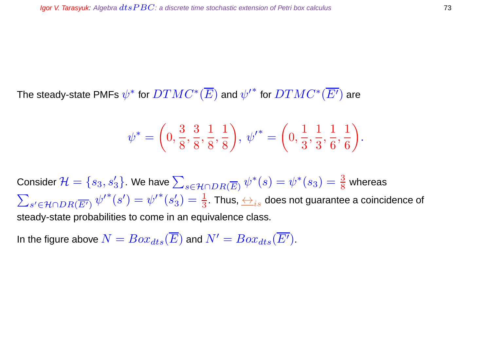The steady-state PMFs  $\psi^*$  for  $DTMC^*(\overline{E})$  and  ${\psi'}^*$  for  $DTMC^*(\overline{E'})$  are

$$
\psi^* = \left(0, \frac{3}{8}, \frac{3}{8}, \frac{1}{8}, \frac{1}{8}\right), \ \psi'^* = \left(0, \frac{1}{3}, \frac{1}{3}, \frac{1}{6}, \frac{1}{6}\right).
$$

Consider  $\mathcal{H}=\{s_3,s'_3\}$ . We have  $\sum_{s\in\mathcal{H}\cap DR(\overline{E})}\psi^*(s)=\psi^*(s_3)=\frac{3}{8}$  whereas  $\sum$  $s'$ ∈H $\cap$ D $R(\overline{E'}) \; {\psi'}^*(s') = {\psi'}^*(s')$  $\zeta_3')=\frac{1}{3}.$  Thus,  $\underset{\leftarrow}{\longleftrightarrow}_{is}$  does not guarantee a coincidence of steady-state probabilities to come in an equivalence class.

In the figure above  $N = Box_{dts}(\overline{E})$  and  $N' = Box_{dts}(\overline{E'}).$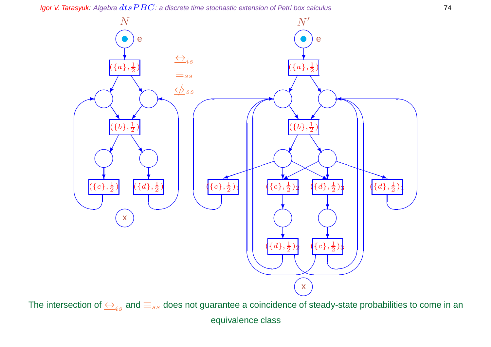

The intersection of  $\leftrightarrow$ <sub>is</sub> and  $\equiv$ <sub>ss</sub> does not guarantee a coincidence of steady-state probabilities to come in an

equivalence class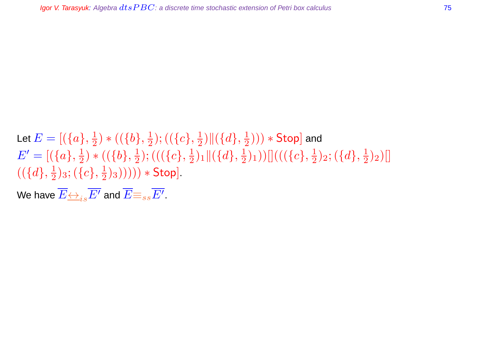#### Let  $E=[(\{a\},\frac{1}{2}$  $(\{b\},\frac{1}{2})$   $\ast$   $((\{b\},\frac{1}{2})$  $(\{\overline{c}\},\frac{1}{2})$  $\frac{1}{2})\|(\{d\},\frac{1}{2}$  $(\frac{1}{2}))) * \mathsf{Stop}$  and  $E' = [(\{a\}, \frac{1}{2})]$  $(\{b\},\frac{1}{2})$   $\ast$   $((\{b\},\frac{1}{2})$  $(\frac{1}{2}); ((\{c\},\frac{1}{2}% ,\overline{b})\in ((\{c\},\overline{b})\in (0,1])$  $\frac{1}{2})_1 \|(\{d\},\frac{1}{2}$  $(\frac12)_1))[[((\{c\},\frac12$  $(\{\frac{1}{2}\}2; (\{d\}, \frac{1}{2})$  $(\frac{1}{2})_2)$ []  $((\{d\},\frac{1}{2})$  $(\{c\},\frac{1}{2})$ 3;  $(\{c\},\frac{1}{2})$  $(\frac{1}{2})_3))))$   $*$  Stop].

We have  $\overline{E{\leftrightarrow_{is}E'}}$  and  $\overline{E}{\equiv_{ss}E'}$  .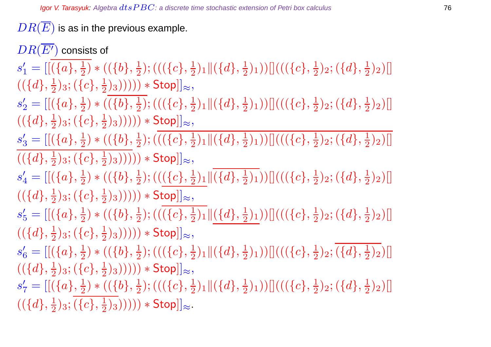$DR(\overline{E})$  is as in the previous example.

 $DR(E')$  consists of  $s'_1 = [[(\{a\}, \frac{1}{2}$  $(\{b\},\frac{1}{2})$   $\ast$   $((\{b\},\frac{1}{2})$  $(\frac{1}{2}); ((\{c\},\frac{1}{2}% ,\overline{b})\in ((\{c\},\overline{b})\in (0,1])$  $\frac{1}{2})_1 \|(\{d\},\frac{1}{2}$  $(\frac12)_1))[[((\{c\},\frac12$  $(\frac{1}{2})_2; (\{d\},\frac{1}{2})$  $(\frac{1}{2})_2)$ []  $((\{d\},\frac{1}{2})$  $(\{c\},\frac{1}{2})$ 3;  $(\{c\},\frac{1}{2})$  $(\frac{1}{2})_3))))))$   $*$  Stop]] $\approx$ ,

 $s'_2 = [[(\{a\}, \frac{1}{2}$  $(\{b\},\frac{1}{2})$   $\ast$   $((\{b\},\frac{1}{2})$  $(\{\{c\},\frac{1}{2})\}$  $\frac{1}{2})_1 \|(\{d\},\frac{1}{2}$  $(\frac12)_1))[[((\{c\},\frac12$  $(\{\frac{1}{2}\})_2; (\{d\},\frac{1}{2})$  $(\frac{1}{2})_2)$ []  $((\{d\},\frac{1}{2})$  $(\{c\},\frac{1}{2})$ 3;  $(\{c\},\frac{1}{2})$  $(\frac{1}{2})_3))))))$   $\ast$  Stop]] $\approx$ ,

 $s'_3 = [[(\{a\}, \frac{1}{2}$  $(\{b\},\frac{1}{2})$   $\ast$   $((\{b\},\frac{1}{2})$  $(\frac{1}{2}); ((\{c\},\frac{1}{2}% ,\overline{b})\in ((\{c\},\overline{b})\in (0,1])$  $\frac{1}{2})_1 \|(\{d\},\frac{1}{2}$  $(\frac12)_1))[[((\{c\},\frac12$  $(\frac{1}{2})_2; (\{d\},\frac{1}{2})$  $(\frac{1}{2})_2)$ []  $((\{d\},\frac{1}{2})$  $(\{c\},\frac{1}{2})$ 3;  $(\{c\},\frac{1}{2})$  $(\frac{1}{2})_3))))))$   $*$  Stop]] $\approx$ ,

 $s'_4= [[(\{a\}, \frac{1}{2}$  $(\{b\},\frac{1}{2})$   $\ast$   $((\{b\},\frac{1}{2})$  $(\frac12);((\overline{\{c\}},\frac12$  $\frac{1}{2})_{1}\Vert(\{d\},\frac{1}{2}% ,\{d\},\{d\})$  $(\frac12)_1))[[((\{c\},\frac12$  $(\{\frac{1}{2}\})_2; (\{d\},\frac{1}{2})$  $(\frac{1}{2})_2)$ []  $((\{d\},\frac{1}{2})$  $(\{c\},\frac{1}{2})$ 3;  $(\{c\},\frac{1}{2})$  $(\frac{1}{2})_3))))))$   $*$  Stop]] $\approx$ ,

 $s_5' = [[(\{a\}, \frac{1}{2}$  $(\{b\},\frac{1}{2})$   $\ast$   $((\{b\},\frac{1}{2})$  $(\frac{1}{2}); ((\{c\},\frac{1}{2}% ,\overline{b})\in ((\{c\},\overline{b})\in (0,1])$  $\frac{1}{2})_1\|(\{d\},\frac{1}{2})$  $(\frac12)_1))[]((\{c\},\frac12)$  $(\{\frac{1}{2}\}2; (\{d\},\frac{1}{2})$  $(\frac{1}{2})_2)$ []  $((\{d\},\frac{1}{2})$  $(\{c\},\frac{1}{2})$ 3;  $(\{c\},\frac{1}{2})$  $(\frac{1}{2})_3))))))$   $*$  Stop]] $\approx$ ,

 $s_6' = [[(\{a\}, \frac{1}{2}$  $(\{b\},\frac{1}{2})$   $\ast$   $((\{b\},\frac{1}{2})$  $(\frac{1}{2}); ((\{c\},\frac{1}{2}% ,\overline{b})\in ((\{c\},\overline{b})\in (0,1])$  $\frac{1}{2})_1 \|(\{d\},\frac{1}{2}$  $(\frac12)_1))[[((\{c\},\frac12$  $(\{\frac{1}{2}\})_2; (\{d\},\frac{1}{2})$  $(\frac{1}{2})_2)$ []  $((\{d\},\frac{1}{2})$  $(\{c\},\frac{1}{2})$ 3;  $(\{c\},\frac{1}{2})$  $(\frac{1}{2})_3))))))$   $*$  Stop]] $\approx$ ,

 $s'_7 = [[(\{a\}, \frac{1}{2}$  $(\{b\},\frac{1}{2})$   $\ast$   $((\{b\},\frac{1}{2})$  $(\frac{1}{2}); ((\{c\},\frac{1}{2}% ,\overline{b})\in ((\{c\},\overline{b})\in (0,1])$  $\frac{1}{2})_1 \|(\{d\},\frac{1}{2}$  $(\frac12)_1))[[((\{c\},\frac12$  $(\{\frac{1}{2}\})_2; (\{d\},\frac{1}{2})$  $(\frac{1}{2})_2)$ []  $((\{d\},\frac{1}{2})$  $(\c), \frac{1}{2})_3; (\{c\}, \frac{1}{2})$  $(\frac{1}{2})_3))))))$   $*$  Stop]] $\approx$ .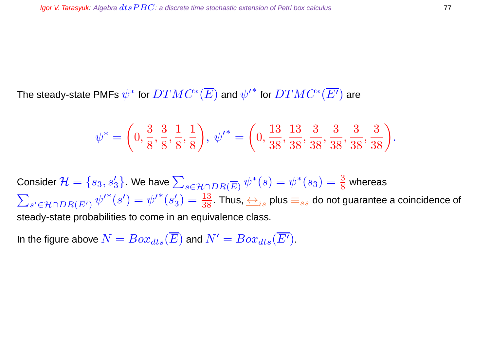The steady-state PMFs  $\psi^*$  for  $DTMC^*(\overline{E})$  and  ${\psi'}^*$  for  $DTMC^*(\overline{E'})$  are

$$
\psi^* = \left(0, \frac{3}{8}, \frac{3}{8}, \frac{1}{8}, \frac{1}{8}\right), \ \psi'^* = \left(0, \frac{13}{38}, \frac{13}{38}, \frac{3}{38}, \frac{3}{38}, \frac{3}{38}, \frac{3}{38}\right).
$$

Consider  $\mathcal{H}=\{s_3,s'_3\}$ . We have  $\sum_{s\in\mathcal{H}\cap DR(\overline{E})}\psi^*(s)=\psi^*(s_3)=\frac{3}{8}$  whereas  $\sum$  $s'$ ∈H $\cap$ D $R(\overline{E'}) \; {\psi'}^*(s') = {\psi'}^*(s')$  $\zeta_3')=\frac{13}{38}.$  Thus,  $\underset{\sim}{\leftrightarrow}_{is}$  plus  $\equiv_{ss}$  do not guarantee a coincidence of steady-state probabilities to come in an equivalence class.

In the figure above  $N = Box_{dts}(\overline{E})$  and  $N' = Box_{dts}(\overline{E'}).$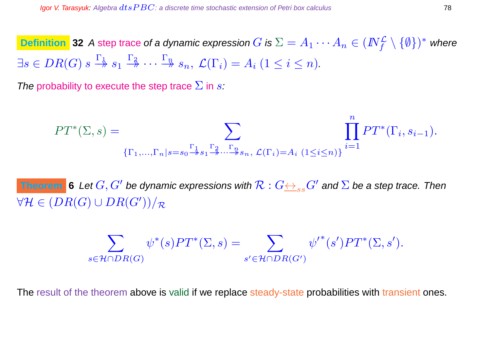**Definition 32** A step trace of a dynamic expression  $G$  is  $\Sigma = A_1 \cdots A_n \in (I\!\!N_f^{\mathcal{L}} \setminus \{\emptyset\})^*$  where  $\exists s \in DR(G) \ s \stackrel{\Gamma_1}{\twoheadrightarrow} s_1 \stackrel{\Gamma_2}{\twoheadrightarrow} \cdots \stackrel{\Gamma_n}{\twoheadrightarrow} s_n, \ \mathcal{L}(\Gamma_i) = A_i \ (1 \leq i \leq n).$ 

The probability to execute the step trace  $\Sigma$  in s:

$$
PT^{*}(\Sigma, s) = \sum_{\{\Gamma_{1}, ..., \Gamma_{n} | s = s_{0} \stackrel{\Gamma_{1}}{\to} s_{1} \stackrel{\Gamma_{2}}{\to} ... \stackrel{\Gamma_{n}}{\to} s_{n}, \ L(\Gamma_{i}) = A_{i} \ (1 \leq i \leq n) \}} \prod_{i=1}^{n} PT^{*}(\Gamma_{i}, s_{i-1}).
$$

Theorem  $\,$  **6** Let  $G, G'$  be dynamic expressions with  $\mathcal{R}: G {\leftrightarrow_{ss} G'}$  and  $\Sigma$  be a step trace. Then  $\forall \mathcal{H} \in (DR(G) \cup DR(G'))/\mathcal{R}$ 

$$
\sum_{s \in \mathcal{H} \cap DR(G)} \psi^*(s) PT^*(\Sigma, s) = \sum_{s' \in \mathcal{H} \cap DR(G')} \psi'^*(s') PT^*(\Sigma, s').
$$

The result of the theorem above is valid if we replace steady-state probabilities with transient ones.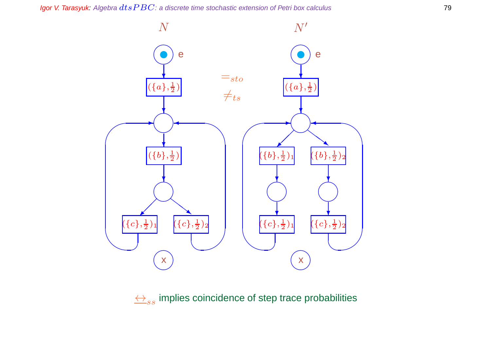Igor V. Tarasyuk: Algebra  $dtsPBC$ : a discrete time stochastic extension of Petri box calculus  $79$ 



 $\leftrightarrow$ <sub>ss</sub> implies coincidence of step trace probabilities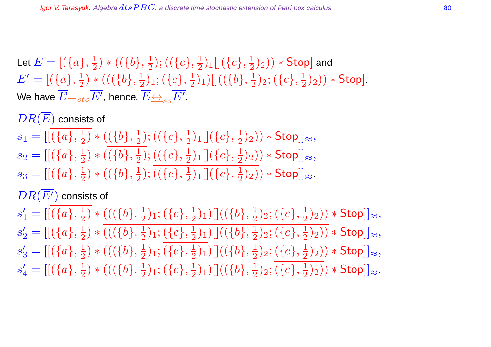Let  $E=[(\{a\},\frac{1}{2}$  $(\{b\},\frac{1}{2})$   $\ast$   $((\{b\},\frac{1}{2})$  $(\{\overline{c}\},\frac{1}{2})$  $\frac{1}{2})_1[](\{c\},\frac{1}{2})$  $(\frac{1}{2})_2)) *$  Stop] and  $E' = [(\{a\}, \frac{1}{2})]$  $(\{\{b\},\frac{1}{2}\})$  \*  $((\{b\},\frac{1}{2})$  $(\c), \frac{1}{2})$ 1;  $(\{c\}, \frac{1}{2})$  $\frac{1}{2})_1) []( (\{b\},\frac{1}{2}$  $(\{c\},\frac{1}{2})$ 2;  $(\{c\},\frac{1}{2})$  $(\frac{1}{2})_2$ )  $*$  Stop]. We have  $\overline{E}{=}_{sto}\overline{E'},$  hence,  $\overline{E}{\leftrightarrow}_{ss}\overline{E'}.$ 

 $DR(\overline{E})$  consists of  $s_1 = [[(\{a\},\frac{1}{2}$  $(\{b\},\frac{1}{2})$   $\ast$   $((\{b\},\frac{1}{2})$  $(\{\overline{c}\},\frac{1}{2})$  $\frac{1}{2})_1[](\{c\},\frac{1}{2})$  $(\frac{1}{2})_2)) * \mathsf{Stop}]]_{\approx},$  $s_2 = [[(\{a\}, \frac{1}{2}$  $(\{b\},\frac{1}{2})$   $\ast$   $((\{b\},\frac{1}{2})$  $(\{\overline{c}\},\frac{1}{2})$  $\frac{1}{2})_1[](\{c\},\frac{1}{2}$  $(\frac{1}{2})_2)) * \mathsf{Stop}]]_{\approx},$  $s_3 = [[(\{a\}, \frac{1}{2}$  $(\{b\},\frac{1}{2})$   $\ast$   $((\{b\},\frac{1}{2})$  $(\{\overline{c}\},\frac{1}{2})$  $\frac{1}{2})_1[](\{c\},\frac{1}{2}$  $(\frac{1}{2})_2$ )  $\ast$  Stop]] $\approx$ .  $DR(\overline{E'})$  consists of  $s'_1 = [[(\{a\}, \frac{1}{2}$  $(\{\{b\},\frac{1}{2}\})$  \*  $((\{b\},\frac{1}{2})$  $(\c), \frac{1}{2})$ 1;  $(\{c\}, \frac{1}{2})$  $\frac{1}{2})_1) [ ] ((\{b\},\frac{1}{2}$  $(\{c\},\frac{1}{2})$ 2;  $(\{c\},\frac{1}{2})$  $(\frac{1}{2})_2)) * \mathsf{Stop}]]_{\approx},$  $s'_2 = [[(\{a\}, \frac{1}{2}$  $(\{\{b\},\frac{1}{2}\})$  \*  $((\{b\},\frac{1}{2})$  $(\{c\},\frac{1}{2})$ 1;  $(\{c\},\frac{1}{2})$  $\frac{1}{2})_1) []( (\{b\},\frac{1}{2}$  $(\{c\},\frac{1}{2})$ 2;  $(\{c\},\frac{1}{2})$  $(\frac{1}{2})_2)) * \mathsf{Stop}]]_{\approx},$  $s'_3 = [[(\{a\}, \frac{1}{2}$  $(\{\{b\},\frac{1}{2}\})$  \*  $((\{b\},\frac{1}{2})$  $(\c), \frac{1}{2})$ 1;  $(\{c\}, \frac{1}{2})$  $\frac{1}{2})_1) [ ] ((\{b\},\frac{1}{2}$  $(\{c\},\frac{1}{2})$ 2;  $(\{c\},\frac{1}{2})$  $(\frac{1}{2})_2)) * \mathsf{Stop}]]_{\approx},$  $s'_4 = [[(\{a\}, \frac{1}{2}$  $(\{\{b\},\frac{1}{2}\})$  \*  $((\{b\},\frac{1}{2})$  $(\{c\},\frac{1}{2})$ 1;  $(\{c\},\frac{1}{2})$  $\frac{1}{2})_1) []( (\{b\},\frac{1}{2}$  $(\{c\},\frac{1}{2})$ 2;  $(\{c\},\frac{1}{2})$  $(\frac{1}{2})_2)) * \mathsf{Stop}]]_{\approx}.$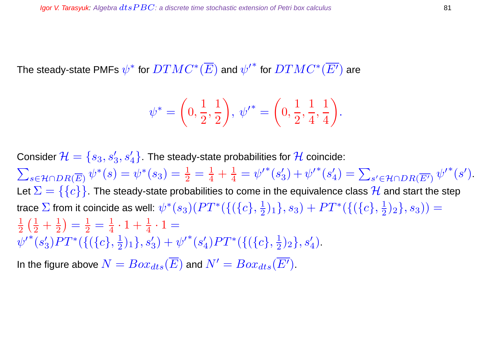The steady-state PMFs  $\psi^*$  for  $DTMC^*(\overline{E})$  and  ${\psi'}^*$  for  $DTMC^*(\overline{E'})$  are

$$
\psi^* = \left(0, \frac{1}{2}, \frac{1}{2}\right), \psi'^* = \left(0, \frac{1}{2}, \frac{1}{4}, \frac{1}{4}\right).
$$

Consider  $\mathcal{H}=\{s_3,s'_3,s'_4\}$ . The steady-state probabilities for  $\mathcal H$  coincide:  $\sum$  $s \in \mathcal{H} \cap DR(\overline{E}) \; \psi^*(s) = \psi^*(s_3) = \frac{1}{2} = \frac{1}{4} + \frac{1}{4}$  $\frac{1}{4} = {\psi^\prime}^*(s^\prime_3)$  $s_3'$  ) +  ${\psi'}^*(s_4'')$  $\mathcal{L}'_4$ ) =  $\sum_{s' \in \mathcal{H} \cap DR(\overline{E'})} {\psi'}^*(s').$ Let  $\Sigma = \{\{c\}\}\.$  The steady-state probabilities to come in the equivalence class  $\mathcal H$  and start the step trace  $\Sigma$  from it coincide as well:  $\psi^*(s_3)(PT^*(\{(\{c\},\frac{1}{2}$  $\{\frac{1}{2})_1\}, s_3) + PT^*(\{(\{c\},\frac{1}{2})\}$  $(\frac{1}{2})_2\}, s_3)) =$  $\overline{1}$ 2  $\left(\frac{1}{2} + \frac{1}{2}\right)$ 2  $=\frac{1}{2}$  $\frac{1}{2}=\frac{1}{4}$  $\frac{1}{4} \cdot 1 + \frac{1}{4} \cdot 1 =$  ${\psi^\prime}^*(s^{\prime}_3)$  $\binom{3}{3} PT^* (\{(\{c\},\frac{1}{2})$  $(\frac{1}{2})_1\},s'_3)+{\psi'}^*(s'_4)$  $\binom{4}{4} PT^* (\{(\{c\},\frac{1}{2})$  $\frac{1}{2}$ <sub>2</sub>,  $s'_4$ <sup>)</sup>. In the figure above  $N = Box_{dts}(\overline{E})$  and  $N' = Box_{dts}(\overline{E'}).$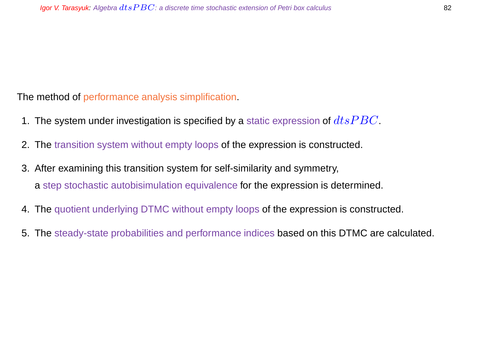The method of performance analysis simplification.

- 1. The system under investigation is specified by a static expression of  $dtsPBC$ .
- 2. The transition system without empty loops of the expression is constructed.
- 3. After examining this transition system for self-similarity and symmetry, a step stochastic autobisimulation equivalence for the expression is determined.
- 4. The quotient underlying DTMC without empty loops of the expression is constructed.
- 5. The steady-state probabilities and performance indices based on this DTMC are calculated.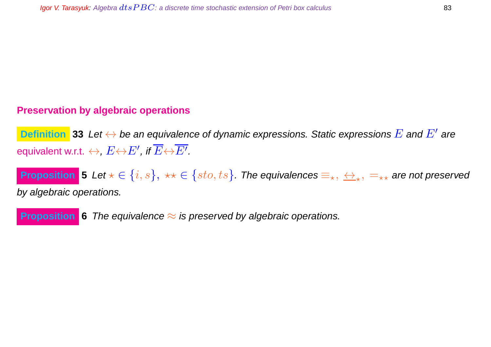# **Preservation by algebraic operations**

**Definition** 33 Let  $\leftrightarrow$  be an equivalence of dynamic expressions. Static expressions  $E$  and  $E'$  are equivalent w.r.t.  $\leftrightarrow$ ,  $E{\leftrightarrow}E',$  if  $\overline{E}{\leftrightarrow}\overline{E'}.$ 

**Proposition** 5 Let  $\star\in\{i,s\},\;\star\star\in\{sto,ts\}$ . The equivalences  $\equiv_\star,\,\Leftrightarrow_\star,\,=_{\star\star}$  are not preserved by algebraic operations.

**Proposition** 6 The equivalence  $\approx$  is preserved by algebraic operations.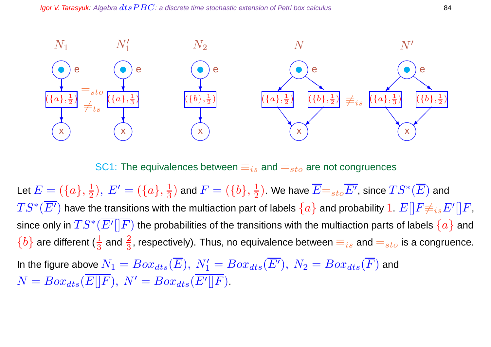

SC1: The equivalences between  $\equiv_{is}$  and  $=_{sto}$  are not congruences

Let  $E=(\{a\},\frac{1}{2})$  $(\frac{1}{2}), E' = (\{a\}, \frac{1}{3})$  $\frac{1}{3})$  and  $F=(\{b\},\frac{1}{2}$  $(\frac{1}{2})$ . We have  $\overline{E}\mathbf{=}_{sto}\overline{E^{\prime}}$ , since  $TS^*(\overline{E})$  and  $TS^*(\overline{E'})$  have the transitions with the multiaction part of labels  $\{a\}$  and probability  $1.$   $\overline{E[]F} {\not\equiv}_{is} \overline{E'[]F},$ since only in  $TS^*(\overline{E'[[F]}$  the probabilities of the transitions with the multiaction parts of labels  $\{a\}$  and  $\{b\}$  are different ( $\frac{1}{3}$  and  $\frac{2}{3}$ , respectively). Thus, no equivalence between  $\equiv_{is}$  and  $=_{{sto}}$  is a congruence. In the figure above  $N_1 = Box_{dts}(\overline{E}),\ N_1' = Box_{dts}(\overline{E'}),\ N_2 = Box_{dts}(\overline{F})$  and  $N = Box_{dts}(\overline{E[|F|}), N' = Box_{dts}(\overline{E'[|F|}).$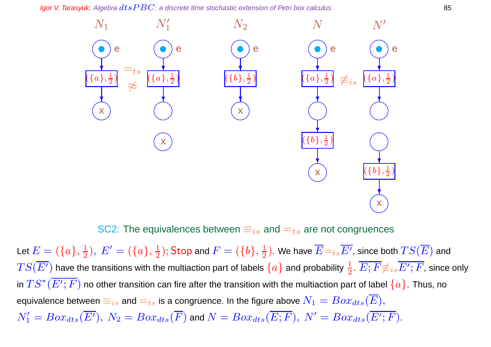Igor V. Tarasyuk: Algebra  $dtsPBC$ : a discrete time stochastic extension of Petri box calculus 85



SC2: The equivalences between  $\equiv_{is}$  and  $=t_s$  are not congruences

Let  $E=(\{a\},\frac{1}{2})$  $(\frac{1}{2}), E' = (\{a\}, \frac{1}{2})$  $(\frac{1}{2});$  Stop and  $F=(\{b\},\frac{1}{2})$  $(\frac{1}{2})$ . We have  $E{=}_{ts}E'$ , since both  $TS(E)$  and  $TS(\overline{E'})$  have the transitions with the multiaction part of labels  $\{a\}$  and probability  $\frac{1}{2}$ .  $\overline{E;F}{\not\equiv_{is}\overline{E';F}}$ , since only in  $TS^*(\overline{E';F})$  no other transition can fire after the transition with the multiaction part of label  $\{a\}.$  Thus, no equivalence between  $\equiv_{is}$  and  $=_{ts}$  is a congruence. In the figure above  $N_1 = Box_{dts}(E),$  $N_1'=Box_{dts}(\overline{E'}),~N_2=Box_{dts}(\overline{F})$  and  $N=Box_{dts}(\overline{E;F}),~N'=Box_{dts}(\overline{E';F}).$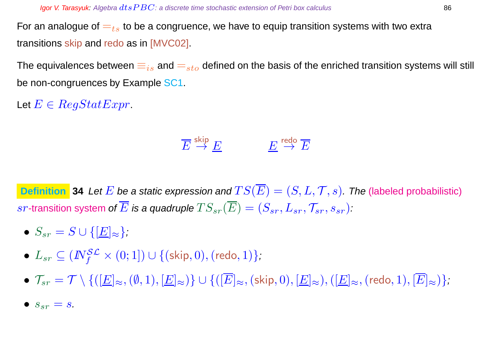For an analogue of  $t_{ts}$  to be a congruence, we have to equip transition systems with two extra transitions skip and redo as in [MVC02].

The equivalences between  $\equiv_{is}$  and  $=_{sto}$  defined on the basis of the enriched transition systems will still be non-congruences by Example SC1.

Let  $E \in RegStatExpr$ .

$$
\overline{E} \stackrel{\text{skip}}{\to} \underline{E} \qquad \qquad \underline{E} \stackrel{\text{redo}}{\to} \overline{E}
$$

**Definition** 34 Let E be a static expression and  $TS(\overline{E}) = (S, L, T, s)$ . The (labeled probabilistic) sr-transition system of  $\overline{E}$  is a quadruple  $TS_{sr}(\overline{E}) = (S_{sr}, L_{sr}, \mathcal{T}_{sr}, s_{sr})$ :

- $S_{sr} = S \cup \{[\underline{E}]_{\approx}\};$
- $\bullet$   $L_{sr} \subseteq (I\!\!N_f^{\mathcal{SL}} \times (0;1]) \cup \{(\textsf{skip},0),(\textsf{redo},1)\},$
- $\mathcal{T}_{sr} = \mathcal{T} \setminus \{([\underline{E}]_{\approx},(\emptyset,1),[\underline{E}]_{\approx})\} \cup \{([\overline{E}]_{\approx},(\text{skip},0),[\underline{E}]_{\approx}),([\underline{E}]_{\approx},(\text{redo}, 1),[\overline{E}]_{\approx})\};$
- $S_{sr} = S$ .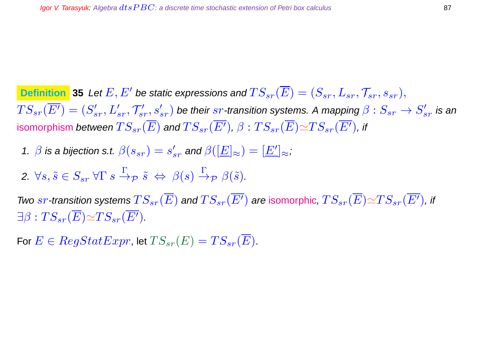**Definition** 35 Let  $E, E'$  be static expressions and  $TS_{sr}(\overline{E}) = (S_{sr}, L_{sr}, \mathcal{T}_{sr}, s_{sr}),$  $TS_{sr}(\overline{E'})=(S'_{sr},L'_{sr},\mathcal{T}'_{sr},s'_{sr})$  be their  $sr$ -transition systems. A mapping  $\beta:S_{sr}\to S'_{sr}$  is an isomorphism between  $TS_{sr}(\overline{E})$  and  $TS_{sr}(\overline{E'})$ ,  $\beta:TS_{sr}(\overline{E})\simeq TS_{sr}(\overline{E'})$ , if

- 1.  $\beta$  is a bijection s.t.  $\beta(s_{sr})=s'_{sr}$  and  $\beta([\underline{E}]_{\approx})=[\underline{E'}]_{\approx}$ ;
- 2.  $\forall s, \tilde{s} \in S_{sr} \forall \Gamma s \stackrel{\Gamma}{\rightarrow} p \tilde{s} \Leftrightarrow \beta(s) \stackrel{\Gamma}{\rightarrow} p \beta(\tilde{s})$ .

Two  $sr$ -transition systems  $TS_{sr}(\overline{E})$  and  $TS_{sr}(\overline{E'})$  are isomorphic,  $TS_{sr}(\overline{E}){\simeq}TS_{sr}(\overline{E'})$ , if  $\exists \beta : TS_{sr}(\overline{E}) \simeq TS_{sr}(\overline{E'}).$ 

For  $E \in RegStatexpr$ , let  $TS_{sr}(E) = TS_{sr}(E)$ .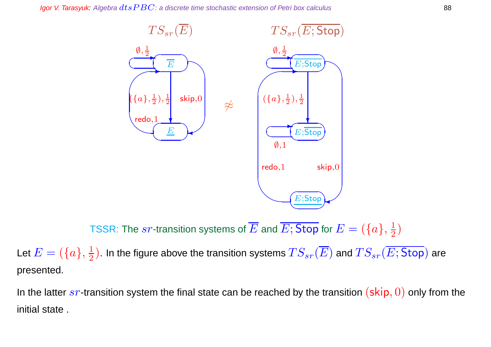Igor V. Tarasyuk: Algebra  $dt$ s  $PBC$ : a discrete time stochastic extension of Petri box calculus 88



TSSR: The  $sr$ -transition systems of  $\overline{E}$  and  $\overline{E;}$  Stop for  $E=(\{a\},\frac{1}{2})$  $\frac{1}{2})$ 

Let  $E=(\{a\},\frac{1}{2})$  $\frac{1}{2}).$  In the figure above the transition systems  $TS_{sr}(E)$  and  $TS_{sr}(E; \mathsf{Stop})$  are presented.

In the latter  $sr$ -transition system the final state can be reached by the transition  $(\textsf{skip}, 0)$  only from the initial state .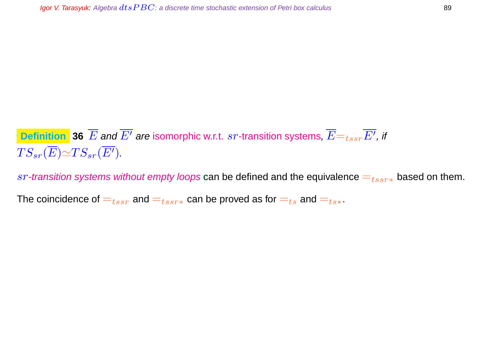# **Definition**  $\overline{\bf 36}$  $\overline{E}$  **and**  $\overline{E'}$  **are isomorphic w.r.t.**  $sr$ **-transition systems,**  $\overline{E} {=} _{tssr} \overline{E'},$  **if**  $TS_{sr}(\overline{E}) \simeq TS_{sr}(\overline{E'}).$

sr-transition systems without empty loops can be defined and the equivalence  $=_{tssr*}$  based on them.

The coincidence of  $=_{tssr}$  and  $=_{tssr*}$  can be proved as for  $=_{ts}$  and  $=_{ts*}$ .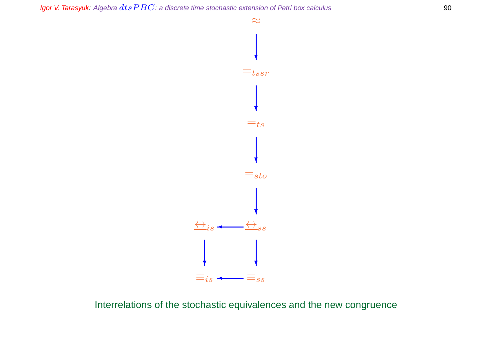

Interrelations of the stochastic equivalences and the new congruence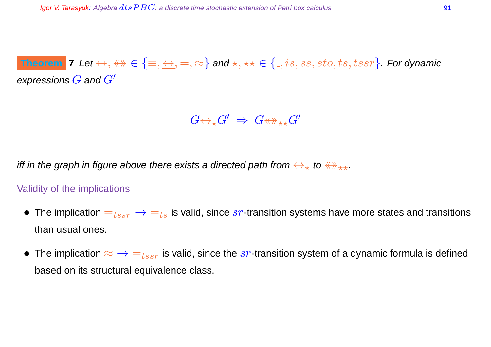# $\bf{Theorem\,\,}$   $\bf{7}$   $\bf{Let} \leftrightarrow, \leftrightarrow\in \{\equiv,\Leftrightarrow,=,\approx\}$  and  $\star,\star\star\in\{.,is,ss,sto,ts,tssr\}.$  For dynamic expressions  $G$  and  $G'$

 $G {\leftrightarrow_\star} G' \;\Rightarrow\; G {\leftrightarrow\!\!\!\!\!\!\!\!\!\!\!\!\!\ {}^{\scriptstyle \star}\times} G'$ 

iff in the graph in figure above there exists a directed path from  $\leftrightarrow_{\star}$  to  $\leftrightarrow_{\star\star}$ .

Validity of the implications

- The implication  $=_{tssr} \rightarrow =_{ts}$  is valid, since  $sr$ -transition systems have more states and transitions than usual ones.
- The implication  $\approx \rightarrow \pm_{ssr}$  is valid, since the  $sr$ -transition system of a dynamic formula is defined based on its structural equivalence class.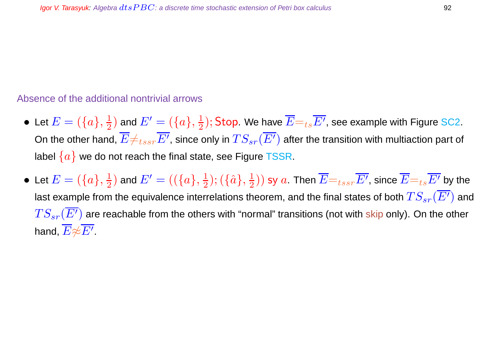### Absence of the additional nontrivial arrows

- $\bullet\,$  Let  $E=(\{a\},\frac{1}{2})$  $(\frac{1}{2})$  and  $E'=(\{a\},\frac{1}{2})$  $\frac{1}{2});$  Stop. We have  $\overline{E}{=}_{ts}\overline{E^{\prime}}$ , see example with Figure SC2. On the other hand,  $\overline{E}\neq_{tssr}\overline{E'}$ , since only in  $TS_{sr}(\overline{E'})$  after the transition with multiaction part of label  $\{a\}$  we do not reach the final state, see Figure TSSR.
- $\bullet\,$  Let  $E=(\{a\},\frac{1}{2})$  $(\{\overline{a}\},\frac{1}{2})$  and  $E'=((\{a\},\frac{1}{2})$  $(\{\hat{a}\},\frac{1}{2})$  $(\frac{1}{2}))$  sy  $a$ . Then  $\overline{E}\mathord=_{tssr}\overline{E'}$ , since  $\overline{E}\mathord=_{ts}\overline{E'}$  by the last example from the equivalence interrelations theorem, and the final states of both  $TS_{sr}(\overline{E'})$  and  $TS_{sr}(E')$  are reachable from the others with "normal" transitions (not with skip only). On the other hand,  $\overline{E}{\not\approx}\overline{E^{\prime}}.$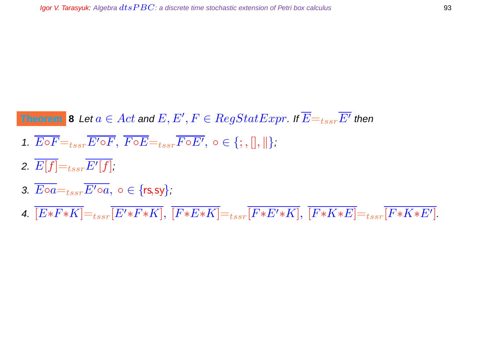# **Theorem**  $\vert$  **8** Let  $a \in Act$  and  $E, E', F \in RegStatExpr.$  If  $\overline{E} =_{tssr}\overline{E'}$  then

- 1.  $\overline{E\circ F} =_{tssr} \overline{E'\circ F}$ ,  $\overline{F\circ E} =_{tssr} \overline{F\circ E'}$ ,  $\circ \in \{\,;\,|\},\|$ ;
- 2.  $E[f]{=}_{tssr}E^{\prime}[f]$ ,
- 3.  $\overline{E \circ a} =_{tssr} \overline{E' \circ a}$ ,  $\circ \in \{rs, sy\}$ ;
- 4.  $[E*F*K]=_{tssr}[E'*F*K], [F*E*K]=_{tssr}[F*E'*K], [F*K * E]=_{tssr}[F*K * E'].$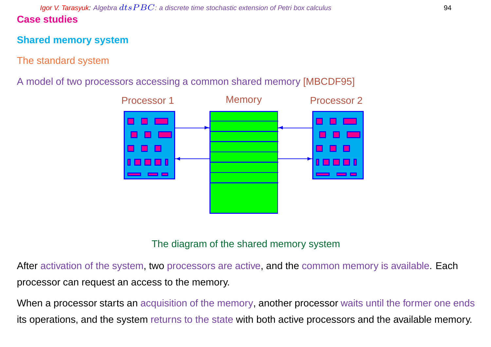# **Shared memory system**

# The standard system

# A model of two processors accessing a common shared memory [MBCDF95]



# The diagram of the shared memory system

After activation of the system, two processors are active, and the common memory is available. Each processor can request an access to the memory.

When a processor starts an acquisition of the memory, another processor waits until the former one ends its operations, and the system returns to the state with both active processors and the available memory.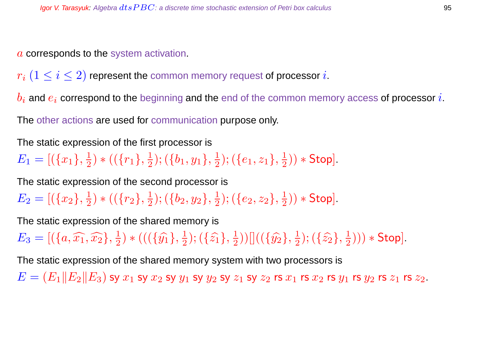a corresponds to the system activation.

 $r_i$   $(1 \leq i \leq 2)$  represent the common memory request of processor i.

 $b_i$  and  $e_i$  correspond to the beginning and the end of the common memory access of processor i.

The other actions are used for communication purpose only.

The static expression of the first processor is

 $E_1 = [(\{x_1\}, \frac{1}{2}]$  $\frac{1}{2}$ ) \* (( $\{r_1\}, \frac{1}{2}$  $(\{b_1,y_1\},\frac{1}{2})$  $(\{e_1,z_1\},\frac{1}{2})$  $(\frac{1}{2})$   $*$  Stop].

The static expression of the second processor is

 $E_2=[(\{x_2\},\frac{1}{2}$  $\frac{1}{2}$ ) \* (( $\{r_2\},\frac{1}{2}$  $(\{b_2,y_2\},\frac{1}{2})$  $(\{e_2,z_2\},\frac{1}{2})$  $(\frac{1}{2})$   $*$  Stop].

The static expression of the shared memory is

 $E_3 = [(\lbrace a, \widehat{x_1}, \widehat{x_2} \rbrace, \frac{1}{2}]$  $(\{ \widehat{y_1} \}, \frac{1}{2})$  \*  $(((\{\widehat{y_1}\}, \frac{1}{2})$  $(\{\hat{z_1}\},\{\{2\}\})$  $(\frac{1}{2}))[[((\{\hat{y_2}\},\frac{1}{2}% )^{2}](\vec{y_1}+\vec{y_2})^2]$  $(\{\hat{z_2}\},\frac{1}{2})$  $(\frac{1}{2}))) *$  Stop].

The static expression of the shared memory system with two processors is

 $E = (E_1||E_2||E_3)$  sy  $x_1$  sy  $x_2$  sy  $y_1$  sy  $y_2$  sy  $z_1$  sy  $z_2$  rs  $x_1$  rs  $x_2$  rs  $y_1$  rs  $y_2$  rs  $z_1$  rs  $z_2$ .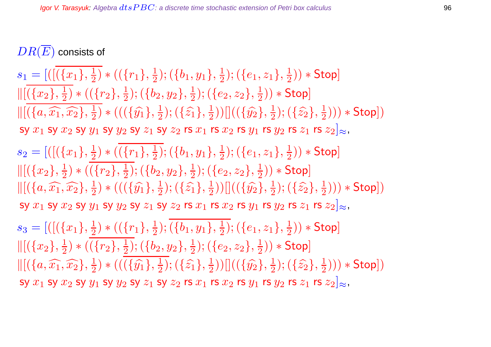$DR(\overline{E})$  consists of

 $s_1 = [([({x_1}, {x_1})^2$  $\frac{1}{2}$ ) \* (( $\{r_1\},\frac{1}{2}$  $(\frac{1}{2}); (\{b_1, y_1\}, \frac{1}{2})$  $(\{e_1,z_1\},\frac{1}{2})$  $(\frac{1}{2})$   $*$  Stop]  $\|[(x_2], \frac{1}{2}]$  $\frac{1}{2}$ ) \* (( $\{r_2\},\frac{1}{2}$  $(\{b_2,y_2\},\frac{1}{2})$  $(\{e_2,z_2\},\frac{1}{2})$  $(\frac{1}{2})$   $*$  Stop]  $\| [ (\{a, \widehat{x_1}, \widehat{x_2}\}, \frac{1}{2}]$  $(\{\hat{y_1}\},\frac{1}{2})$  \* (( $(\{\hat{y_1}\},\frac{1}{2})$  $(\{\hat{z_1}\},\{\{2\}\})$  $(\frac{1}{2}))[[((\{\hat{y_2}\},\frac{1}{2}% )^{2}](\vec{y_1}+\vec{y_2})]$  $(\{\hat{z_2}\},\frac{1}{2})$  $(\frac{1}{2}))) * \mathsf{Stop}])$ sy  $x_1$  sy  $x_2$  sy  $y_1$  sy  $y_2$  sy  $z_1$  sy  $z_2$  rs  $x_1$  rs  $x_2$  rs  $y_1$  rs  $y_2$  rs  $z_1$  rs  $z_2|_{\approx}$ ,  $s_2 = [([({x_1}, \frac{1}{2}$  $\frac{1}{2}$ ) \* (( $\{r_1\},\frac{1}{2}$  $(\{b_1,y_1\},\frac{1}{2})$  $(\{e_1,z_1\},\frac{1}{2})$  $(\frac{1}{2})$   $*$  Stop]  $\|[(x_2], \frac{1}{2}]$  $\frac{1}{2}$ ) \* (( $\{r_2\},\frac{1}{2}$  $(\{b_2,y_2\},\frac{1}{2})$  $(\{e_2,z_2\},\frac{1}{2})$  $(\frac{1}{2})$   $*$  Stop]  $\| [ (\{a, \widehat{x_1}, \widehat{x_2}\}, \frac{1}{2}]$  $(\{\hat{y_1}\},\frac{1}{2})$  \* (( $(\{\hat{y_1}\},\frac{1}{2})$  $(\{\hat{z_1}\},\{\{2\}\})$  $(\frac{1}{2})) [ ] (({\hat{y_2}}, \frac{1}{2})$  $(\{\hat{z_2}\},\frac{1}{2})$  $(\frac{1}{2}))) * \mathsf{Stop}])$ sy  $x_1$  sy  $x_2$  sy  $y_1$  sy  $y_2$  sy  $z_1$  sy  $z_2$  rs  $x_1$  rs  $x_2$  rs  $y_1$  rs  $y_2$  rs  $z_1$  rs  $z_2]_{\approx}$ ,

 $s_3 = [([({x_1}, {x_2})$  $(\{r_1\},\frac{1}{2})$  $(\{b_1,y_1\},\frac{1}{2})$  $(\{e_1,z_1\},\frac{1}{2})$  $(\frac{1}{2})$   $*$  Stop]  $\|[(x_2], \frac{1}{2}]$  $\frac{1}{2}$ ) \* (( $\{r_2\},\frac{1}{2}$  $(\{b_2,y_2\},\frac{1}{2})$  $(\{e_2,z_2\},\frac{1}{2})$  $(\frac{1}{2})$   $*$  Stop]  $\| [ (\{a, \widehat{x_1}, \widehat{x_2}\}, \frac{1}{2}]$  $(\{\hat{y_1}\},\frac{1}{2})$  \*  $(((\{\hat{y_1}\},\frac{1}{2})$  $(\{\hat{z_1}\},\{\{2\}\})$  $(\frac{1}{2}))[[((\{\hat{y_2}\},\frac{1}{2}% )^{2}](\vec{y_1}+\vec{y_2})^2]$  $(\{\hat{z_2}\},\frac{1}{2})$  $(\frac{1}{2}))) * \mathsf{Stop}])$ sy  $x_1$  sy  $x_2$  sy  $y_1$  sy  $y_2$  sy  $z_1$  sy  $z_2$  rs  $x_1$  rs  $x_2$  rs  $y_1$  rs  $y_2$  rs  $z_1$  rs  $z_2|_{\approx}$ ,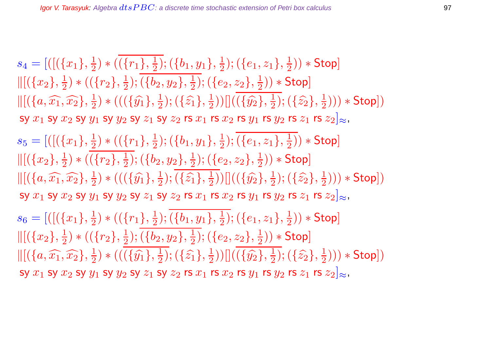$s_4 = [([({x_1}, {x_1})^2$  $(\{r_1\},\frac{1}{2})$  $(\{b_1,y_1\},\frac{1}{2})$  $(\{e_1,z_1\},\frac{1}{2})$  $(\frac{1}{2})$   $*$  Stop]  $\|[(x_2], \frac{1}{2}]$  $\frac{1}{2}$ ) \* (( $\{r_2\},\frac{1}{2}$  $(\{b_2,y_2\},\frac{1}{2})$  $(\{e_2,z_2\},\frac{1}{2})$  $(\frac{1}{2})$   $*$  Stop]  $\| [ (\{a, \widehat{x_1}, \widehat{x_2}\}, \frac{1}{2}]$  $(\{\hat{y_1}\},\frac{1}{2})$  \* (( $(\{\hat{y_1}\},\frac{1}{2})$  $(\{\hat{z_1}\},\{\{2\}\})$  $(\frac{1}{2}))[[((\{\hat{y_2}\},\frac{1}{2}% )^{2}](\vec{y_1}+\vec{y_2})^2]$  $(\{\hat{z_2}\},\frac{1}{2})$  $(\frac{1}{2}))) * \mathsf{Stop}])$ sy  $x_1$  sy  $x_2$  sy  $y_1$  sy  $y_2$  sy  $z_1$  sy  $z_2$  rs  $x_1$  rs  $x_2$  rs  $y_1$  rs  $y_2$  rs  $z_1$  rs  $z_2|_{\approx}$ ,  $s_5 = [([({x_1}, \frac{1}{2}$  $\frac{1}{2}$ ) \* (( $\{r_1\},\frac{1}{2}$  $(\frac{1}{2}); (\{b_1, y_1\}, \frac{1}{2})$  $(\{e_1,z_1\},\frac{1}{2})$  $(\frac{1}{2})$   $*$  Stop]  $\|[(x_2], \frac{1}{2}]$  $(\overline{\{r_2\}},\frac{1}{2})$  $(\{b_2,y_2\},\frac{1}{2})$  $(\{e_2,z_2\},\frac{1}{2})$  $(\frac{1}{2})$   $*$  Stop]  $\| [ (\{a, \widehat{x_1}, \widehat{x_2}\}, \frac{1}{2}]$  $(\{\hat{y_1}\},\frac{1}{2})$  \* (( $(\{\hat{y_1}\},\frac{1}{2})$  $(\{\widehat{z_1}\},\{\frac{1}{2}\})$  $(\frac{1}{2}))[[((\{\hat{y_2}\},\frac{1}{2}% )^{2}](\vec{y_1}+\vec{y_2})^2]$  $(\{\hat{z_2}\},\{\frac{1}{2}\})$  $(\frac{1}{2}))) * \mathsf{Stop}])$ sy  $x_1$  sy  $x_2$  sy  $y_1$  sy  $y_2$  sy  $z_1$  sy  $z_2$  rs  $x_1$  rs  $x_2$  rs  $y_1$  rs  $y_2$  rs  $z_1$  rs  $z_2]_{\approx}$ ,  $s_6 = [([({x_1}, \frac{1}{2}$  $\frac{1}{2}$ ) \* (( $\{r_1\}, \frac{1}{2}$  $(\{b_1,y_1\},\frac{1}{2})$  $(\{e_1,z_1\},\frac{1}{2})$  $(\frac{1}{2})$   $*$  Stop]  $\|[(x_2), \frac{1}{2}]$  $(\overline{\{r_2\}},\frac{1}{2})$  $(\{b_2,y_2\},\frac{1}{2})$  $(\{e_2,z_2\},\frac{1}{2})$  $(\frac{1}{2})$   $*$  Stop]  $\| [ (\{a, \widehat{x_1}, \widehat{x_2}\}, \frac{1}{2}]$  $(\{\hat{y_1}\},\frac{1}{2})$  \* (( $(\{\hat{y_1}\},\frac{1}{2})$  $(\{\hat{z_1}\},\{\{2\}\})$  $(\frac{1}{2}))[[((\{\hat{y_2}\},\frac{1}{2}$  $(\{\hat{z_2}\},\frac{1}{2})$  $(\frac{1}{2}))) * \mathsf{Stop}])$ sy  $x_1$  sy  $x_2$  sy  $y_1$  sy  $y_2$  sy  $z_1$  sy  $z_2$  rs  $x_1$  rs  $x_2$  rs  $y_1$  rs  $y_2$  rs  $z_1$  rs  $z_2|_{\approx}$ ,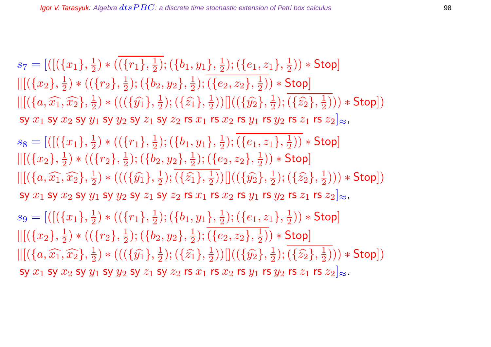$s_7=[([(\lbrace x_1 \rbrace , \frac{1}{2}$  $(\frac{1}{2}) * ((r_1), \frac{1}{2})$  $(\{b_1,y_1\},\frac{1}{2})$  $(\{e_1,z_1\},\frac{1}{2})$  $(\frac{1}{2})$   $*$  Stop]  $\|[(\{x_2\},\frac{1}{2}]$  $(\overline{\{r_2\}},\frac{1}{2})$  $(\{b_2,y_2\},\frac{1}{2})$  $(\{e_2,z_2\},\frac{1}{2})$  $(\frac{1}{2})$   $*$  Stop]  $\| [ (\{a, \widehat{x_1}, \widehat{x_2}\}, \frac{1}{2}]$  $(\{ \widehat{y_1} \}, \frac{1}{2})$  \*  $(((\{\widehat{y_1}\}, \frac{1}{2})$  $(\{\hat{z_1}\},\{\{2\}\})$  $(\frac{1}{2}))[[((\{\hat{y_2}\},\frac{1}{2}% )^{2}](\vec{y_1}+\vec{y_2})]$  $(\{z_2\},\frac{1}{2})$  $(\frac{1}{2}))) * \mathsf{Stop}])$ sy  $x_1$  sy  $x_2$  sy  $y_1$  sy  $y_2$  sy  $z_1$  sy  $z_2$  rs  $x_1$  rs  $x_2$  rs  $y_1$  rs  $y_2$  rs  $z_1$  rs  $z_2]_{\approx}$ ,  $s_8 = [([({x_1}, \frac{1}{2}$  $(\frac{1}{2}) * ((r_1), \frac{1}{2})$  $(\{b_1,y_1\},\frac{1}{2})$  $(\{e_1,z_1\},\frac{1}{2})$  $(\frac{1}{2})$   $*$  Stop]  $\|[(x_2], \frac{1}{2}]$  $\frac{1}{2}$ ) \* (( $\{r_2\},\frac{1}{2}$  $(\{b_2,y_2\},\frac{1}{2})$  $(\{e_2,z_2\},\frac{1}{2})$  $(\frac{1}{2})$   $*$  Stop]  $\| [ (\{a, \widehat{x_1}, \widehat{x_2}\}, \frac{1}{2}]$  $(\{\hat{y_1}\},\frac{1}{2})$  \* (( $(\{\hat{y_1}\},\frac{1}{2})$  $(\{\hat{z_1}\},\{\{2\}\})$  $(\frac{1}{2}))[[((\{\hat{y_2}\},\frac{1}{2}% )^{2}](\vec{y_1}+\vec{y_2})]$  $(\{\hat{z_2}\},\frac{1}{2})$  $(\frac{1}{2}))) * \mathsf{Stop}])$ sy  $x_1$  sy  $x_2$  sy  $y_1$  sy  $y_2$  sy  $z_1$  sy  $z_2$  rs  $x_1$  rs  $x_2$  rs  $y_1$  rs  $y_2$  rs  $z_1$  rs  $z_2|_{\approx}$ ,  $s_9 = [([({x_1}, \frac{1}{2}$  $\frac{1}{2}$ ) \* (( $\{r_1\},\frac{1}{2}$  $(\{b_1,y_1\},\frac{1}{2})$  $(\{e_1,z_1\},\frac{1}{2})$  $(\frac{1}{2})$   $*$  Stop]  $\|[(\{x_2\},\frac{1}{2}]$  $\frac{1}{2}$ ) \* (( $\{r_2\},\frac{1}{2}$  $(\{b_2,y_2\},\frac{1}{2})$  $(\{e_2,z_2\},\frac{1}{2})$  $(\frac{1}{2})$   $*$  Stop]  $\| [ (\{a, \widehat{x_1}, \widehat{x_2}\}, \frac{1}{2}]$  $(\{\hat{y_1}\},\frac{1}{2})$  \* (( $(\{\hat{y_1}\},\frac{1}{2})$  $(\{\hat{z_1}\},\{\{2\}\})$  $(\frac{1}{2}))[[((\{\hat{y_2}\},\frac{1}{2}% )^{2}](\vec{y_1}+\vec{y_2})^2]$  $(\{\hat{z_2}\},\frac{1}{2})$  $(\frac{1}{2}))) * \mathsf{Stop}])$ sy  $x_1$  sy  $x_2$  sy  $y_1$  sy  $y_2$  sy  $z_1$  sy  $z_2$  rs  $x_1$  rs  $x_2$  rs  $y_1$  rs  $y_2$  rs  $z_1$  rs  $z_2|_{\approx}$ .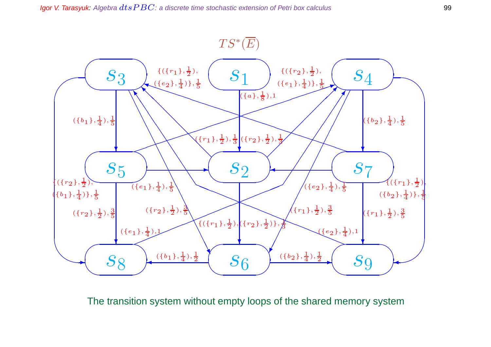

The transition system without empty loops of the shared memory system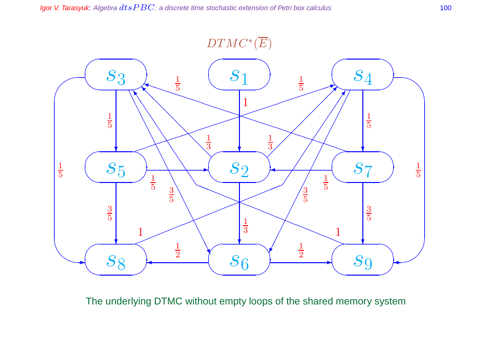

The underlying DTMC without empty loops of the shared memory system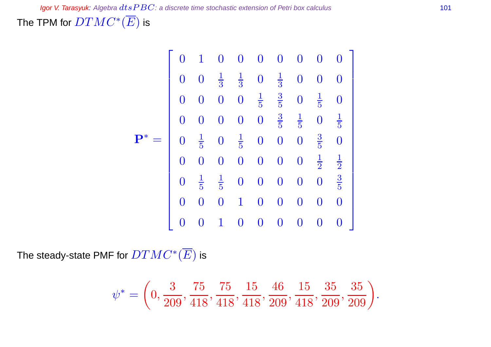The TPM for  $DTMC^*(\overline{E})$  is

$$
\mathbf{P}^* = \begin{bmatrix} 0 & 1 & 0 & 0 & 0 & 0 & 0 & 0 & 0 & 0 \\ 0 & 0 & \frac{1}{3} & \frac{1}{3} & 0 & \frac{1}{3} & 0 & 0 & 0 \\ 0 & 0 & 0 & 0 & \frac{1}{5} & \frac{3}{5} & 0 & \frac{1}{5} & 0 \\ 0 & 0 & 0 & 0 & 0 & \frac{3}{5} & \frac{1}{5} & 0 & \frac{1}{5} \\ 0 & \frac{1}{5} & 0 & \frac{1}{5} & 0 & 0 & 0 & \frac{3}{5} & 0 \\ 0 & 0 & 0 & 0 & 0 & 0 & 0 & \frac{1}{2} & \frac{1}{2} \\ 0 & \frac{1}{5} & \frac{1}{5} & 0 & 0 & 0 & 0 & 0 & \frac{3}{5} \\ 0 & 0 & 0 & 1 & 0 & 0 & 0 & 0 & 0 \\ 0 & 0 & 1 & 0 & 0 & 0 & 0 & 0 & 0 \end{bmatrix}
$$

The steady-state PMF for  $DTMC^*(\overline{E})$  is

$$
\psi^* = \left(0, \frac{3}{209}, \frac{75}{418}, \frac{75}{418}, \frac{15}{418}, \frac{46}{209}, \frac{15}{418}, \frac{35}{209}, \frac{35}{209}\right).
$$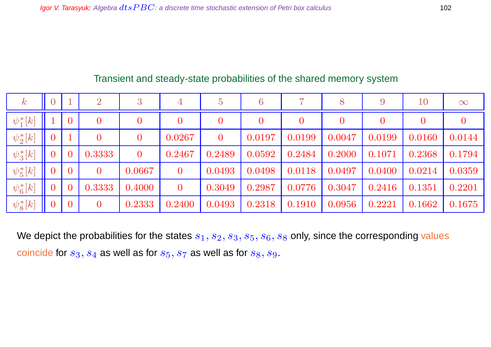| $\,k$               |                |                | $\overline{2}$   | 3                | 4              | $\overline{5}$ | 6        | 7                | 8              |        | $10\,$         | $\infty$       |
|---------------------|----------------|----------------|------------------|------------------|----------------|----------------|----------|------------------|----------------|--------|----------------|----------------|
| $\ket{\psi^*_1[k]}$ |                | $\overline{0}$ | $\boldsymbol{0}$ | $\boldsymbol{0}$ | $\overline{0}$ | $\overline{0}$ | $\bf{0}$ | $\boldsymbol{0}$ | $\overline{0}$ |        | $\overline{0}$ | $\overline{0}$ |
| $\psi_2^*[k]$       | $\overline{0}$ |                | $\overline{0}$   | $\boldsymbol{0}$ | 0.0267         | $\overline{0}$ | 0.0197   | 0.0199           | 0.0047         | 0.0199 | 0.0160         | 0.0144         |
| $\psi_3^*[k]$       | $\overline{0}$ | $\overline{0}$ | 0.3333           | $\overline{0}$   | 0.2467         | 0.2489         | 0.0592   | 0.2484           | 0.2000         | 0.1071 | 0.2368         | 0.1794         |
| $\psi_5^*[k]$       | $\overline{0}$ | $\overline{0}$ | $\overline{0}$   | 0.0667           | $\overline{0}$ | 0.0493         | 0.0498   | 0.0118           | 0.0497         | 0.0400 | 0.0214         | 0.0359         |
| $\psi_6^*[k]$       | $\overline{0}$ | $\overline{0}$ | 0.3333           | 0.4000           | $\overline{0}$ | 0.3049         | 0.2987   | 0.0776           | 0.3047         | 0.2416 | 0.1351         | 0.2201         |
| $\psi_8^*[k]$       | $\overline{0}$ | $\overline{0}$ | $\overline{0}$   | 0.2333           | 0.2400         | 0.0493         | 0.2318   | 0.1910           | 0.0956         | 0.2221 | 0.1662         | 0.1675         |

# Transient and steady-state probabilities of the shared memory system

We depict the probabilities for the states  $s_1, s_2, s_3, s_5, s_6, s_8$  only, since the corresponding values coincide for  $s_3, s_4$  as well as for  $s_5, s_7$  as well as for  $s_8, s_9$ .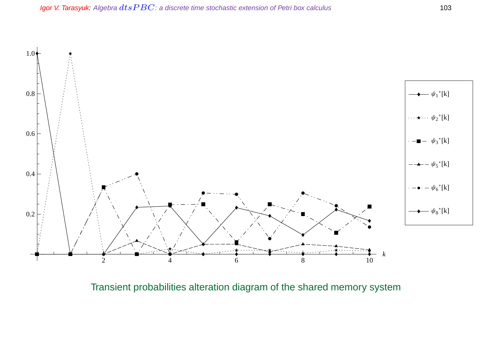

Transient probabilities alteration diagram of the shared memory system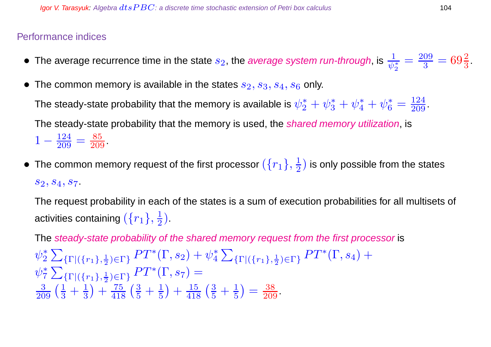# Performance indices

- $\bullet\,$  The average recurrence time in the state  $s_2$ , the *average system run-through*, is  $\frac{1}{\psi_2^*}$  $=\frac{209}{3}$  $\frac{09}{3} = 69\frac{2}{3}$ .
- The common memory is available in the states  $s_2, s_3, s_4, s_6$  only.

The steady-state probability that the memory is available is  $\psi_2^*+\psi_3^*+\psi_4^*+\psi_6^*=\frac{124}{209}.$ The steady-state probability that the memory is used, the *shared memory utilization*, is

 $1-\frac{124}{209}$  $\frac{124}{209} = \frac{85}{209}$ .

 $\bullet~$  The common memory request of the first processor  $(\{r_1\},\frac{1}{2})$  $\frac{1}{2}$ ) is only possible from the states  $s_2, s_4, s_7.$ 

The request probability in each of the states is a sum of execution probabilities for all multisets of activities containing  $(\{r_1\},\frac{1}{2})$  $\frac{1}{2}$ ).

The steady-state probability of the shared memory request from the first processor is

 $\psi_2^*$ 2  $\sum$  $\{\Gamma | (\{r_1\},\frac{1}{2})\}$  $\frac{1}{2}$ <sub>2</sub>)  $\in$   $\Gamma$   $\}$   $PT^*(\Gamma,s_2) + \psi^*_4$ 4  $\sum$  $\{\Gamma | (\{r_1\},\frac{1}{2})\}$  $\frac{1}{2}$ <sub>2</sub>  $\in$   $\Gamma$ <sup>3</sup>  $\left( \Gamma, s_4 \right)$  +  $\psi_7^*$ 7  $\sum$  $\{\Gamma | (\{r_1\},\frac{1}{2})\}$  $\frac{1}{2}$ <sub>2</sub>  $\in$   $\Gamma$ <sup>3</sup> $P$ <sup> $\Gamma$ </sup><sup>\*</sup> $(\Gamma, s_7)$  =  $\frac{3}{209} \left( \frac{1}{3} + \frac{1}{3} \right)$ 3  $+\frac{75}{418}(\frac{3}{5}+\frac{1}{5})$ 5  $+\frac{15}{418}(\frac{3}{5}+\frac{1}{5})$ 5  $=$   $\frac{38}{209}$ .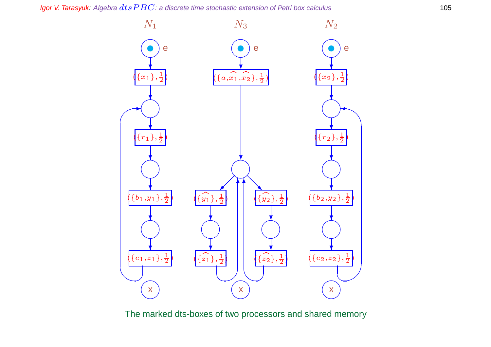Igor V. Tarasyuk: Algebra  $dtsPBC$ : a discrete time stochastic extension of Petri box calculus 105



The marked dts-boxes of two processors and shared memory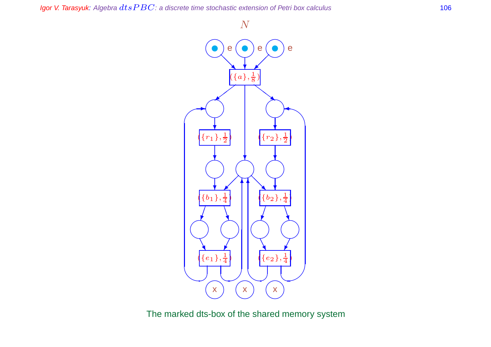Igor V. Tarasyuk: Algebra  $dtsPBC$ : a discrete time stochastic extension of Petri box calculus 106



The marked dts-box of the shared memory system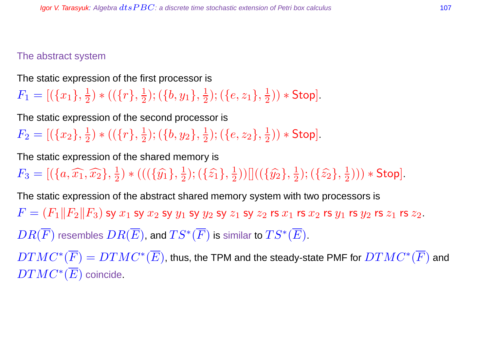## The abstract system

The static expression of the first processor is

 $F_1 = [(\{x_1\}, \frac{1}{2}]$  $(\overline{\{r\}},\frac{1}{2})$  $(\{b,y_1\},\frac{1}{2})$  $(\{e,z_1\},\frac{1}{2})$  $(\frac{1}{2})$   $*$  Stop].

The static expression of the second processor is

 $F_2= [(\{x_2\}, \frac{1}{2}$  $(\overline{\{r\}},\frac{1}{2})$  $(\{b,y_2\},\frac{1}{2})$  $(\{e,z_2\},\frac{1}{2})$  $(\frac{1}{2})$   $*$  Stop].

The static expression of the shared memory is

 $F_3 = [(\{a, \widehat{x_1}, \widehat{x_2}\}, \frac{1}{2}]$  $(\{\hat{y_1}\},\frac{1}{2})$  \* (( $(\{\hat{y_1}\},\frac{1}{2})$  $(\{\hat{z_1}\},\{\{2\}\})$  $(\frac{1}{2}))[[((\{\hat{y_2}\},\frac{1}{2}% )^{2}](\vec{y_1}+\vec{y_2})^2]$  $(\{\hat{z_2}\},\frac{1}{2})$  $(\frac{1}{2}))) *$  Stop].

The static expression of the abstract shared memory system with two processors is  $F = (F_1||F_2||F_3)$  sy  $x_1$  sy  $x_2$  sy  $y_1$  sy  $y_2$  sy  $z_1$  sy  $z_2$  rs  $x_1$  rs  $x_2$  rs  $y_1$  rs  $y_2$  rs  $z_1$  rs  $z_2$ .  $DR(\overline{F})$  resembles  $DR(\overline{E})$ , and  $TS^*(\overline{F})$  is similar to  $TS^*(\overline{E})$ .

 $DTMC^*(\overline{F})=DTMC^*(\overline{E})$ , thus, the TPM and the steady-state PMF for  $DTMC^*(\overline{F})$  and  $DTMC^*(\overline{E})$  coincide.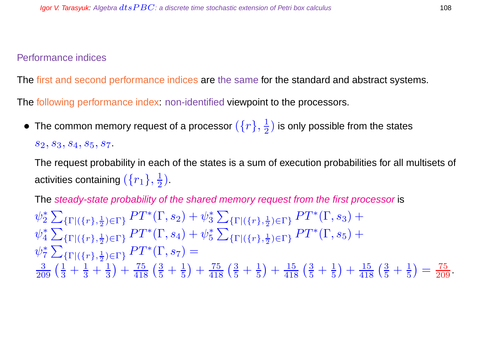#### Performance indices

The first and second performance indices are the same for the standard and abstract systems.

The following performance index: non-identified viewpoint to the processors.

• The common memory request of a processor  $(\{r\},\frac{1}{2})$  $\frac{1}{2}$ ) is only possible from the states  $S_2, S_3, S_4, S_5, S_7.$ 

The request probability in each of the states is a sum of execution probabilities for all multisets of activities containing  $(\{r_1\},\frac{1}{2})$  $\frac{1}{2}$ .

The steady-state probability of the shared memory request from the first processor is  $\psi_2^*$ 2  $\sum$  $\{\Gamma | (\{r\},\frac{1}{2})\}$  $\frac{1}{2}$ <sub>( $\Gamma$ }</sub>  $PT^*(\Gamma,s_2)+\psi_3^*$ 3  $\sum$  $\{\Gamma | (\{r\},\frac{1}{2})\}$  $\frac{1}{2}$ <sub>2</sub>  $\in$   $\Gamma$ <sup>3</sup>  $PT$ <sup>\*</sup> $(\Gamma, s_3)$  +  $\psi_4^*$ 4  $\sum$  $\{\Gamma | (\{r\},\frac{1}{2})\}$  $\frac{1}{2}$ <sub>2</sub>)  $\in$   $\Gamma$  }  $PT^*(\Gamma,s_4)+\psi_5^*$ 5  $\sum$  $\{\Gamma | (\{r\},\frac{1}{2})\}$  $\frac{1}{2}$ <sub>2</sub>  $\in$   $\Gamma$ <sup>3</sup>  $PT^*(\Gamma, s_5)$  +  $\psi_7^*$ 7  $\sum$  $\{\Gamma | (\{r\},\frac{1}{2})\}$  $\frac{1}{2}$ <sub>2</sub>  $\in$   $\Gamma$ <sup>3</sup> $P$ <sup> $\Gamma$ </sup><sup>\*</sup> $(\Gamma, s_7)$  =  $\frac{3}{209}\left(\frac{1}{3} + \frac{1}{3} + \frac{1}{3}\right)$ 3  $+\frac{75}{418}(\frac{3}{5}+\frac{1}{5})$ 5  $+ \frac{75}{418} \left(\frac{3}{5} + \frac{1}{5}\right)$ 5  $+\frac{15}{418}(\frac{3}{5}+\frac{1}{5})$ 5  $+\frac{15}{418}(\frac{3}{5}+\frac{1}{5})$ 5  $=$   $\frac{75}{209}$ .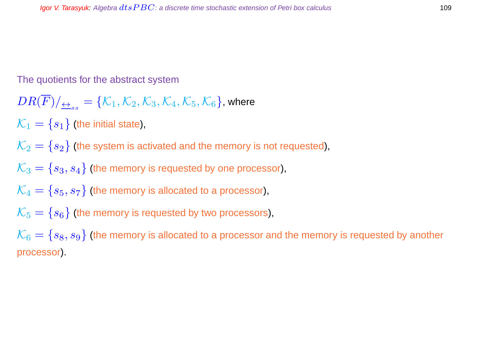#### The quotients for the abstract system

$$
DR(\overline{F})/\underline{\leftrightarrow}_{ss} = \{\mathcal{K}_1, \mathcal{K}_2, \mathcal{K}_3, \mathcal{K}_4, \mathcal{K}_5, \mathcal{K}_6\}, \text{where}
$$

 $\mathcal{K}_1 = \{s_1\}$  (the initial state),

$$
\mathcal{K}_2 = \{s_2\}
$$
 (the system is activated and the memory is not requested),

$$
\mathcal{K}_3 = \{s_3, s_4\}
$$
 (the memory is requested by one processor),

$$
\mathcal{K}_4 = \{s_5, s_7\}
$$
 (the memory is allocated to a processor),

$$
\mathcal{K}_5 = \{s_6\}
$$
 (the memory is requested by two processors),

 $\mathcal{K}_6 = \{s_8, s_9\}$  (the memory is allocated to a processor and the memory is requested by another processor).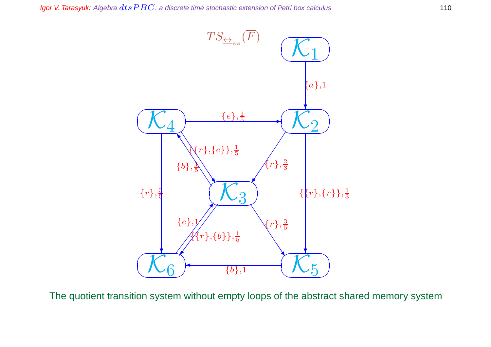

The quotient transition system without empty loops of the abstract shared memory system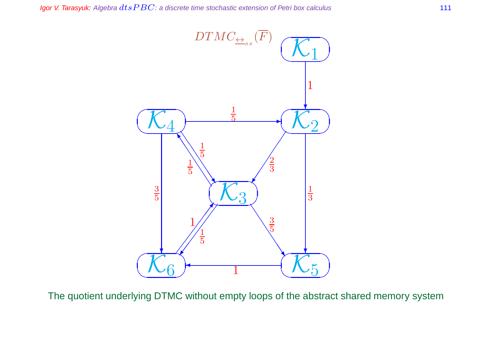

The quotient underlying DTMC without empty loops of the abstract shared memory system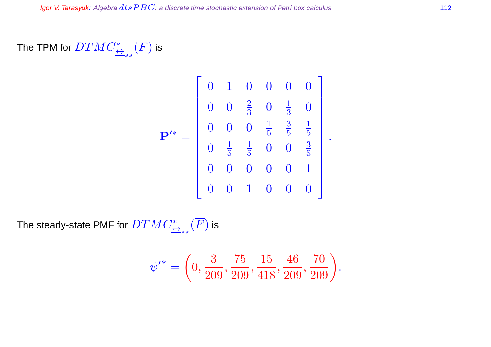# The TPM for  $DTMC^*_{\overline{\leftrightarrow}_{ss}}(\overline{F})$  is

$$
\mathbf{P}^{\prime*} = \left[ \begin{array}{ccccccc} 0 & 1 & 0 & 0 & 0 & 0 \\ 0 & 0 & \frac{2}{3} & 0 & \frac{1}{3} & 0 \\ 0 & 0 & 0 & \frac{1}{5} & \frac{3}{5} & \frac{1}{5} \\ 0 & \frac{1}{5} & \frac{1}{5} & 0 & 0 & \frac{3}{5} \\ 0 & 0 & 0 & 0 & 0 & 1 \\ 0 & 0 & 1 & 0 & 0 & 0 \end{array} \right].
$$

The steady-state PMF for  $DTMC^*_{\overline{\leftrightarrow}_{ss}}(\overline{F})$  is

$$
\psi^{\prime^*} = \left(0, \frac{3}{209}, \frac{75}{209}, \frac{15}{418}, \frac{46}{209}, \frac{70}{209}\right).
$$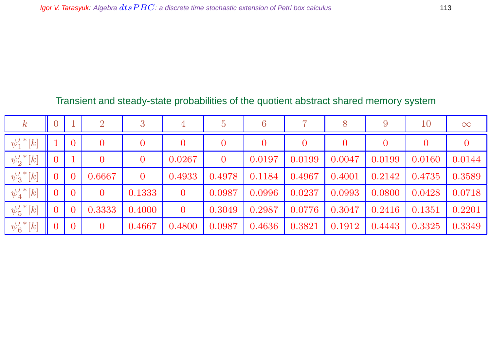## Transient and steady-state probabilities of the quotient abstract shared memory system

| $\,k$                      | $\overline{0}$ |                | $\overline{2}$    | 3              | $\overline{4}$ | $\overline{5}$ | 6        |                |        | 9              | 10             | $\infty$       |
|----------------------------|----------------|----------------|-------------------|----------------|----------------|----------------|----------|----------------|--------|----------------|----------------|----------------|
| $\psi_{1}'^{\,*}[k]$       |                | $\overline{0}$ | $\hspace{.08cm}0$ |                | $\overline{0}$ | $\bf{0}$       | $\bf{0}$ | $\overline{0}$ |        | $\overline{0}$ | $\overline{0}$ | $\overline{0}$ |
| $\psi_{2}'^{\,*}[k]$       | $\overline{0}$ |                | $\rm 0$           | $\overline{0}$ | 0.0267         | $\overline{0}$ | 0.0197   | 0.0199         | 0.0047 | 0.0199         | 0.0160         | 0.0144         |
| $\psi'_3$ <sup>*</sup> [k] | $\overline{0}$ | $\bf{0}$       | 0.6667            | $\mathbf{0}$   | 0.4933         | 0.4978         | 0.1184   | 0.4967         | 0.4001 | 0.2142         | 0.4735         | 0.3589         |
| $\psi'_4{}^*[k]$           | $\overline{0}$ | $\mathbf{0}$   | $\overline{0}$    | 0.1333         | $\overline{0}$ | 0.0987         | 0.0996   | 0.0237         | 0.0993 | 0.0800         | 0.0428         | 0.0718         |
| $\psi'_5$ <sup>*</sup> [k] | $\overline{0}$ | $\bf{0}$       | 0.3333            | 0.4000         | $\overline{0}$ | 0.3049         | 0.2987   | 0.0776         | 0.3047 | 0.2416         | 0.1351         | 0.2201         |
| $\psi'_6$ <sup>*</sup> [k] | $\overline{0}$ | $\overline{0}$ | $\overline{0}$    | 0.4667         | 0.4800         | 0.0987         | 0.4636   | 0.3821         | 0.1912 | 0.4443         | 0.3325         | 0.3349         |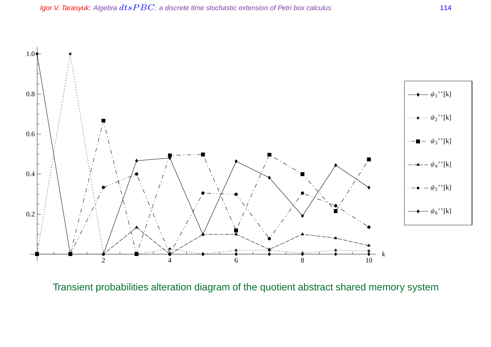

Transient probabilities alteration diagram of the quotient abstract shared memory system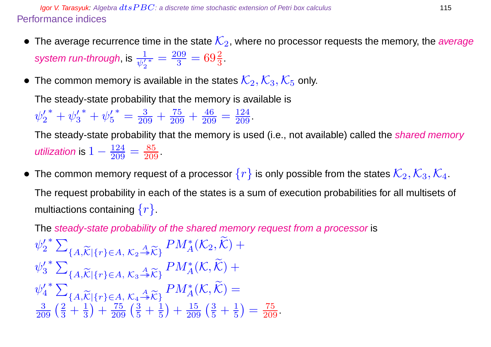**Igor V. Tarasyuk:** Algebra  $dt$ s  $PBC$ : a discrete time stochastic extension of Petri box calculus 115 Performance indices

- The average recurrence time in the state  $\mathcal{K}_2$ , where no processor requests the memory, the average system run-through, is  $\frac{1}{\psi_2'}$  $\frac{1}{\ast} = \frac{209}{3}$  $\frac{09}{3} = 69\frac{2}{3}$ .
- The common memory is available in the states  $\mathcal{K}_2, \mathcal{K}_3, \mathcal{K}_5$  only.

The steady-state probability that the memory is available is

 $\psi_2'$  $y_2'^* + \psi_3'$  $\frac{7}{3}^* + \psi'_5$ 5  $* = \frac{3}{209} + \frac{75}{209} + \frac{46}{209}$  $\frac{46}{209} = \frac{124}{209}$ .

The steady-state probability that the memory is used (i.e., not available) called the *shared memory* utilization is  $1-\frac{124}{209}$  $\frac{124}{209} = \frac{85}{209}$ 

• The common memory request of a processor  $\{r\}$  is only possible from the states  $\mathcal{K}_2, \mathcal{K}_3, \mathcal{K}_4$ . The request probability in each of the states is a sum of execution probabilities for all multisets of multiactions containing  $\{r\}$ .

The steady-state probability of the shared memory request from a processor is  $\psi_2'$ 2  $*$   $\sum$  ${A,\widetilde{\mathcal{K}}|\{r\}\in A, \, \mathcal{K}_2 \stackrel{A}{\twoheadrightarrow} \widetilde{\mathcal{K}}}\}$  $PM_{A}^{*}(\mathcal{K}_2, \tilde{\mathcal{K}})+$  $\psi_3'$ 3  $*$   $\sum$  ${A,\widetilde{\mathcal{K}}|\{r\}\in A, \, \mathcal{K}_3 \stackrel{A}{\twoheadrightarrow} \widetilde{\mathcal{K}}}\}$  $PM_A^*(\mathcal{K}, \widetilde{\mathcal{K}})+$  $\psi'_4$ 4 \*  $\sum_{\{A, \widetilde{K} \mid \{r\} \in A, \mathcal{K}_A \stackrel{A}{\rightarrow} \widetilde{K}\}} PM_A^*(\mathcal{K}, \widetilde{\mathcal{K}}) =$  $\frac{3}{209}\left(\frac{2}{3} + \frac{1}{3}\right) + \frac{75}{209}\left(\frac{3}{5} + \frac{1}{5}\right)$ 3  $+\frac{75}{209}(\frac{3}{5}+\frac{1}{5})$ 5  $+\frac{15}{209}(\frac{3}{5}+\frac{1}{5})$ 5  $=$   $\frac{75}{209}$ .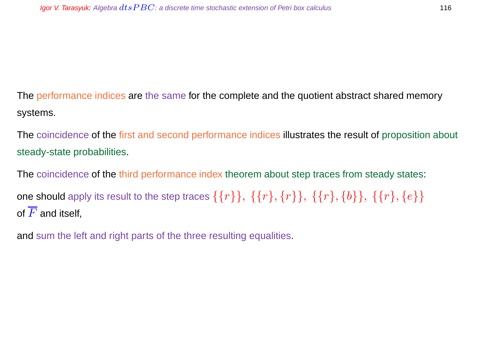The performance indices are the same for the complete and the quotient abstract shared memory systems.

The coincidence of the first and second performance indices illustrates the result of proposition about steady-state probabilities.

The coincidence of the third performance index theorem about step traces from steady states: one should apply its result to the step traces  $\{\{r\}\}, \{\{r\}, \{r\}\}, \{\{r\}, \{b\}\}, \{\{r\}, \{e\}\}\$ of  $\overline{F}$  and itself,

and sum the left and right parts of the three resulting equalities.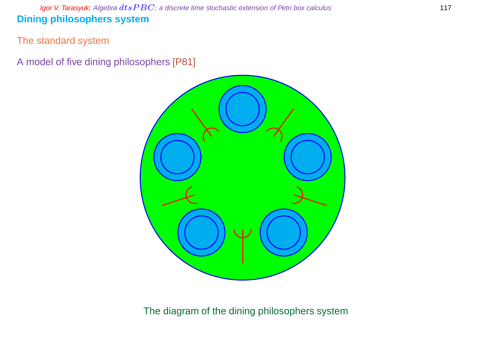Igor V. Tarasyuk: Algebra  $dtsPBC$ : a discrete time stochastic extension of Petri box calculus 117 **Dining philosophers system**

The standard system

A model of five dining philosophers [P81]



The diagram of the dining philosophers system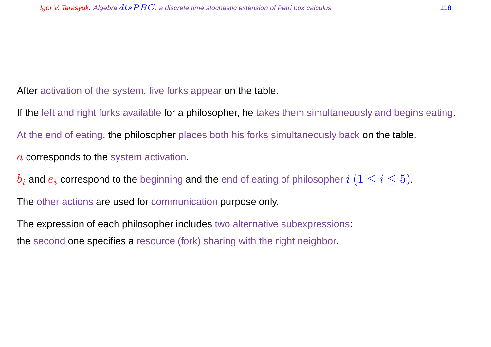After activation of the system, five forks appear on the table.

If the left and right forks available for a philosopher, he takes them simultaneously and begins eating. At the end of eating, the philosopher places both his forks simultaneously back on the table. a corresponds to the system activation.

 $b_i$  and  $e_i$  correspond to the beginning and the end of eating of philosopher  $i$   $(1 \leq i \leq 5)$ .

The other actions are used for communication purpose only.

The expression of each philosopher includes two alternative subexpressions: the second one specifies a resource (fork) sharing with the right neighbor.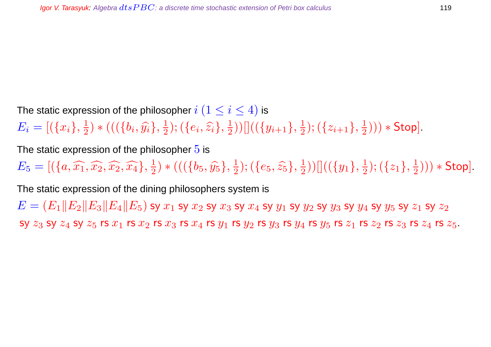The static expression of the philosopher  $i$   $(1 \leq i \leq 4)$  is  $E_i = [(\{x_i\}, \frac{1}{2})]$  $(\{b_i, \widehat{y_i}\}, \frac{1}{2})$  $(\{e_i,\widehat{z_i}\},\frac{1}{2})$  $(\frac{1}{2}))[((\{y_{i+1}\},\frac{1}{2}% ,\{y_{i+1}\},\frac{1}{2})^2)]$  $(\{z_{i+1}\},\frac{1}{2})$  $(\frac{1}{2}))) *$  Stop].

The static expression of the philosopher  $5$  is

 $E_5 = [ (\{a, \widehat{x_1}, \widehat{x_2}, \widehat{x_2}, \widehat{x_4} \}, \frac{1}{2}]$  $(\{b_5, \hat{y_5}\}, \frac{1}{2})$  $(\{e_5, \widehat{z_5}\}, \frac{1}{2})$  $(\overline{\{y_1\}},\frac{1}{2}))[](\overline{\{y_1\}},\frac{1}{2})$  $(\{z_1\},\frac{1}{2})$  $(\frac{1}{2}))) *$  Stop].

The static expression of the dining philosophers system is

 $E = (E_1||E_2||E_3||E_4||E_5)$  sy  $x_1$  sy  $x_2$  sy  $x_3$  sy  $x_4$  sy  $y_1$  sy  $y_2$  sy  $y_3$  sy  $y_4$  sy  $y_5$  sy  $z_1$  sy  $z_2$ SV  $z_3$  SV  $z_4$  SV  $z_5$  rs  $x_1$  rs  $x_2$  rs  $x_3$  rs  $x_4$  rs  $y_1$  rs  $y_2$  rs  $y_3$  rs  $y_4$  rs  $z_1$  rs  $z_1$  rs  $z_2$  rs  $z_3$  rs  $z_4$  rs  $z_5$ .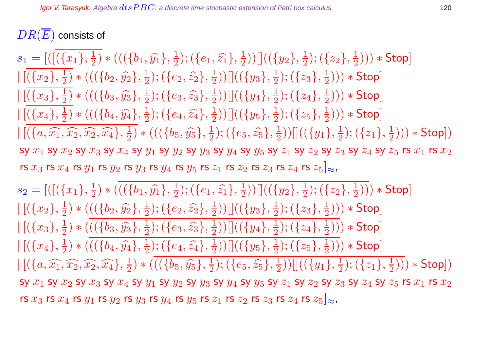## $DR(\overline{E})$  consists of

 $s_1 = [([({x_1}, \frac{1}{2}$  $(\{b_1,\widehat{y_1}\},\frac{1}{2})$  $(\{e_1,\widehat{z_1}\},\frac{1}{2})$  $(\overline{\frac{1}{2}}))[[((\overline{\{y_2\}}, \frac{1}{2}%$  $(\{z_2\},\frac{1}{2})$  $(\frac{1}{2}))) *$  Stop]  $\|[(x_2], \frac{1}{2}]$  $(\{\bigr\{\{b_2,\widehat{y_2}\},\frac{1}{2}\}$  $(\{e_2,\widehat{z_2}\},\frac{1}{2})$  $(\overline{\frac{1}{2}}))[[((\overline{\{y_3\}}, \overline{\frac{1}{2}}))$  $(\{z_3\},\frac{1}{2})$  $(\frac{1}{2}))) *$  Stop]  $\|[(x_3), \frac{1}{2}]$  $(\{b_3, \hat{y_3}\}, \frac{1}{2})$  $(\{e_3,\widehat{z_3}\},\frac{1}{2})$  $(\{y_4\},\frac{1}{2})$  $(\{z_4\},\frac{1}{2})$  $(\frac{1}{2}))) *$  Stop]  $\|[(x_4), \frac{1}{2}]$  $(\overline{\left( \{ b_4, \widehat{y_4} \right\}}, \frac{1}{2})$  $(\{e_4, \widehat{z_4}\}, \frac{1}{2})$  $(\overline{\frac{1}{2}}))[[((\overline{\{y_5\}},\frac{1}{2}%$  $(\{z_5\},\frac{1}{2})$  $(\frac{1}{2}))) *$  Stop]  $\Vert [(\lbrace a,\widehat{x_1},\widehat{x_2},\widehat{x_2},\widehat{x_4}\rbrace,\frac{1}{2}]$  $(\{b_5, \hat{y_5}\}, \frac{1}{2})$  $(\{e_5, \widehat{z_5}\}, \frac{1}{2})$  $(\overline{\{y_1\}},\frac{1}{2}))[](\overline{\{y_1\}},\frac{1}{2})$  $(\{z_1\},\frac{1}{2})$  $(\frac{1}{2}))) * \mathsf{Stop}])$ sy  $x_1$  sy  $x_2$  sy  $x_3$  sy  $x_4$  sy  $y_1$  sy  $y_2$  sy  $y_3$  sy  $y_4$  sy  $y_5$  sy  $z_1$  sy  $z_2$  sy  $z_3$  sy  $z_4$  sy  $z_5$  rs  $x_1$  rs  $x_2$ rs  $x_3$  rs  $x_4$  rs  $y_1$  rs  $y_2$  rs  $y_3$  rs  $y_4$  rs  $y_5$  rs  $z_1$  rs  $z_2$  rs  $z_3$  rs  $z_4$  rs  $z_5\rvert_\approx$ ,

 $s_2 = [([({x_1}, \frac{1}{2}$  $(\overline{\left(\{b_1,\widehat{y_1}\},\frac{1}{2}\right)}$  $(\{e_1,\widehat{z_1}\},\frac{1}{2})$  $(\overline{\frac{1}{2}}))[[((\overline{\{y_2\}}, \overline{\frac{1}{2}}))$  $(\{z_2\},\frac{1}{2})$  $(\frac{1}{2}))) *$  Stop]  $\|[(x_2], \frac{1}{2}]$  $(\frac{1}{2}) * ((\{b_2, \hat{y_2}\}, \frac{1}{2})$  $(\{e_2,\widehat{z_2}\},\frac{1}{2})$  $(\overline{\frac{1}{2}}))[[((\overline{\{y_3\}}, \overline{\frac{1}{2}}))$  $(\{z_3\},\frac{1}{2})$  $(\frac{1}{2}))) *$  Stop]  $\|[(x_3), \frac{1}{2}]$  $(\frac{1}{2}) * ((\{b_3, \hat{y_3}\}, \frac{1}{2})$  $(\{e_3,\widehat{z_3}\},\frac{1}{2})$  $(\{y_4\},\frac{1}{2})$  $(\{z_4\},\frac{1}{2})$  $(\frac{1}{2}))) *$  Stop]  $\|[(x_4), \frac{1}{2}]$  $(\{b_4, \widehat{y_4}\}, \frac{1}{2})$  $(\{e_4, \widehat{z_4}\}, \frac{1}{2})$  $(\frac{1}{2}))[[((\{y_5\},\frac{1}{2}% ,\{y_6\},\{y_7\},\{y_8\},\{y_8\},\{y_9\}])$  $(\{z_5\},\frac{1}{2})$  $(\frac{1}{2}))) *$  Stop]  $\Vert [(\lbrace a,\widehat{x_1},\widehat{x_2},\widehat{x_2},\widehat{x_4}\rbrace,\frac{1}{2}]$  $(\{b_5, \hat{y_5}\}, \frac{1}{2})$  $(\{e_5, \widehat{z_5}\}, \frac{1}{2})$  $(\overline{\{y_1\}},\frac{1}{2}))[](\overline{\{y_1\}},\frac{1}{2})$  $(\{z_1\},\frac{1}{2})$  $(\frac{1}{2}))) * \mathsf{Stop}])$ sy  $x_1$  sy  $x_2$  sy  $x_3$  sy  $x_4$  sy  $y_1$  sy  $y_2$  sy  $y_3$  sy  $y_4$  sy  $y_5$  sy  $z_1$  sy  $z_2$  sy  $z_3$  sy  $z_4$  sy  $z_5$  rs  $x_1$  rs  $x_2$ rs  $x_3$  rs  $x_4$  rs  $y_1$  rs  $y_2$  rs  $y_3$  rs  $y_4$  rs  $y_5$  rs  $z_1$  rs  $z_2$  rs  $z_3$  rs  $z_4$  rs  $z_5\rvert_\approx$ ,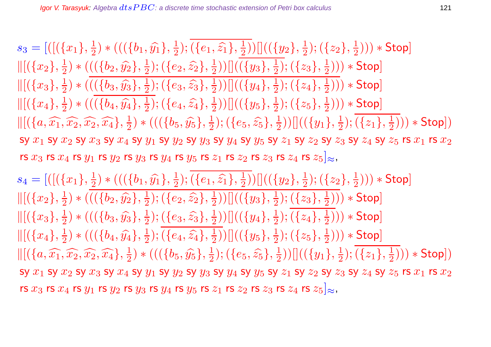$s_3 = [([({x_1}, {x_2})$  $(\{b_1,\widehat{y_1}\},\frac{1}{2})$  $(\{e_1,\widehat{z_1}\},\frac{1}{2})$  $(\overline{\frac{1}{2}}))[[((\overline{\{y_2\}}, \overline{\frac{1}{2}}))$  $(\{z_2\},\frac{1}{2})$  $(\frac{1}{2}))) *$  Stop]  $\|[(x_2], \frac{1}{2}]$  $(\frac{1}{2}) * ((\{b_2, \hat{y_2}\}, \frac{1}{2})$  $(\{e_2,\widehat{z_2}\},\frac{1}{2})$  $(\frac{1}{2}))[[((\{y_3\},\frac{1}{2}% ,\{y_4\},\{y_5\},\{z\},\{z\}])^2]$  $(\{z_3\},\frac{1}{2})$  $(\frac{1}{2}))) *$  Stop]  $\|[(\{x_3\},\frac{1}{2}]$  $(\frac{1}{2}) * ((\{b_3, \hat{y_3}\}, \frac{1}{2})$  $(\{e_3,\widehat{z_3}\},\frac{1}{2})$  $(\overline{\frac{1}{2}}))[[((\overline{\{y_4\}},\frac{1}{2}%$  $(\{z_4\},\frac{1}{2})$  $(\frac{1}{2}))) *$  Stop]  $\|[(x_4), \frac{1}{2}]$  $(\{b_4, \widehat{y_4}\}, \frac{1}{2})$  $(\{e_4, \widehat{z_4}\}, \frac{1}{2})$  $(\{y_5\},\frac{1}{2})$  $(\{z_5\},\frac{1}{2})$  $(\frac{1}{2}))) *$  Stop]  $\Vert [(\lbrace a, \widehat{x_1}, \widehat{x_2}, \widehat{x_2}, \widehat{x_4}\rbrace, \frac{1}{2}]$  $(\{b_5, \hat{y_5}\}, \frac{1}{2})$  $(\{e_5, \widehat{z_5}\}, \frac{1}{2})$  $(\overline{\{y_1\}},\frac{1}{2}))[](\overline{\{y_1\}},\frac{1}{2})$  $(\{z_1\},\frac{1}{2})$  $(\frac{1}{2}))) * \mathsf{Stop}])$ sy  $x_1$  sy  $x_2$  sy  $x_3$  sy  $x_4$  sy  $y_1$  sy  $y_2$  sy  $y_3$  sy  $y_4$  sy  $y_5$  sy  $z_1$  sy  $z_2$  sy  $z_3$  sy  $z_4$  sy  $z_5$  rs  $x_1$  rs  $x_2$ rs  $x_3$  rs  $x_4$  rs  $y_1$  rs  $y_2$  rs  $y_3$  rs  $y_4$  rs  $y_5$  rs  $z_1$  rs  $z_2$  rs  $z_3$  rs  $z_4$  rs  $z_5|_{\approx}$ ,

 $s_4 = [([({x_1}, {x_1})^2$  $(\overline{\left(\{b_1,\widehat{y_1}\},\frac{1}{2}\right)}$  $(\{e_1, \widehat{z_1}\}, \frac{1}{2})$  $(\overline{\frac{1}{2}}))[[((\overline{\{y_2\}}, \overline{\frac{1}{2}}))$  $(\{z_2\},\frac{1}{2})$  $(\frac{1}{2}))) *$  Stop]  $\|[(x_2], \frac{1}{2}]$  $(\{b_2, \hat{y_2}\}, \frac{1}{2})$  $(\{e_2,\widehat{z_2}\},\frac{1}{2})$  $(\frac{1}{2}))[[((\{y_3\},\frac{1}{2}% ,\{y_4\},\{y_5\},\{z\},\{z\}])^2]$  $(\{z_3\},\frac{1}{2})$  $(\frac{1}{2}))) *$  Stop]  $\|[(\{x_3\},\frac{1}{2}]$  $(\{b_3, \widehat{y_3}\}, \frac{1}{2})$  $(\{e_3,\widehat{z_3}\},\frac{1}{2})$  $(\overline{\frac{1}{2}}))[[((\overline{\{y_4\}},\frac{1}{2}%$  $(\{z_4\},\frac{1}{2})$  $(\frac{1}{2}))) *$  Stop]  $\|[(x_4), \frac{1}{2}]$  $(\{b_4, \widehat{y_4}\}, \frac{1}{2})$  $(\{e_4, \widehat{z_4}\}, \frac{1}{2})$  $(\{y_5\},\frac{1}{2})$  $(\{z_5\},\frac{1}{2})$  $(\frac{1}{2}))) *$  Stop]  $\Vert [(\lbrace a, \widehat{x_1}, \widehat{x_2}, \widehat{x_2}, \widehat{x_4}\rbrace, \frac{1}{2}]$  $(\{b_5, \hat{y_5}\}, \frac{1}{2})$  $(\{e_5, \widehat{z_5}\}, \frac{1}{2})$  $(\overline{\{y_1\}},\frac{1}{2}))[](\overline{\{y_1\}},\frac{1}{2})$  $(\{z_1\},\frac{1}{2})$  $(\frac{1}{2}))) * \mathsf{Stop}])$ sy  $x_1$  sy  $x_2$  sy  $x_3$  sy  $x_4$  sy  $y_1$  sy  $y_2$  sy  $y_3$  sy  $y_4$  sy  $y_5$  sy  $z_1$  sy  $z_2$  sy  $z_3$  sy  $z_4$  sy  $z_5$  rs  $x_1$  rs  $x_2$ rs  $x_3$  rs  $x_4$  rs  $y_1$  rs  $y_2$  rs  $y_3$  rs  $y_4$  rs  $y_5$  rs  $z_1$  rs  $z_2$  rs  $z_3$  rs  $z_4$  rs  $z_5|_{\approx}$ ,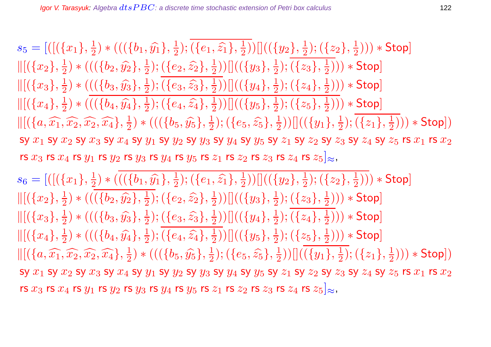$s_5 = [([({x_1}, \frac{1}{2}$  $(\{b_1,\widehat{y_1}\},\frac{1}{2})$  $(\{e_1,\widehat{z_1}\},\frac{1}{2})$  $(\overline{\frac{1}{2}}))[[((\overline{\{y_2\}}, \overline{\frac{1}{2}}))$  $(\{z_2\},\frac{1}{2})$  $(\frac{1}{2}))) *$  Stop]  $\|[(x_2], \frac{1}{2}]$  $(\{b_2, \hat{y_2}\}, \frac{1}{2})$  $(\{e_2,\widehat{z_2}\},\frac{1}{2})$  $(\frac{1}{2}))[[((\{y_3\},\frac{1}{2}% ,\{y_4\},\{y_5\},\{z\},\{z\}])^2]$  $(\{z_3\},\frac{1}{2})$  $(\frac{1}{2}))) *$  Stop]  $\|[(\{x_3\},\frac{1}{2}]$  $(\frac{1}{2}) * ((\{b_3, \hat{y_3}\}, \frac{1}{2})$  $(\{e_3,\widehat{z_3}\},\frac{1}{2})$  $(\overline{\frac{1}{2}}))[[((\overline{\{y_4\}},\frac{1}{2}%$  $(\{z_4\},\frac{1}{2})$  $(\frac{1}{2}))) *$  Stop]  $\|[(x_4), \frac{1}{2}]$  $(\{b_4, \widehat{y_4}\}, \frac{1}{2})$  $(\{e_4, \widehat{z_4}\}, \frac{1}{2})$  $(\{y_5\},\frac{1}{2})$  $(\{z_5\},\frac{1}{2})$  $(\frac{1}{2}))) *$  Stop]  $\Vert [(\lbrace a, \widehat{x_1}, \widehat{x_2}, \widehat{x_2}, \widehat{x_4}\rbrace, \frac{1}{2}]$  $(\{b_5, \hat{y_5}\}, \frac{1}{2})$  $(\{e_5, \widehat{z_5}\}, \frac{1}{2})$  $(\overline{\{y_1\}},\frac{1}{2}))[](\overline{\{y_1\}},\frac{1}{2})$  $(\{z_1\},\frac{1}{2})$  $(\frac{1}{2}))) * \mathsf{Stop}])$ sy  $x_1$  sy  $x_2$  sy  $x_3$  sy  $x_4$  sy  $y_1$  sy  $y_2$  sy  $y_3$  sy  $y_4$  sy  $y_5$  sy  $z_1$  sy  $z_2$  sy  $z_3$  sy  $z_4$  sy  $z_5$  rs  $x_1$  rs  $x_2$ rs  $x_3$  rs  $x_4$  rs  $y_1$  rs  $y_2$  rs  $y_3$  rs  $y_4$  rs  $y_5$  rs  $z_1$  rs  $z_2$  rs  $z_3$  rs  $z_4$  rs  $z_5|_{\approx}$ ,

 $s_6 = [([({x_1}, \frac{1}{2}$  $(\frac{1}{2})\ast (((\{b_1,\widehat{y_1}\},\frac{1}{2})$  $(\{e_1,\widehat{z_1}\},\frac{1}{2})$  $(\overline{\frac{1}{2}}))[[((\overline{\{y_2\}}, \overline{\frac{1}{2}}))$  $(\{z_2\},\frac{1}{2})$  $(\frac{1}{2}))) *$  Stop]  $\|[(x_2], \frac{1}{2}]$  $(\{b_2, \hat{y_2}\}, \frac{1}{2})$  $(\{e_2,\widehat{z_2}\},\frac{1}{2})$  $(\frac{1}{2}))[[((\{y_3\},\frac{1}{2}% ,\{y_4\},\{y_5\},\{z\},\{z\}])^2]$  $(\{z_3\},\frac{1}{2})$  $(\frac{1}{2}))) *$  Stop]  $\|[(x_3), \frac{1}{2}]$  $(\{b_3, \widehat{y_3}\}, \frac{1}{2})$  $(\{e_3,\widehat{z_3}\},\frac{1}{2})$  $(\overline{\frac{1}{2}}))[[((\overline{\{y_4\}},\frac{1}{2}%$  $(\{z_4\},\frac{1}{2})$  $(\frac{1}{2}))) *$  Stop]  $\|[(x_4), \frac{1}{2}]$  $(\{b_4, \widehat{y_4}\}, \frac{1}{2})$  $(\{e_4, \widehat{z_4}\}, \frac{1}{2})$  $(\{y_5\},\frac{1}{2})$  $(\{z_5\},\frac{1}{2})$  $(\frac{1}{2}))) *$  Stop]  $\Vert [(\lbrace a, \widehat{x_1}, \widehat{x_2}, \widehat{x_2}, \widehat{x_4}\rbrace, \frac{1}{2}]$  $(\{b_5, \hat{y_5}\}, \frac{1}{2})$  $(\{e_5, \widehat{z_5}\}, \frac{1}{2})$  $(\overline{\{y_1\}},\frac{1}{2}))[](\overline{\{y_1\}},\frac{1}{2})$  $(\{z_1\},\frac{1}{2})$  $(\frac{1}{2}))) * \mathsf{Stop}])$ SY  $x_1$  SY  $x_2$  SY  $x_3$  SY  $x_4$  SY  $y_1$  SY  $y_2$  SY  $y_3$  SY  $y_4$  SY  $y_5$  SY  $z_1$  SY  $z_2$  SY  $z_3$  SY  $z_4$  SY  $z_5$  rs  $x_1$  rs  $x_2$ rs  $x_3$  rs  $x_4$  rs  $y_1$  rs  $y_2$  rs  $y_3$  rs  $y_4$  rs  $y_5$  rs  $z_1$  rs  $z_2$  rs  $z_3$  rs  $z_4$  rs  $z_5|_{\approx}$ ,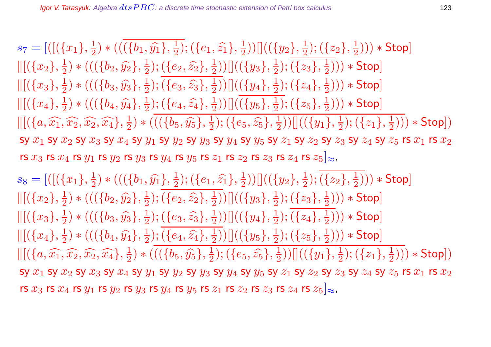$s_7=[([(\{x_1\},\frac{1}{2}$  $(\{b_1,\widehat{y_1}\},\frac{1}{2})$  $(\{e_1,\widehat{z_1}\},\frac{1}{2})$  $(\overline{\frac{1}{2}}))[[((\overline{\{y_2\}}, \overline{\frac{1}{2}}))$  $(\{z_2\},\frac{1}{2})$  $(\frac{1}{2}))) *$  Stop]  $\|[(x_2], \frac{1}{2}]$  $(\{b_2, \hat{y_2}\}, \frac{1}{2})$  $(\{e_2,\widehat{z_2}\},\frac{1}{2})$  $(\frac{1}{2}))[[((\{y_3\},\frac{1}{2}% ,\{y_4\},\{y_5\},\{z\},\{z\}])^2]$  $(\{z_3\},\frac{1}{2})$  $(\frac{1}{2}))) *$  Stop]  $\|[(x_3), \frac{1}{2}]$  $(\{b_3, \widehat{y_3}\}, \frac{1}{2})$  $(\{e_3,\widehat{z_3}\},\frac{1}{2})$  $(\overline{\frac{1}{2}}))[[((\overline{\{y_4\}},\frac{1}{2}%$  $(\{z_4\},\frac{1}{2})$  $(\frac{1}{2}))) *$  Stop]  $\|[(x_4), \frac{1}{2}]$  $(\{b_4, \widehat{y_4}\}, \frac{1}{2})$  $(\{e_4, \widehat{z_4}\}, \frac{1}{2})$  $(\{y_5\},\frac{1}{2})$  $(\{z_5\},\frac{1}{2})$  $(\frac{1}{2}))) *$  Stop]  $\Vert [(\lbrace a, \widehat{x_1}, \widehat{x_2}, \widehat{x_2}, \widehat{x_4}\rbrace, \frac{1}{2}]$  $(\{b_5, \hat{y_5}\}, \frac{1}{2})$  $(\{e_5, \widehat{z_5}\}, \frac{1}{2})$  $(\overline{\{y_1\}},\frac{1}{2}))[](\overline{\{y_1\}},\frac{1}{2})$  $(\{z_1\},\frac{1}{2})$  $(\frac{1}{2}))) * \mathsf{Stop}])$ sy  $x_1$  sy  $x_2$  sy  $x_3$  sy  $x_4$  sy  $y_1$  sy  $y_2$  sy  $y_3$  sy  $y_4$  sy  $y_5$  sy  $z_1$  sy  $z_2$  sy  $z_3$  sy  $z_4$  sy  $z_5$  rs  $x_1$  rs  $x_2$ rs  $x_3$  rs  $x_4$  rs  $y_1$  rs  $y_2$  rs  $y_3$  rs  $y_4$  rs  $y_5$  rs  $z_1$  rs  $z_2$  rs  $z_3$  rs  $z_4$  rs  $z_5|_{\approx}$ ,

 $s_8 = [([({x_1}, \frac{1}{2}$  $(\{b_1, \widehat{y_1}\}, \frac{1}{2})$  $(\{e_1, \widehat{z_1}\}, \frac{1}{2})$  $(\overline{\frac{1}{2}}))[[((\overline{\{y_2\}}, \overline{\frac{1}{2}}))$  $(\{z_2\},\frac{1}{2})$  $(\frac{1}{2}))) *$  Stop]  $\|[(x_2], \frac{1}{2}]$  $(\{b_2, \hat{y_2}\}, \frac{1}{2})$  $(\{e_2,\widehat{z_2}\},\frac{1}{2})$  $(\frac{1}{2}))[[((\{y_3\},\frac{1}{2}% ,\{y_4\},\{y_5\},\{z\},\{z\}])^2]$  $(\{z_3\},\frac{1}{2})$  $(\frac{1}{2}))) *$  Stop]  $\|[(x_3), \frac{1}{2}]$  $(\{b_3, \widehat{y_3}\}, \frac{1}{2})$  $(\{e_3,\widehat{z_3}\},\frac{1}{2})$  $(\overline{\frac{1}{2}}))[[((\overline{\{y_4\}},\frac{1}{2}%$  $(\{z_4\},\frac{1}{2})$  $(\frac{1}{2}))) *$  Stop]  $\|[(x_4), \frac{1}{2}]$  $(\{b_4, \widehat{y_4}\}, \frac{1}{2})$  $(\{e_4, \widehat{z_4}\}, \frac{1}{2})$  $(\{y_5\},\frac{1}{2})$  $(\{z_5\},\frac{1}{2})$  $(\frac{1}{2}))) *$  Stop]  $\Vert [(\lbrace a, \widehat{x_1}, \widehat{x_2}, \widehat{x_2}, \widehat{x_4}\rbrace, \frac{1}{2}]$  $(\{b_5, \hat{y_5}\}, \frac{1}{2})$  $(\{e_5, \widehat{z_5}\}, \frac{1}{2})$  $(\overline{\{y_1\}},\frac{1}{2}))[](\overline{\{y_1\}},\frac{1}{2})$  $(\{z_1\},\frac{1}{2})$  $(\frac{1}{2}))) * \mathsf{Stop}])$ sy  $x_1$  sy  $x_2$  sy  $x_3$  sy  $x_4$  sy  $y_1$  sy  $y_2$  sy  $y_3$  sy  $y_4$  sy  $y_5$  sy  $z_1$  sy  $z_2$  sy  $z_3$  sy  $z_4$  sy  $z_5$  rs  $x_1$  rs  $x_2$ rs  $x_3$  rs  $x_4$  rs  $y_1$  rs  $y_2$  rs  $y_3$  rs  $y_4$  rs  $y_5$  rs  $z_1$  rs  $z_2$  rs  $z_3$  rs  $z_4$  rs  $z_5|_{\approx}$ ,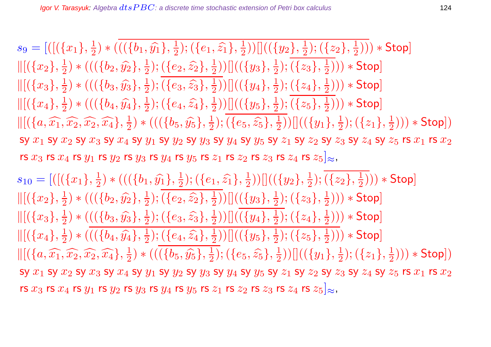$s_9=[([(\{x_1\},\frac{1}{2}$  $(\{b_1,\widehat{y_1}\},\frac{1}{2})$  $(\{e_1,\widehat{z_1}\},\frac{1}{2})$  $(\overline{\frac{1}{2}}))[[((\overline{\{y_2\}}, \overline{\frac{1}{2}}))$  $(\{z_2\},\frac{1}{2})$  $(\frac{1}{2}))) *$  Stop]  $\|[(x_2], \frac{1}{2}]$  $(\{b_2, \hat{y_2}\}, \frac{1}{2})$  $(\{e_2,\widehat{z_2}\},\frac{1}{2})$  $(\frac{1}{2}))[[((\{y_3\},\frac{1}{2}% ,\{y_4\},\{y_5\},\{z\},\{z\}])^2]$  $(\{z_3\},\frac{1}{2})$  $(\frac{1}{2}))) *$  Stop]  $\|[(x_3), \frac{1}{2}]$  $(\{b_3, \widehat{y_3}\}, \frac{1}{2})$  $(\{e_3,\widehat{z_3}\},\frac{1}{2})$  $(\overline{\frac{1}{2}}))[[((\overline{\{y_4\}},\frac{1}{2}%$  $(\{z_4\},\frac{1}{2})$  $(\frac{1}{2}))) *$  Stop]  $\|[(x_4), \frac{1}{2}]$  $(\{b_4, \widehat{y_4}\}, \frac{1}{2})$  $(\{e_4, \widehat{z_4}\}, \frac{1}{2})$  $(\{y_5\},\frac{1}{2})$  $(\{z_5\},\frac{1}{2})$  $(\frac{1}{2}))) *$  Stop]  $\Vert [(\lbrace a, \widehat{x_1}, \widehat{x_2}, \widehat{x_2}, \widehat{x_4}\rbrace, \frac{1}{2}]$  $(\{b_5, \hat{y_5}\}, \frac{1}{2})$  $(\{e_5, \widehat{z_5}\}, \frac{1}{2})$  $(\overline{\{y_1\}},\frac{1}{2}))[](\overline{\{y_1\}},\frac{1}{2})$  $(\{z_1\},\frac{1}{2})$  $(\frac{1}{2}))) * \mathsf{Stop}])$ sy  $x_1$  sy  $x_2$  sy  $x_3$  sy  $x_4$  sy  $y_1$  sy  $y_2$  sy  $y_3$  sy  $y_4$  sy  $y_5$  sy  $z_1$  sy  $z_2$  sy  $z_3$  sy  $z_4$  sy  $z_5$  rs  $x_1$  rs  $x_2$ rs  $x_3$  rs  $x_4$  rs  $y_1$  rs  $y_2$  rs  $y_3$  rs  $y_4$  rs  $y_5$  rs  $z_1$  rs  $z_2$  rs  $z_3$  rs  $z_4$  rs  $z_5\rvert_\approx$ ,

 $s_{10} = [([({x_1}, {x_1})$  $(\{b_1,\widehat{y_1}\},\frac{1}{2})$  $(\{e_1,\widehat{z_1}\},\frac{1}{2})$  $(\overline{\frac{1}{2}}))[[((\overline{\{y_2\}}, \overline{\frac{1}{2}}))$  $(\{z_2\},\frac{1}{2})$  $(\frac{1}{2}))) *$  Stop]  $\|[(x_2], \frac{1}{2}]$  $(\{b_2, \hat{y_2}\}, \frac{1}{2})$  $(\{e_2,\widehat{z_2}\},\frac{1}{2})$  $(\frac{1}{2}))[[((\{y_3\},\frac{1}{2}% ,\{y_4\},\{y_5\},\{z\},\{z\}])^2]$  $(\{z_3\},\frac{1}{2})$  $(\frac{1}{2}))) *$  Stop]  $\|[(x_3), \frac{1}{2}]$  $(\frac{1}{2}) * ((\{b_3, \hat{y_3}\}, \frac{1}{2})$  $(\{e_3,\widehat{z_3}\},\frac{1}{2})$  $(\overline{\frac{1}{2}}))[[((\overline{\{y_4\}},\frac{1}{2}%$  $(\{z_4\},\frac{1}{2})$  $(\frac{1}{2}))) *$  Stop]  $\|[(x_4), \frac{1}{2}]$  $(\{b_4, \widehat{y_4}\}, \frac{1}{2})$  $(\{e_4, \widehat{z_4}\}, \frac{1}{2})$  $(\{y_5\},\frac{1}{2})$  $(\{z_5\},\frac{1}{2})$  $(\frac{1}{2}))) *$  Stop]  $\Vert [(\lbrace a, \widehat{x_1}, \widehat{x_2}, \widehat{x_2}, \widehat{x_4}\rbrace, \frac{1}{2}]$  $(\{b_5, \hat{y_5}\}, \frac{1}{2})$  $(\{e_5, \widehat{z_5}\}, \frac{1}{2})$  $(\overline{\{y_1\}},\frac{1}{2}))[](\overline{\{y_1\}},\frac{1}{2})$  $(\{z_1\},\frac{1}{2})$  $(\frac{1}{2}))) * \mathsf{Stop}])$ sy  $x_1$  sy  $x_2$  sy  $x_3$  sy  $x_4$  sy  $y_1$  sy  $y_2$  sy  $y_3$  sy  $y_4$  sy  $y_5$  sy  $z_1$  sy  $z_2$  sy  $z_3$  sy  $z_4$  sy  $z_5$  rs  $x_1$  rs  $x_2$ rs  $x_3$  rs  $x_4$  rs  $y_1$  rs  $y_2$  rs  $y_3$  rs  $y_4$  rs  $y_5$  rs  $z_1$  rs  $z_2$  rs  $z_3$  rs  $z_4$  rs  $z_5|_{\approx}$ ,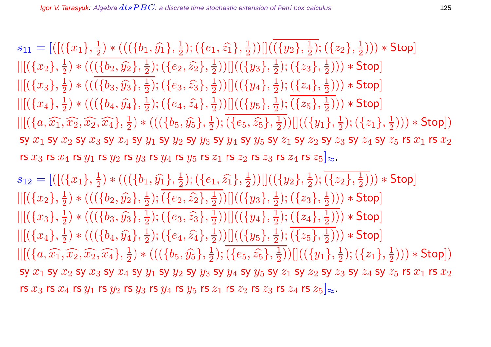$s_{11} = [([({x_1}, {x_1})$  $(\overline{\frac{1}{2}})*((\overline{\{b_1,\widehat{y_1}\},\frac{1}{2})$  $(\{e_1,\widehat{z_1}\},\frac{1}{2})$  $(\overline{\frac{1}{2}}))[[((\overline{\{y_2\}}, \overline{\frac{1}{2}}))$  $(\{z_2\},\frac{1}{2})$  $(\frac{1}{2}))) *$  Stop]  $\|[(x_2], \frac{1}{2}]$  $(\frac{1}{2}) * ((\{b_2, \hat{y_2}\}, \frac{1}{2})$  $(\{e_2,\widehat{z_2}\},\frac{1}{2})$  $(\frac{1}{2}))[[((\{y_3\},\frac{1}{2}% ,\{y_4\},\{y_5\},\{z\},\{z\}])^2]$  $(\{z_3\},\frac{1}{2})$  $(\frac{1}{2}))) *$  Stop]  $\|[(x_3), \frac{1}{2}]$  $(\{b_3, \widehat{y_3}\}, \frac{1}{2})$  $(\{e_3,\widehat{z_3}\},\frac{1}{2})$  $(\overline{\frac{1}{2}}))[[((\overline{\{y_4\}},\frac{1}{2}%$  $(\{z_4\},\frac{1}{2})$  $(\frac{1}{2}))) *$  Stop]  $\|[(x_4), \frac{1}{2}]$  $(\{b_4, \widehat{y_4}\}, \frac{1}{2})$  $(\{e_4, \widehat{z_4}\}, \frac{1}{2})$  $(\{y_5\},\frac{1}{2})$  $(\{z_5\},\frac{1}{2})$  $(\frac{1}{2}))) *$  Stop]  $\Vert [(\lbrace a, \widehat{x_1}, \widehat{x_2}, \widehat{x_2}, \widehat{x_4}\rbrace, \frac{1}{2}]$  $(\{b_5, \hat{y_5}\}, \frac{1}{2})$  $(\{e_5, \widehat{z_5}\}, \frac{1}{2})$  $(\overline{\{y_1\}},\frac{1}{2}))[](\overline{\{y_1\}},\frac{1}{2})$  $(\{z_1\},\frac{1}{2})$  $(\frac{1}{2}))) * \mathsf{Stop}])$ sy  $x_1$  sy  $x_2$  sy  $x_3$  sy  $x_4$  sy  $y_1$  sy  $y_2$  sy  $y_3$  sy  $y_4$  sy  $y_5$  sy  $z_1$  sy  $z_2$  sy  $z_3$  sy  $z_4$  sy  $z_5$  rs  $x_1$  rs  $x_2$ rs  $x_3$  rs  $x_4$  rs  $y_1$  rs  $y_2$  rs  $y_3$  rs  $y_4$  rs  $y_5$  rs  $z_1$  rs  $z_2$  rs  $z_3$  rs  $z_4$  rs  $z_5\rvert_\approx$ ,

 $s_{12} = [([({x_1}, {x_1})$  $(\{b_1,\widehat{y_1}\},\frac{1}{2})$  $(\{e_1,\widehat{z_1}\},\frac{1}{2})$  $(\overline{\frac{1}{2}}))[[((\overline{\{y_2\}}, \overline{\frac{1}{2}}))$  $(\{z_2\},\frac{1}{2})$  $(\frac{1}{2}))) *$  Stop]  $\|[(x_2], \frac{1}{2}]$  $(\frac{1}{2}) * ((\{b_2, \hat{y_2}\}, \frac{1}{2})$  $(\{e_2,\widehat{z_2}\},\frac{1}{2})$  $(\frac{1}{2}))[[((\{y_3\},\frac{1}{2}% ,\{y_4\},\{y_5\},\{z\},\{z\}])^2]$  $(\{z_3\},\frac{1}{2})$  $(\frac{1}{2}))) *$  Stop]  $\|[(x_3), \frac{1}{2}]$  $(\{b_3, \widehat{y_3}\}, \frac{1}{2})$  $(\{e_3,\widehat{z_3}\},\frac{1}{2})$  $(\overline{\frac{1}{2}}))[[((\overline{\{y_4\}},\frac{1}{2}%$  $(\{z_4\},\frac{1}{2})$  $(\frac{1}{2}))) *$  Stop]  $\|[(x_4), \frac{1}{2}]$  $(\{b_4, \widehat{y_4}\}, \frac{1}{2})$  $(\{e_4, \widehat{z_4}\}, \frac{1}{2})$  $(\{y_5\},\frac{1}{2})$  $(\{z_5\},\frac{1}{2})$  $(\frac{1}{2}))) *$  Stop]  $\Vert [(\lbrace a, \widehat{x_1}, \widehat{x_2}, \widehat{x_2}, \widehat{x_4}\rbrace, \frac{1}{2}]$  $(\{b_5, \hat{y_5}\}, \frac{1}{2})$  $(\{e_5, \widehat{z_5}\}, \frac{1}{2})$  $(\overline{\{y_1\}},\frac{1}{2}))[](\overline{\{y_1\}},\frac{1}{2})$  $(\{z_1\},\frac{1}{2})$  $(\frac{1}{2}))) * \mathsf{Stop}])$ sy  $x_1$  sy  $x_2$  sy  $x_3$  sy  $x_4$  sy  $y_1$  sy  $y_2$  sy  $y_3$  sy  $y_4$  sy  $y_5$  sy  $z_1$  sy  $z_2$  sy  $z_3$  sy  $z_4$  sy  $z_5$  rs  $x_1$  rs  $x_2$ rs  $x_3$  rs  $x_4$  rs  $y_1$  rs  $y_2$  rs  $y_3$  rs  $y_4$  rs  $y_5$  rs  $z_1$  rs  $z_2$  rs  $z_3$  rs  $z_4$  rs  $z_5|_{\approx}$ .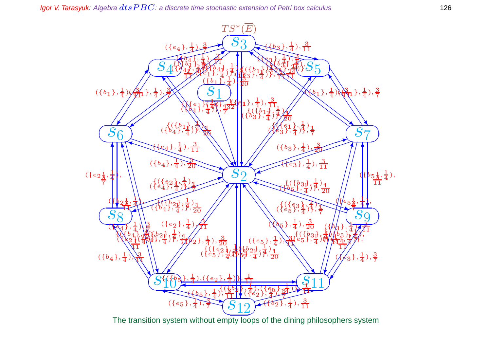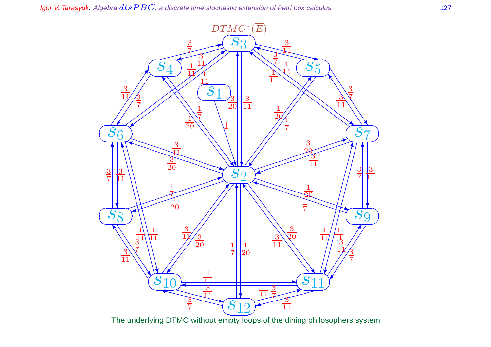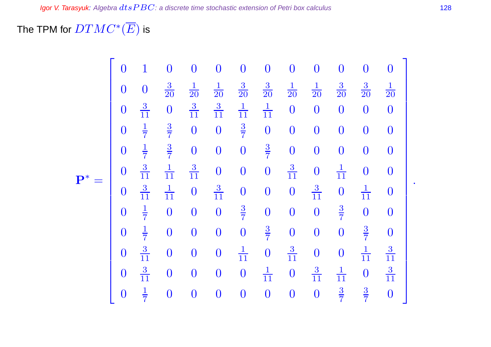# The TPM for  $DTMC^*(\overline{E})$  is

|                | $\overline{0}$ | $\mathbf{1}$     | $\overline{0}$   | $\overline{0}$   | $\boldsymbol{0}$ | $\overline{0}$   | $\overline{0}$   | $\overline{0}$   | $\overline{0}$   | $\overline{0}$   | $\overline{0}$   | $\bf{0}$         |
|----------------|----------------|------------------|------------------|------------------|------------------|------------------|------------------|------------------|------------------|------------------|------------------|------------------|
| $\mathbf{P}^*$ | $\overline{0}$ | $\boldsymbol{0}$ | $\frac{3}{20}$   | $\frac{1}{20}$   | $\frac{1}{20}$   | $\frac{3}{20}$   | $\frac{3}{20}$   | $\frac{1}{20}$   | $\frac{1}{20}$   | $\frac{3}{20}$   | $\frac{3}{20}$   | $\frac{1}{20}$   |
|                | $\overline{0}$ | $\frac{3}{11}$   | $\boldsymbol{0}$ | $\frac{3}{11}$   | $\frac{3}{11}$   | $\frac{1}{11}$   | $\frac{1}{11}$   | $\overline{0}$   | $\boldsymbol{0}$ | $\boldsymbol{0}$ | $\boldsymbol{0}$ | $\boldsymbol{0}$ |
|                | $\overline{0}$ | $\frac{1}{7}$    | $rac{3}{7}$      | $\overline{0}$   | $\overline{0}$   | $\frac{3}{7}$    | $\boldsymbol{0}$ | $\overline{0}$   | $\overline{0}$   | $\overline{0}$   | $\boldsymbol{0}$ | $\overline{0}$   |
|                | $\overline{0}$ | $\frac{1}{7}$    | $\frac{3}{7}$    | $\overline{0}$   | $\boldsymbol{0}$ | $\overline{0}$   | $\frac{3}{7}$    | $\overline{0}$   | $\boldsymbol{0}$ | $\overline{0}$   | $\boldsymbol{0}$ | $\overline{0}$   |
|                | $\Omega$       | $\frac{3}{11}$   | $\frac{1}{11}$   | $\frac{3}{11}$   | $\boldsymbol{0}$ | $\overline{0}$   | $\boldsymbol{0}$ | $\frac{3}{11}$   | $\boldsymbol{0}$ | $\frac{1}{11}$   | $\overline{0}$   | $\overline{0}$   |
|                | $\bf{0}$       | $\frac{3}{11}$   | $\frac{1}{11}$   | $\boldsymbol{0}$ | $\frac{3}{11}$   | $\boldsymbol{0}$ | $\boldsymbol{0}$ | $\boldsymbol{0}$ | $\frac{3}{11}$   | $\overline{0}$   | $\frac{1}{11}$   | $\bf{0}$         |
|                | $\overline{0}$ | $\frac{1}{7}$    | $\boldsymbol{0}$ | $\boldsymbol{0}$ | $\boldsymbol{0}$ | $rac{3}{7}$      | $\boldsymbol{0}$ | $\boldsymbol{0}$ | $\overline{0}$   | $rac{3}{7}$      | $\boldsymbol{0}$ | $\bf{0}$         |
|                | $\overline{0}$ | $\frac{1}{7}$    | $\boldsymbol{0}$ | $\boldsymbol{0}$ | $\boldsymbol{0}$ | $\overline{0}$   | $\frac{3}{7}$    | $\overline{0}$   | $\boldsymbol{0}$ | $\overline{0}$   | $\frac{3}{7}$    | $\boldsymbol{0}$ |
|                | $\overline{0}$ | $\frac{3}{11}$   | $\boldsymbol{0}$ | $\boldsymbol{0}$ | $\boldsymbol{0}$ | $\frac{1}{11}$   | $\boldsymbol{0}$ | $\frac{3}{11}$   | $\boldsymbol{0}$ | $\overline{0}$   | $\frac{1}{11}$   | $\frac{3}{11}$   |
|                | $\overline{0}$ | $\frac{3}{11}$   | $\boldsymbol{0}$ | $\boldsymbol{0}$ | $\boldsymbol{0}$ | $\overline{0}$   | $\frac{1}{11}$   | $\boldsymbol{0}$ | $\frac{3}{11}$   | $\frac{1}{11}$   | $\overline{0}$   | $\frac{3}{11}$   |
|                | $\overline{0}$ | $\frac{1}{7}$    | $\boldsymbol{0}$ | $\boldsymbol{0}$ | $\boldsymbol{0}$ | $\overline{0}$   | $\boldsymbol{0}$ | $\overline{0}$   | $\overline{0}$   | $rac{3}{7}$      | $\frac{3}{7}$    | $\overline{0}$   |

.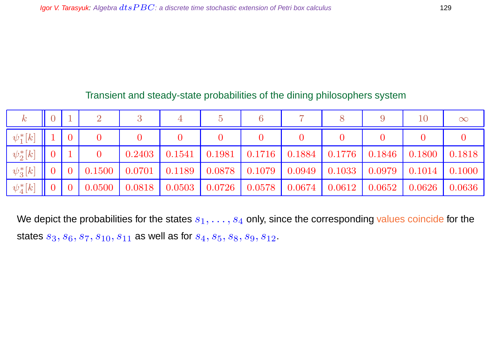### Transient and steady-state probabilities of the dining philosophers system

| $\kappa$        |                |                |        |        |        |        |                      |        |                      |                      | 10                   | $\infty$ |
|-----------------|----------------|----------------|--------|--------|--------|--------|----------------------|--------|----------------------|----------------------|----------------------|----------|
| $\psi_1^*[k]$   |                | $\overline{0}$ |        |        |        |        |                      |        |                      |                      |                      |          |
| $\psi_2^*[k]$   | $\overline{0}$ |                |        | 0.2403 | 0.1541 | 0.1981 | $\vert 0.1716 \vert$ |        | $0.1884 \mid 0.1776$ | $\vert 0.1846 \vert$ | $\vert 0.1800 \vert$ | 0.1818   |
| $\psi_3^*[k]$   | $\overline{0}$ |                | 0.1500 | 0.0701 | 0.1189 | 0.0878 |                      | 0.0949 | 0.1033               | 0.0979               | 0.1014               | 0.1000   |
| $\psi_{4}^*[k]$ | $\overline{0}$ |                | 0.0500 | 0.0818 | 0.0503 | 0.0726 | 0.0578               | 0.0674 | 0.0612               | 0.0652               | 0.0626               | 0.0636   |

We depict the probabilities for the states  $s_1, \ldots, s_4$  only, since the corresponding values coincide for the states  $s_3, s_6, s_7, s_{10}, s_{11}$  as well as for  $s_4, s_5, s_8, s_9, s_{12}$ .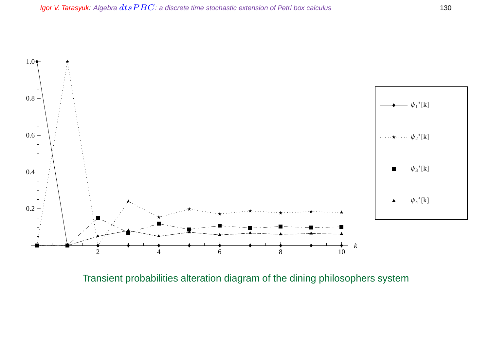

Transient probabilities alteration diagram of the dining philosophers system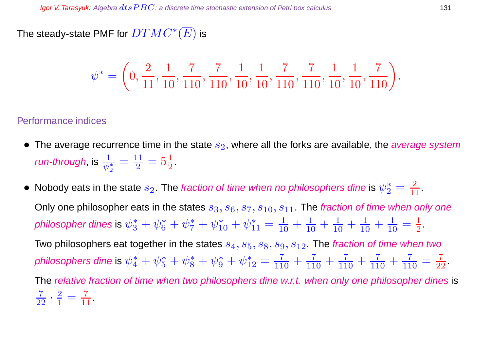The steady-state PMF for  $DTMC^*(\overline{E})$  is

$$
\psi^* = \left(0, \frac{2}{11}, \frac{1}{10}, \frac{7}{110}, \frac{7}{110}, \frac{1}{10}, \frac{1}{10}, \frac{7}{110}, \frac{7}{110}, \frac{1}{10}, \frac{1}{10}, \frac{7}{110}\right).
$$

#### Performance indices

- The average recurrence time in the state  $s_2$ , where all the forks are available, the average system run-through, is  $\frac{1}{\psi_2^*}$  $=\frac{11}{2}$  $\frac{11}{2} = 5\frac{1}{2}$  $\frac{1}{2}$ .
- $\bullet\,$  Nobody eats in the state  $s_2.$  The fraction of time when no philosophers dine is  $\psi_2^*=\frac{2}{11}.$ Only one philosopher eats in the states  $s_3, s_6, s_7, s_{10}, s_{11}$ . The fraction of time when only one philosopher dines is  $\psi_3^*+\psi_6^*+\psi_7^*+\psi_{10}^*+\psi_{11}^*=\frac{1}{10}+\frac{1}{10}+\frac{1}{10}+\frac{1}{10}+\frac{1}{10}$  $\frac{1}{10} = \frac{1}{2}$  $\frac{1}{2}$ . Two philosophers eat together in the states  $s_4, s_5, s_8, s_9, s_{12}$ . The fraction of time when two philosophers dine is  $\psi_4^*+\psi_5^*+\psi_8^*+\psi_9^*+\psi_{12}^*=\frac{7}{110}+\frac{7}{110}+\frac{7}{110}+\frac{7}{110}+\frac{7}{110}$  $\frac{7}{110} = \frac{7}{22}.$ The relative fraction of time when two philosophers dine w.r.t. when only one philosopher dines is  $\frac{7}{22} \cdot \frac{2}{1}$  $\frac{2}{1} = \frac{7}{11}.$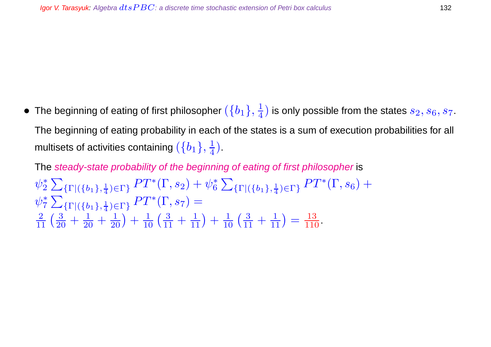$\bullet~$  The beginning of eating of first philosopher  $(\{b_1\},\frac{1}{4})$  $\frac{1}{4}$ ) is only possible from the states  $s_2,s_6,s_7.$ The beginning of eating probability in each of the states is a sum of execution probabilities for all multisets of activities containing  $(\{b_1\},\frac{1}{4})$  $\frac{1}{4}$ .

The steady-state probability of the beginning of eating of first philosopher is  $\psi_2^*$ 2  $\sum$  $\{\Gamma | (\{b_1\},\frac{1}{4})\}$  $\frac{1}{4}$ ) $\in$ Γ}  $PT^*(\Gamma,s_2)+\psi_6^*$ 6  $\sum$  $\{\Gamma | (\{b_1\},\frac{1}{4})\}$  $_{\frac{1}{4}$ ) $\in$ Γ}</sub>  $PT^{*}(\Gamma, s_{6}) +$  $\psi_7^*$ 7  $\sum$  $\{\Gamma | (\{b_1\},\frac{1}{4})\}$  $_{\frac{1}{4}$ ) $\in$   $\Gamma$  }  $PT^*(\Gamma, s_7) =$  $\frac{2}{11} \left( \frac{3}{20} + \frac{1}{20} + \frac{1}{20} \right) + \frac{1}{10} \left( \frac{3}{11} + \frac{1}{11} \right) + \frac{1}{10} \left( \frac{3}{11} + \frac{1}{11} \right) = \frac{13}{110}.$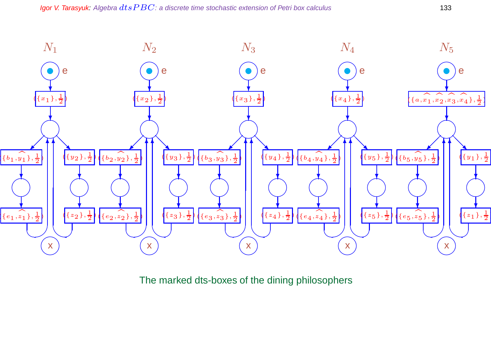

The marked dts-boxes of the dining philosophers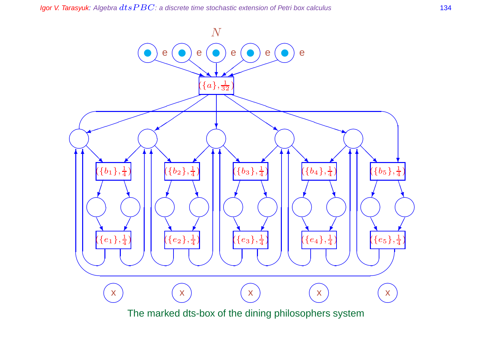Igor V. Tarasyuk: Algebra  $dtsPBC$ : a discrete time stochastic extension of Petri box calculus 134

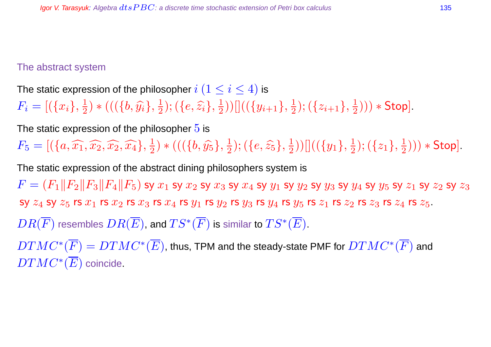#### The abstract system

The static expression of the philosopher  $i$   $(1 \leq i \leq 4)$  is  $F_i = [(\{x_i\}, \frac{1}{2}$  $(\{\big(\{\overline{b},\widehat{y_i}\},\frac{1}{2}\)$  $(\{e,\widehat{z_i}\},\frac{1}{2})$  $(\frac{1}{2}))[]((\{y_{i+1}\},\frac{1}{2}% ,\dots,\frac{1}{2})$  $(\{z_{i+1}\},\frac{1}{2})$  $(\frac{1}{2}))) *$  Stop].

The static expression of the philosopher  $5$  is

 $F_5 = [ (\{a, \widehat{x_1}, \widehat{x_2}, \widehat{x_2}, \widehat{x_4} \}, \frac{1}{2}]$  $(\{b, \hat{y_5}\}, \frac{1}{2})$  $(\{e,\widehat{z_5}\},\frac{1}{2})$  $(\overline{\{y_1\}},\frac{1}{2}))[](\overline{\{y_1\}},\frac{1}{2})$  $(\{z_1\},\frac{1}{2})$  $(\frac{1}{2}))) *$  Stop].

The static expression of the abstract dining philosophers system is

 $F = (F_1||F_2||F_3||F_4||F_5)$  sy  $x_1$  sy  $x_2$  sy  $x_3$  sy  $x_4$  sy  $y_1$  sy  $y_2$  sy  $y_3$  sy  $y_4$  sy  $y_5$  sy  $z_1$  sy  $z_2$  sy  $z_3$ sy  $z_4$  sy  $z_5$  rs  $x_1$  rs  $x_2$  rs  $x_3$  rs  $x_4$  rs  $y_1$  rs  $y_2$  rs  $y_3$  rs  $y_4$  rs  $z_5$  rs  $z_1$  rs  $z_3$  rs  $z_4$  rs  $z_5$ .

 $DR(\overline{F})$  resembles  $DR(\overline{E})$ , and  $TS^*(\overline{F})$  is similar to  $TS^*(\overline{E}).$ 

 $DTMC^*(\overline{F})=DTMC^*(\overline{E})$ , thus, TPM and the steady-state PMF for  $DTMC^*(\overline{F})$  and  $DTMC^*(\overline{E})$  coincide.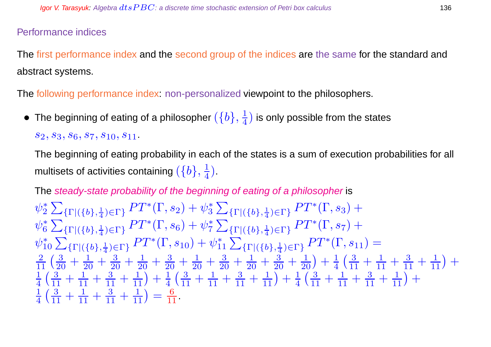#### Performance indices

The first performance index and the second group of the indices are the same for the standard and abstract systems.

The following performance index: non-personalized viewpoint to the philosophers.

 $\bullet~$  The beginning of eating of a philosopher  $(\{b\},\frac{1}{4})$  $\frac{1}{4}$ ) is only possible from the states

 $s_2, s_3, s_6, s_7, s_{10}, s_{11}$ .

The beginning of eating probability in each of the states is a sum of execution probabilities for all multisets of activities containing  $(\{b\},\frac{1}{4})$  $\frac{1}{4}$ .

The steady-state probability of the beginning of eating of a philosopher is

$$
\psi_2^* \sum_{\{\Gamma | (\{b\},\frac{1}{4}) \in \Gamma\}} PT^*(\Gamma, s_2) + \psi_3^* \sum_{\{\Gamma | (\{b\},\frac{1}{4}) \in \Gamma\}} PT^*(\Gamma, s_3) +
$$
  
\n
$$
\psi_6^* \sum_{\{\Gamma | (\{b\},\frac{1}{4}) \in \Gamma\}} PT^*(\Gamma, s_6) + \psi_7^* \sum_{\{\Gamma | (\{b\},\frac{1}{4}) \in \Gamma\}} PT^*(\Gamma, s_7) +
$$
  
\n
$$
\psi_{10}^* \sum_{\{\Gamma | (\{b\},\frac{1}{4}) \in \Gamma\}} PT^*(\Gamma, s_{10}) + \psi_{11}^* \sum_{\{\Gamma | (\{b\},\frac{1}{4}) \in \Gamma\}} PT^*(\Gamma, s_{11}) =
$$
  
\n
$$
\frac{2}{11} \left( \frac{3}{20} + \frac{1}{20} + \frac{3}{20} + \frac{1}{20} + \frac{3}{20} + \frac{1}{20} + \frac{3}{20} + \frac{1}{20} + \frac{3}{20} + \frac{1}{20} \right) + \frac{1}{4} \left( \frac{3}{11} + \frac{1}{11} + \frac{3}{11} + \frac{1}{11} \right) +
$$
  
\n
$$
\frac{1}{4} \left( \frac{3}{11} + \frac{1}{11} + \frac{3}{11} + \frac{1}{11} \right) + \frac{1}{4} \left( \frac{3}{11} + \frac{1}{11} + \frac{3}{11} + \frac{1}{11} \right) + \frac{1}{4} \left( \frac{3}{11} + \frac{1}{11} + \frac{3}{11} + \frac{1}{11} \right) +
$$
  
\n
$$
\frac{1}{4} \left( \frac{3}{11} + \frac{1}{11} + \frac{3}{11} + \frac{1}{11} \right) = \frac{6}{11}
$$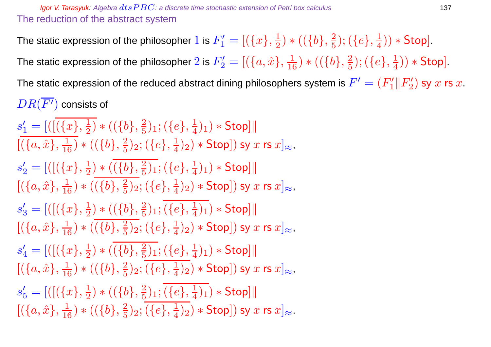The static expression of the philosopher  $1$  is  $F_1' = [(\{x\}, \frac{1}{2}$  $(\frac{1}{2}) * ((\{b\}, \frac{2}{5})$  $(\{e\},\frac{1}{4})$  $(\frac{1}{4})) * Stop.$ 

The static expression of the philosopher  $2$  is  $F_2' = [(\{a, \hat{x}\}, \frac{1}{16}) * ((\{b\}, \frac{2}{5}$  $(\{e\},\frac{1}{4})$  $(\frac{1}{4})) *$  Stop].

The static expression of the reduced abstract dining philosophers system is  $F'=(F_1'\|F_2')$  $\binom{2}{2}$  sy  $x$  rs  $x$ .  $DR(\overline{F'})$  consists of

 $s'_1 = [([({x}$  $(\frac{1}{2}) * ((\{b\}, \frac{2}{5})$  $(\{e\},\frac{1}{4})$  $(\frac{1}{4})_1$   $*$  Stop]||  $[(\{a,\hat{x}\},\frac{1}{16}) * ((\{b\},\frac{2}{5})$  $(\{e\},\frac{1}{4})$  $(\frac{1}{4})_2)*$  Stop]) sy  $x$  rs  $x]_{\approx}$ ,  $s'_2 = [([(\{x\}, \frac{1}{2}$  $(\frac{1}{2}) * ((\{b\}, \frac{2}{5})$  $(\{e\},\frac{1}{4})$  $(\frac{1}{4})_1$   $*$  Stop]||  $[(\{a,\hat{x}\},\frac{1}{16}) * ((\{b\},\frac{2}{5})$  $(\{e\},\frac{1}{4})$  $(\frac{1}{4})_2)*$  Stop]) sy  $x$  rs  $x]_{\approx}$ ,  $s'_3 = [([({x}$  $(\frac{1}{2}) * ((\{b\}, \frac{2}{5})$  $(\{e\},\frac{1}{4})$  $(\frac{1}{4})_1$   $\ast$  Stop]||  $[(\{a,\hat{x}\},\frac{1}{16}) * ((\{b\},\frac{2}{5})$  $(\{e\},\frac{1}{4})$  $(\frac{1}{4})_2)*$  Stop]) sy  $x$  rs  $x]_{\approx}$ ,  $s'_4=[([(\{x\},\frac{1}{2}$  $(\frac{1}{2}) * ((b), \frac{2}{5})$  $(\{e\},\frac{1}{4})$  $(\frac{1}{4})_1$   $*$  Stop]||  $[(\{a,\hat{x}\},\frac{1}{16}) * ((\{b\},\frac{2}{5})$  $(\{e\},\frac{1}{4})$  $(\frac{1}{4})_2)*$  Stop]) sy  $x$  rs  $x]_{\approx}$ ,  $s_5' = [([(\{x\}, \frac{1}{2}$  $(\frac{1}{2}) * ((\{b\}, \frac{2}{5})$  $(\{e\},\frac{1}{4})$  $(\frac{1}{4})_1$   $*$  Stop]||  $[(\{a,\hat{x}\},\frac{1}{16}) * ((\{b\},\frac{2}{5})$  $(\{e\},\frac{1}{4})$  $(\frac{1}{4})_2)*$  Stop]) sy  $x$  rs  $x]_{\approx}$ .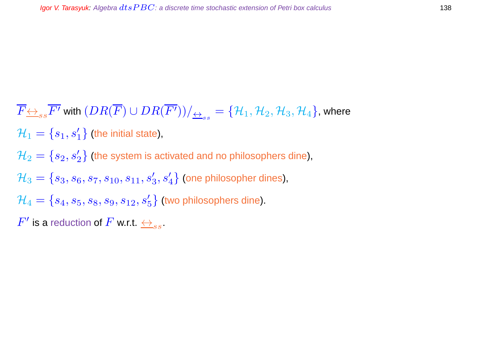$\overline{F} \underline{\leftrightarrow}_{ss} \overline{F'}$  with  $(D R(\overline{F}) \cup DR(\overline{F'})) /_{\overline{\leftrightarrow}_{ss}} = \{\mathcal{H}_1, \mathcal{H}_2, \mathcal{H}_3, \mathcal{H}_4\}$ , where  $\mathcal{H}_1 = \{s_1,s'_1\}$  (the initial state),  $\mathcal{H}_2=\{s_2,s_2'\}$  (the system is activated and no philosophers dine),  $\mathcal{H}_3=\{s_3,s_6,s_7,s_{10},s_{11},s'_3,s'_4\}$  (one philosopher dines),  $\mathcal{H}_4=\{s_4,s_5,s_8,s_9,s_{12},s_5'\}$  (two philosophers dine).  $F'$  is a reduction of  $F$  w.r.t.  $\overleftrightarrow{\rightarrow}_{ss}.$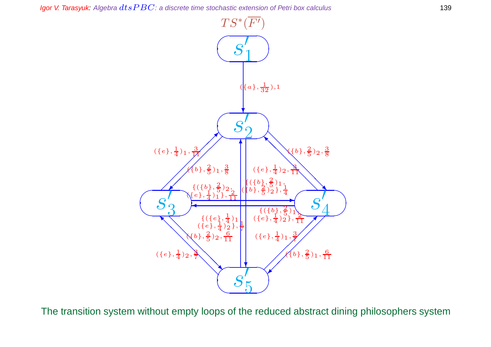

The transition system without empty loops of the reduced abstract dining philosophers system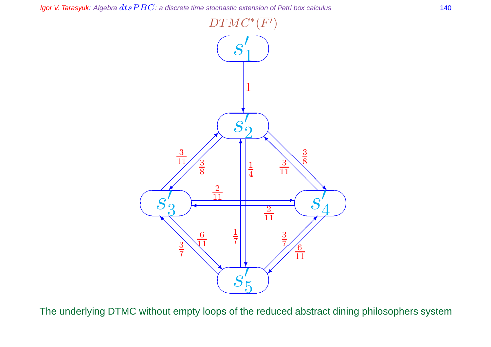

The underlying DTMC without empty loops of the reduced abstract dining philosophers system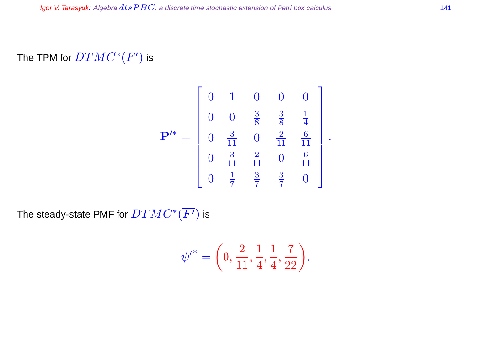The TPM for  $DTMC^*(\overline{F'})$  is

$$
\mathbf{P'}^* = \begin{bmatrix} 0 & 1 & 0 & 0 & 0 \\ 0 & 0 & \frac{3}{8} & \frac{3}{8} & \frac{1}{4} \\ 0 & \frac{3}{11} & 0 & \frac{2}{11} & \frac{6}{11} \\ 0 & \frac{3}{11} & \frac{2}{11} & 0 & \frac{6}{11} \\ 0 & \frac{1}{7} & \frac{3}{7} & \frac{3}{7} & 0 \end{bmatrix}.
$$

The steady-state PMF for  $DTMC^*(\overline{F'})$  is

$$
{\psi'}^* = \left(0, \frac{2}{11}, \frac{1}{4}, \frac{1}{4}, \frac{7}{22}\right).
$$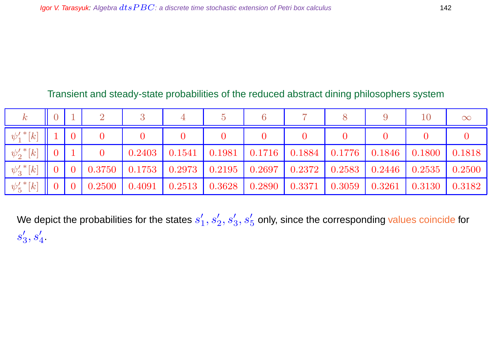### Transient and steady-state probabilities of the reduced abstract dining philosophers system

|                       |                 |  |                                           |                                           |                    |                  |                                                  |                                           | 10              | $\infty$ |
|-----------------------|-----------------|--|-------------------------------------------|-------------------------------------------|--------------------|------------------|--------------------------------------------------|-------------------------------------------|-----------------|----------|
| $-\psi'_1{}^*[k]$     |                 |  |                                           |                                           |                    |                  |                                                  |                                           |                 |          |
| $-\psi_2'{}^*[k]$     | $\vert 0 \vert$ |  | 0.2403                                    | $0.1541$ 0.1981                           |                    |                  | $\mid$ 0.1716 $\mid$ 0.1884 $\mid$ 0.1776 $\mid$ | $\mid$ 0.1846 $\mid$ 0.1800 $\mid$ 0.1818 |                 |          |
| $-\psi_3'{}^*[k]$     |                 |  |                                           | $0.3750$   $0.1753$   $0.2973$   $0.2195$ | $\mid 0.2697 \mid$ | $\boxed{0.2372}$ | 0.2583                                           | $\mid$ 0.2446 $\mid$                      | $0.2535$ 0.2500 |          |
| $-\psi_{5}'^{\,*}[k]$ |                 |  | $0.2500$   $0.4091$   $0.2513$   $0.3628$ |                                           | $0.2890\,$         | 0.3371           | 0.3059                                           | 0.3261                                    | 0.3130          | 0.3182   |

We depict the probabilities for the states  $s^\prime_1$  $\mathcal{L}_1', s_2', s_3', s_5'$  only, since the corresponding values coincide for  $s_3'$  $_3',s'_4$  .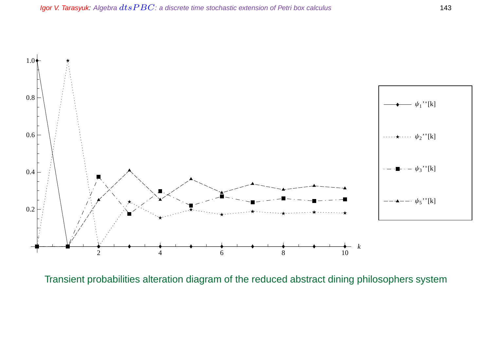

Transient probabilities alteration diagram of the reduced abstract dining philosophers system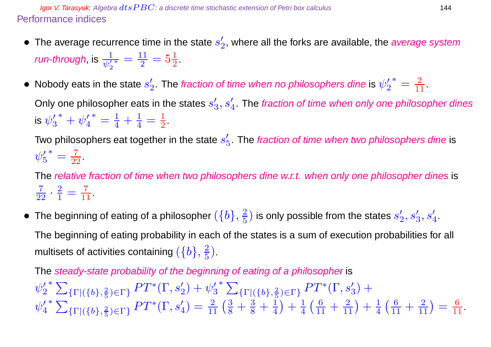**Igor V. Tarasyuk:** Algebra  $dt$ s  $PBC$ : a discrete time stochastic extension of Petri box calculus 144 Performance indices

- The average recurrence time in the state  $s'_2$  $_{2}^{\prime}$ , where all the forks are available, the *average system* run-through, is  $\frac{1}{\psi_2'}$  $\frac{11}{1}$  $\frac{11}{2} = 5\frac{1}{2}$  $\frac{1}{2}$ .
- Nobody eats in the state  $s'_2$  $\frac{\prime}{2}.$  The fraction of time when no philosophers dine is  $\psi_{2}^{\prime}$ 2 \* =  $\frac{2}{11}$ .

Only one philosopher eats in the states  $s_3^{\prime}$  $\mathcal{S}'_3, \mathcal{S}'_4.$  The fraction of time when only one philosopher dines is  $\psi_3'$  $\frac{7}{3}^* + \psi_4'$ 4  $^* = \frac{1}{4} + \frac{1}{4}$  $\frac{1}{4}=\frac{1}{2}$  $\frac{1}{2}$ .

Two philosophers eat together in the state  $s_{\varepsilon}^{\prime}$  $\frac{\prime}{5}$ . The fraction of time when two philosophers dine is  $\psi'_5$ 5 \* =  $\frac{7}{22}$ .

The relative fraction of time when two philosophers dine w.r.t. when only one philosopher dines is  $\frac{7}{22} \cdot \frac{2}{1}$  $\frac{2}{1} = \frac{7}{11}.$ 

• The beginning of eating of a philosopher  $(\{b\}, \frac{2}{5})$  $\left(\frac{2}{5}\right)$  is only possible from the states  $s_{2}^{\prime}$  $\mathbf{z}_2^{\prime}, s_3^{\prime}, s_4^{\prime}$ The beginning of eating probability in each of the states is a sum of execution probabilities for all

multisets of activities containing  $(\{b\},\frac{2}{5})$  $\frac{2}{5}$ ).

The steady-state probability of the beginning of eating of a philosopher is  $\psi_2'$ 2  $*$   $\sum$  $\{\Gamma | (\{b\},\frac{2}{5})\}$  $\frac{2}{5}$ ) $\in$ Γ}  $PT^*(\Gamma, s'_2) + \psi'_3$ 3  $*$   $\sum$  $\{\Gamma | (\{b\},\frac{2}{5})\}$  $\frac{2}{5}$ <sub>(F)</sub>  $PT^*(\Gamma, s'_3) +$  $\psi_4'$ 4  $*$   $\sum$  ${\{\Gamma | (\{b\},\frac{2}{5}\)}$  $(\frac{2}{5}) \in \Gamma$ }  $PT^*(\Gamma, s_4') = \frac{2}{11} (\frac{3}{8} + \frac{3}{8} + \frac{1}{4})$ 4  $+ \frac{1}{4}$ 4  $\left(\frac{6}{11} + \frac{2}{11}\right) + \frac{1}{4}$ 4  $\left(\frac{6}{11} + \frac{2}{11}\right) = \frac{6}{11}.$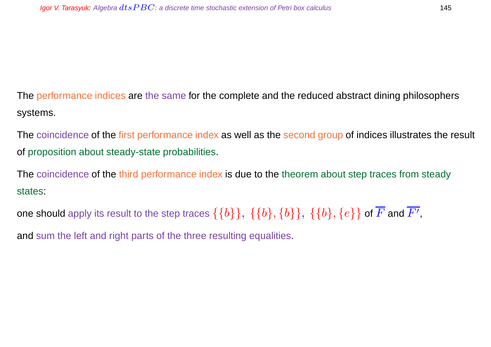The performance indices are the same for the complete and the reduced abstract dining philosophers systems.

The coincidence of the first performance index as well as the second group of indices illustrates the result of proposition about steady-state probabilities.

The coincidence of the third performance index is due to the theorem about step traces from steady states:

one should apply its result to the step traces  $\{\{b\}\},\ \{\{b\},\{b\}\},\ \{\{b\},\{e\}\}$  of  $\overline{F}$  and  $\overline{F'},$ 

and sum the left and right parts of the three resulting equalities.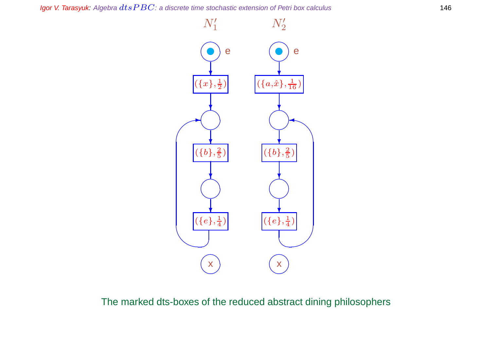Igor V. Tarasyuk: Algebra  $dtsPBC$ : a discrete time stochastic extension of Petri box calculus 146



The marked dts-boxes of the reduced abstract dining philosophers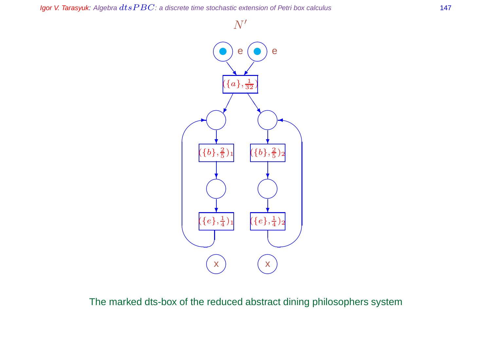Igor V. Tarasyuk: Algebra  $dtsPBC$ : a discrete time stochastic extension of Petri box calculus 147

 $N^{\prime}$ 



The marked dts-box of the reduced abstract dining philosophers system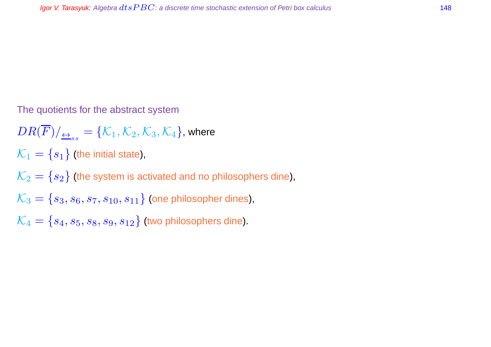The quotients for the abstract system

 $DR(F)/_{\overline{\leftrightarrow}_{ss}} = \{\mathcal{K}_1, \mathcal{K}_2, \mathcal{K}_3, \mathcal{K}_4\}$ , where  $\mathcal{K}_1 = \{s_1\}$  (the initial state),  $\mathcal{K}_2 = \{s_2\}$  (the system is activated and no philosophers dine),  $\mathcal{K}_3 = \{s_3, s_6, s_7, s_{10}, s_{11}\}\$  (one philosopher dines),  $\mathcal{K}_4 = \{s_4, s_5, s_8, s_9, s_{12}\}$  (two philosophers dine).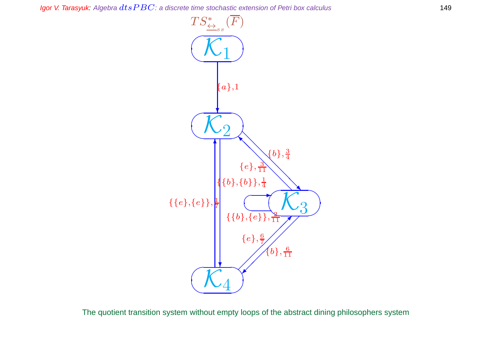Igor V. Tarasyuk: Algebra  $dtsPBC$ : a discrete time stochastic extension of Petri box calculus 149



The quotient transition system without empty loops of the abstract dining philosophers system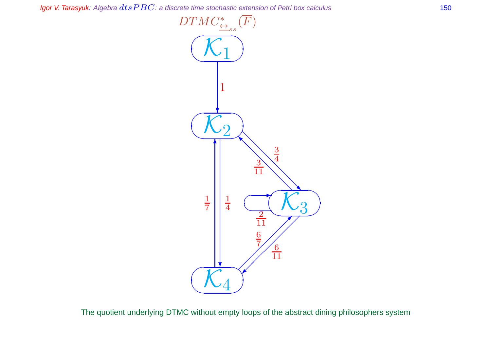Igor V. Tarasyuk: Algebra  $dtsPBC$ : a discrete time stochastic extension of Petri box calculus 150



The quotient underlying DTMC without empty loops of the abstract dining philosophers system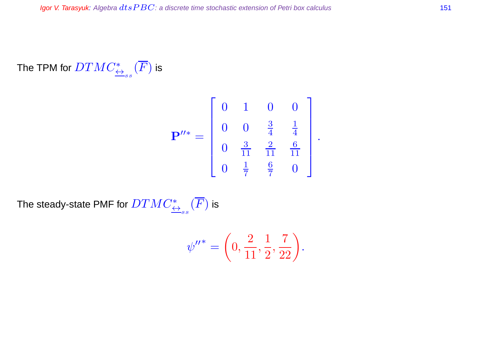### The TPM for  $DTMC_{\overrightarrow{\leftrightarrow}_{ss}}^{\ast}(\overline{F})$  is

$$
\mathbf{P}^{\prime\prime *} = \begin{bmatrix} 0 & 1 & 0 & 0 \\ 0 & 0 & \frac{3}{4} & \frac{1}{4} \\ 0 & \frac{3}{11} & \frac{2}{11} & \frac{6}{11} \\ 0 & \frac{1}{7} & \frac{6}{7} & 0 \end{bmatrix}.
$$

The steady-state PMF for  $DTMC^*_{\overline{\leftrightarrow}_{ss}}(\overline{F})$  is

$$
\psi''^* = \left(0, \frac{2}{11}, \frac{1}{2}, \frac{7}{22}\right).
$$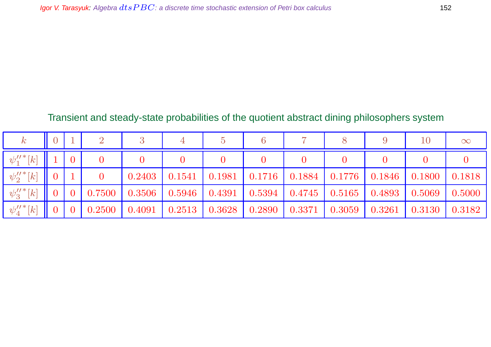### Transient and steady-state probabilities of the quotient abstract dining philosophers system

| $\boldsymbol{k}$                       |                |                 |            |        |                 |                |                         |        |                                                              |                 | 10     | $\infty$      |
|----------------------------------------|----------------|-----------------|------------|--------|-----------------|----------------|-------------------------|--------|--------------------------------------------------------------|-----------------|--------|---------------|
| $-\psi_{1}^{\prime\prime\,*}[k]$       |                | $\overline{0}$  |            |        |                 |                |                         |        |                                                              |                 |        |               |
| $-\psi_2^{\prime\prime \, *} [k]$      | $\overline{0}$ |                 |            | 0.2403 | 0.1541          | $\vert$ 0.1981 | $\vert$ 0.1716   0.1884 |        | 0.1776                                                       | $0.1846$ 0.1800 |        | $\mid 0.1818$ |
| $-\psi_{3}^{\prime\prime\,*}[k]$       | $\overline{0}$ | $\vert 0 \vert$ | $0.7500\,$ | 0.3506 |                 |                |                         |        | 0.5946   0.4391   0.5394   0.4745   0.5165   0.4893   0.5069 |                 |        | 0.5000        |
| $-\psi^{\prime\prime \, *}_{\rm 4}[k]$ | $\overline{0}$ |                 | 0.2500     | 0.4091 | $0.2513$ 0.3628 |                | 0.2890                  | 0.3371 | 0.3059                                                       | 0.3261          | 0.3130 | 0.3182        |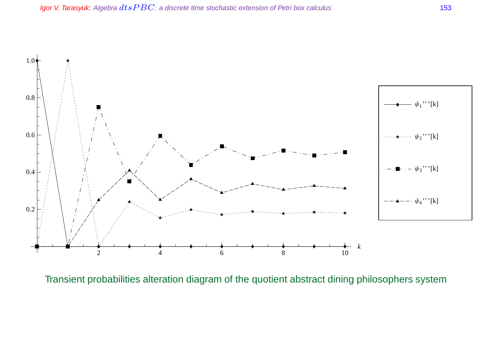

Transient probabilities alteration diagram of the quotient abstract dining philosophers system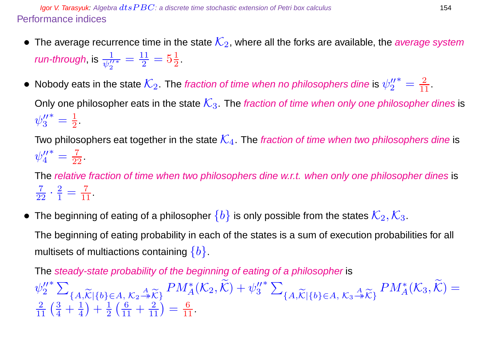**Igor V. Tarasyuk:** Algebra  $dt$ s  $PBC$ : a discrete time stochastic extension of Petri box calculus 154 Performance indices

- The average recurrence time in the state  $\mathcal{K}_2$ , where all the forks are available, the *average system run-through*, is  $\frac{1}{\psi_2^{\prime\prime}}$  $\frac{11}{1}$  $\frac{11}{2} = 5\frac{1}{2}$  $\frac{1}{2}$ .
- Nobody eats in the state  $\mathcal{K}_2$ . The fraction of time when no philosophers dine is  $\psi_2''$ 2 \* =  $\frac{2}{11}$ .

Only one philosopher eats in the state  $K_3$ . The fraction of time when only one philosopher dines is  $\psi''_3$ 3  $* = \frac{1}{2}$  $\frac{1}{2}$ .

Two philosophers eat together in the state  $\mathcal{K}_4$ . The fraction of time when two philosophers dine is  $\psi_4''$ 4 \* =  $\frac{7}{22}$ .

The relative fraction of time when two philosophers dine w.r.t. when only one philosopher dines is  $\frac{7}{22} \cdot \frac{2}{1}$  $\frac{2}{1} = \frac{7}{11}.$ 

• The beginning of eating of a philosopher  $\{b\}$  is only possible from the states  $\mathcal{K}_2, \mathcal{K}_3$ .

The beginning of eating probability in each of the states is a sum of execution probabilities for all multisets of multiactions containing  $\{b\}$ .

The steady-state probability of the beginning of eating of a philosopher is  $\psi''_2$ 2  $*$   $\sum$  ${A,\widetilde{\mathcal{K}}|\{b\}\in A, \mathcal{K}_2 \stackrel{A}{\twoheadrightarrow} \widetilde{\mathcal{K}}}\n  
\n\downarrow 1 \qquad \qquad 1 \qquad \qquad 6 \qquad \qquad 2}$  $PM_{A}^{*}(\mathcal{K}_2, \widetilde{\mathcal{K}})+\psi_3''$ 3  $*$   $\sum$  ${A,\widetilde{\mathcal{K}}|\{b\}\in A, \, \mathcal{K}_3 \stackrel{A}{\twoheadrightarrow} \widetilde{\mathcal{K}}}\}$  $PM_{A}^{*}(\mathcal{K}_3, \widetilde{\mathcal{K}}) =$  $\frac{2}{11} \left( \frac{3}{4} + \frac{1}{4} \right)$ 4  $+\frac{1}{2}$ 2  $\left(\frac{6}{11} + \frac{2}{11}\right) = \frac{6}{11}.$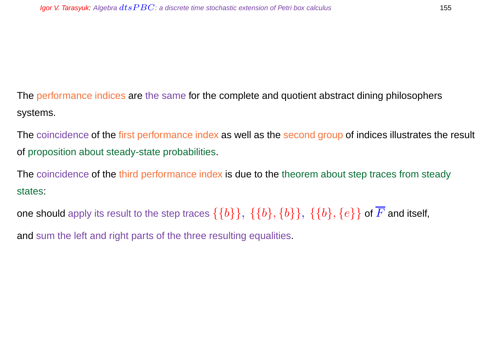The performance indices are the same for the complete and quotient abstract dining philosophers systems.

The coincidence of the first performance index as well as the second group of indices illustrates the result of proposition about steady-state probabilities.

The coincidence of the third performance index is due to the theorem about step traces from steady states:

one should apply its result to the step traces  $\{\{b\}\}, \{\{b\}, \{b\}\}, \{\{b\}, \{e\}\}\$  of  $\overline{F}$  and itself,

and sum the left and right parts of the three resulting equalities.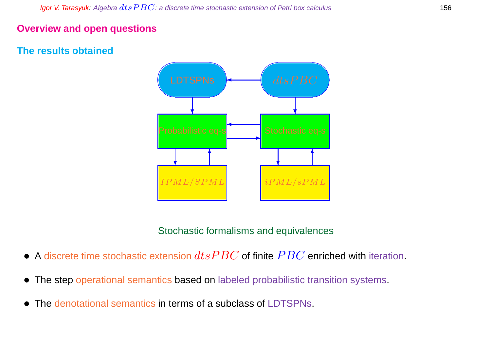#### **Overview and open questions**

#### **The results obtained**



Stochastic formalisms and equivalences

- A discrete time stochastic extension  $dtsPBC$  of finite  $PBC$  enriched with iteration.
- The step operational semantics based on labeled probabilistic transition systems.
- The denotational semantics in terms of a subclass of LDTSPNs.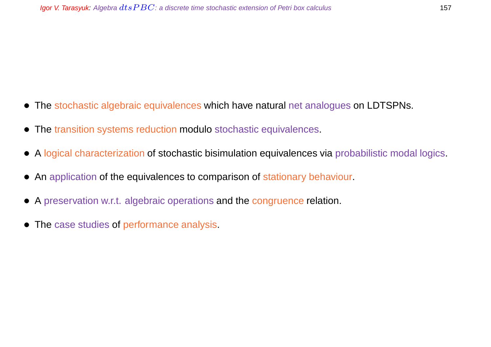- The stochastic algebraic equivalences which have natural net analogues on LDTSPNs.
- The transition systems reduction modulo stochastic equivalences.
- A logical characterization of stochastic bisimulation equivalences via probabilistic modal logics.
- An application of the equivalences to comparison of stationary behaviour.
- A preservation w.r.t. algebraic operations and the congruence relation.
- The case studies of performance analysis.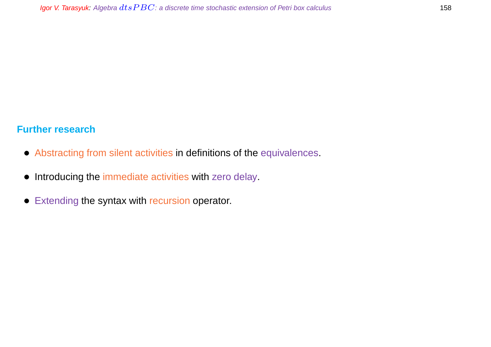#### **Further research**

- Abstracting from silent activities in definitions of the equivalences.
- Introducing the immediate activities with zero delay.
- Extending the syntax with recursion operator.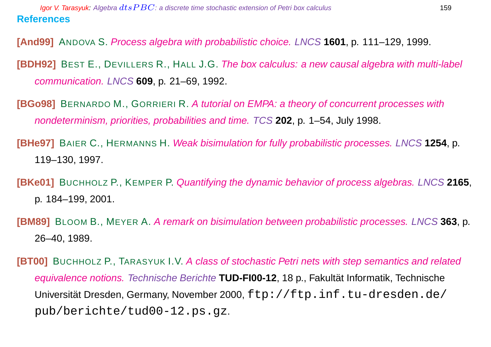**[And99]** ANDOVA S. Process algebra with probabilistic choice. LNCS **1601**, p. 111–129, 1999.

**[BDH92]** BEST E., DEVILLERS R., HALL J.G. The box calculus: a new causal algebra with multi-label communication. LNCS **609**, p. 21–69, 1992.

**[BGo98]** BERNARDO M., GORRIERI R. A tutorial on EMPA: a theory of concurrent processes with nondeterminism, priorities, probabilities and time. TCS **202**, p. 1–54, July 1998.

**[BHe97]** BAIER C., HERMANNS H. Weak bisimulation for fully probabilistic processes. LNCS **1254**, p. 119–130, 1997.

**[BKe01]** BUCHHOLZ P., KEMPER P. Quantifying the dynamic behavior of process algebras. LNCS **2165**, p. 184–199, 2001.

**[BM89]** BLOOM B., MEYER A. A remark on bisimulation between probabilistic processes. LNCS **363**, p. 26–40, 1989.

**[BT00]** BUCHHOLZ P., TARASYUK I.V. A class of stochastic Petri nets with step semantics and related equivalence notions. Technische Berichte **TUD-FI00-12**, 18 p., Fakultat Informatik, Technische ¨ Universität Dresden, Germany, November 2000, ftp://ftp.inf.tu-dresden.de/ pub/berichte/tud00-12.ps.gz.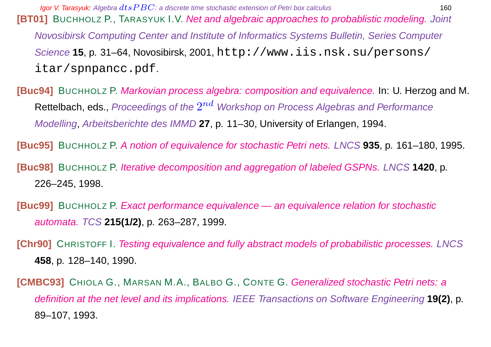**[BT01]** BUCHHOLZ P., TARASYUK I.V. Net and algebraic approaches to probablistic modeling. Joint Novosibirsk Computing Center and Institute of Informatics Systems Bulletin, Series Computer Science **15**, p. 31–64, Novosibirsk, 2001, http://www.iis.nsk.su/persons/ itar/spnpancc.pdf.

**[Buc94]** BUCHHOLZ P. Markovian process algebra: composition and equivalence. In: U. Herzog and M. <code>Rettelbach,</code> eds., <code>Proceedings</code> of the  $2^{nd}$  Workshop on Process Algebras and Performance Modelling, Arbeitsberichte des IMMD **27**, p. 11–30, University of Erlangen, 1994.

**[Buc95]** BUCHHOLZ P. A notion of equivalence for stochastic Petri nets. LNCS **935**, p. 161–180, 1995.

**[Buc98]** BUCHHOLZ P. Iterative decomposition and aggregation of labeled GSPNs. LNCS **1420**, p. 226–245, 1998.

- **[Buc99]** BUCHHOLZ P. Exact performance equivalence an equivalence relation for stochastic automata. TCS **215(1/2)**, p. 263–287, 1999.
- **[Chr90]** CHRISTOFF I. Testing equivalence and fully abstract models of probabilistic processes. LNCS **458**, p. 128–140, 1990.

**[CMBC93]** CHIOLA G., MARSAN M.A., BALBO G., CONTE G. Generalized stochastic Petri nets: a definition at the net level and its implications. IEEE Transactions on Software Engineering **19(2)**, p. 89–107, 1993.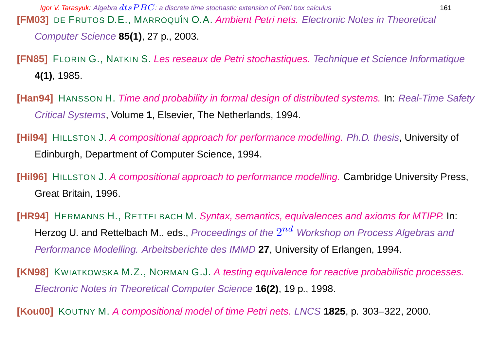**Igor V. Tarasyuk:** Algebra  $dt$ s  $PBC$ : a discrete time stochastic extension of Petri box calculus 161 **[FM03]** DE FRUTOS D.E., MARROQUÍN O.A. Ambient Petri nets. Electronic Notes in Theoretical Computer Science **85(1)**, 27 p., 2003.

**[FN85]** FLORIN G., NATKIN S. Les reseaux de Petri stochastiques. Technique et Science Informatique **4(1)**, 1985.

**[Han94]** HANSSON H. Time and probability in formal design of distributed systems. In: Real-Time Safety Critical Systems, Volume **1**, Elsevier, The Netherlands, 1994.

**[Hil94]** HILLSTON J. A compositional approach for performance modelling. Ph.D. thesis, University of Edinburgh, Department of Computer Science, 1994.

**[Hil96]** HILLSTON J. A compositional approach to performance modelling. Cambridge University Press, Great Britain, 1996.

**[HR94]** HERMANNS H., RETTELBACH M. Syntax, semantics, equivalences and axioms for MTIPP. In: Herzog U. and Rettelbach M., eds., *Proceedings of the*  $2^{nd}\,$  *Workshop on Process Algebras and* Performance Modelling. Arbeitsberichte des IMMD **27**, University of Erlangen, 1994.

**[KN98]** KWIATKOWSKA M.Z., NORMAN G.J. A testing equivalence for reactive probabilistic processes. Electronic Notes in Theoretical Computer Science **16(2)**, 19 p., 1998.

**[Kou00]** KOUTNY M. A compositional model of time Petri nets. LNCS **1825**, p. 303–322, 2000.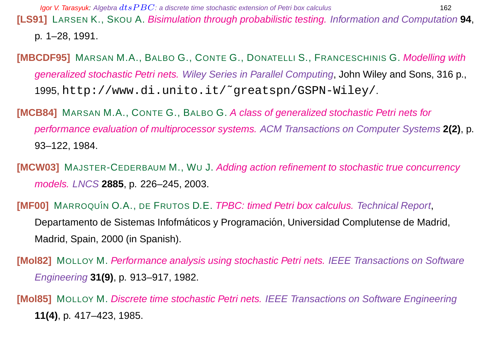**[LS91]** LARSEN K., SKOU A. Bisimulation through probabilistic testing. Information and Computation **94**, p. 1–28, 1991.

- **[MBCDF95]** MARSAN M.A., BALBO G., CONTE G., DONATELLI S., FRANCESCHINIS G. Modelling with generalized stochastic Petri nets. Wiley Series in Parallel Computing, John Wiley and Sons, 316 p., 1995, http://www.di.unito.it/˜greatspn/GSPN-Wiley/.
- **[MCB84]** MARSAN M.A., CONTE G., BALBO G. A class of generalized stochastic Petri nets for performance evaluation of multiprocessor systems. ACM Transactions on Computer Systems **2(2)**, p. 93–122, 1984.
- **[MCW03]** MAJSTER-CEDERBAUM M., WU J. Adding action refinement to stochastic true concurrency models. LNCS **2885**, p. 226–245, 2003.
- **[MF00]** MARROQUÍN O.A., DE FRUTOS D.E. *TPBC: timed Petri box calculus. Technical Report*, Departamento de Sistemas Infofmáticos y Programación, Universidad Complutense de Madrid, Madrid, Spain, 2000 (in Spanish).
- **[Mol82]** MOLLOY M. Performance analysis using stochastic Petri nets. IEEE Transactions on Software Engineering **31(9)**, p. 913–917, 1982.
- **[Mol85]** MOLLOY M. Discrete time stochastic Petri nets. IEEE Transactions on Software Engineering **11(4)**, p. 417–423, 1985.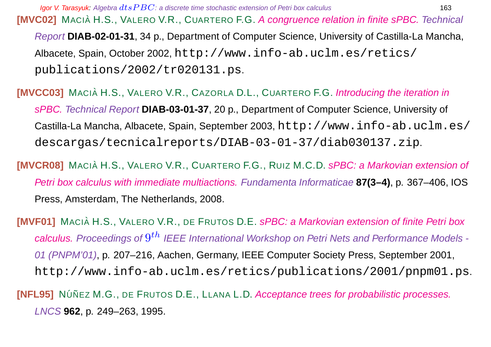**Igor V. Tarasyuk:** Algebra  $dt$ s  $PBC$ : a discrete time stochastic extension of Petri box calculus 163

**[MVC02]** MACIÀ H.S., VALERO V.R., CUARTERO F.G. A congruence relation in finite sPBC. Technical Report **DIAB-02-01-31**, 34 p., Department of Computer Science, University of Castilla-La Mancha, Albacete, Spain, October 2002, http://www.info-ab.uclm.es/retics/ publications/2002/tr020131.ps.

**[MVCC03]** MACIA H.S., VALERO V.R., CAZORLA D.L., CUARTERO F.G. Introducing the iteration in sPBC. Technical Report **DIAB-03-01-37**, 20 p., Department of Computer Science, University of Castilla-La Mancha, Albacete, Spain, September 2003, http://www.info-ab.uclm.es/ descargas/tecnicalreports/DIAB-03-01-37/diab030137.zip.

**[MVCR08]** MACIA H.S., VALERO V.R., CUARTERO F.G., RUIZ M.C.D. sPBC: a Markovian extension of Petri box calculus with immediate multiactions. Fundamenta Informaticae **87(3–4)**, p. 367–406, IOS Press, Amsterdam, The Netherlands, 2008.

**[MVF01]** MACIÀ H.S., VALERO V.R., DE FRUTOS D.E. sPBC: a Markovian extension of finite Petri box calculus. Proceedings of  $9^{th}$  IEEE International Workshop on Petri Nets and Performance Models -01 (PNPM'01), p. 207–216, Aachen, Germany, IEEE Computer Society Press, September 2001, http://www.info-ab.uclm.es/retics/publications/2001/pnpm01.ps.

**[NFL95]** NÚÑEZ M.G., DE FRUTOS D.E., LLANA L.D. Acceptance trees for probabilistic processes. LNCS **962**, p. 249–263, 1995.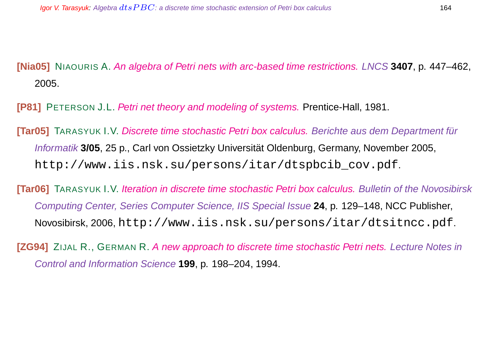**[Nia05]** NIAOURIS A. An algebra of Petri nets with arc-based time restrictions. LNCS **3407**, p. 447–462, 2005.

**[P81]** PETERSON J.L. Petri net theory and modeling of systems. Prentice-Hall, 1981.

**[Tar05]** TARASYUK I.V. Discrete time stochastic Petri box calculus. Berichte aus dem Department für Informatik **3/05**, 25 p., Carl von Ossietzky Universitat Oldenburg, Germany, November 2005, ¨ http://www.iis.nsk.su/persons/itar/dtspbcib\_cov.pdf.

**[Tar06]** TARASYUK I.V. Iteration in discrete time stochastic Petri box calculus. Bulletin of the Novosibirsk Computing Center, Series Computer Science, IIS Special Issue **24**, p. 129–148, NCC Publisher, Novosibirsk, 2006, http://www.iis.nsk.su/persons/itar/dtsitncc.pdf.

**[ZG94]** ZIJAL R., GERMAN R. A new approach to discrete time stochastic Petri nets. Lecture Notes in Control and Information Science **199**, p. 198–204, 1994.